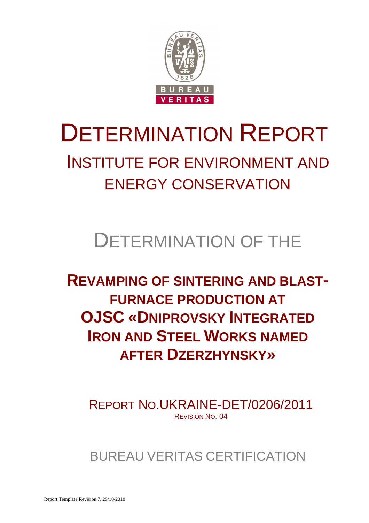

### INSTITUTE FOR ENVIRONMENT AND ENERGY CONSERVATION

## DETERMINATION OF THE

### **REVAMPING OF SINTERING AND BLAST-FURNACE PRODUCTION AT OJSC «DNIPROVSKY INTEGRATED IRON AND STEEL WORKS NAMED AFTER DZERZHYNSKY»**

REPORT NO.UKRAINE-DET/0206/2011 REVISION NO. 04

BUREAU VERITAS CERTIFICATION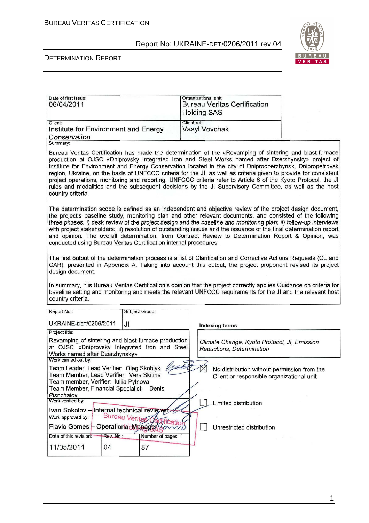

٦Ì

#### DETERMINATION REPORT

| Date of first issue:<br>06/04/2011                                                                                                                                                                                                                                                                                                                                                                                                                                                                                                                                                                                                                                                                           |                  | Organizational unit:<br><b>Bureau Veritas Certification</b><br><b>Holding SAS</b>        |  |  |
|--------------------------------------------------------------------------------------------------------------------------------------------------------------------------------------------------------------------------------------------------------------------------------------------------------------------------------------------------------------------------------------------------------------------------------------------------------------------------------------------------------------------------------------------------------------------------------------------------------------------------------------------------------------------------------------------------------------|------------------|------------------------------------------------------------------------------------------|--|--|
| Client:<br>Institute for Environment and Energy<br>Conservation                                                                                                                                                                                                                                                                                                                                                                                                                                                                                                                                                                                                                                              |                  | Client ref.:<br><b>Vasyl Vovchak</b>                                                     |  |  |
| Summary:<br>Bureau Veritas Certification has made the determination of the «Revamping of sintering and blast-furnace<br>production at OJSC «Dniprovsky Integrated Iron and Steel Works named after Dzerzhynsky» project of<br>Institute for Environment and Energy Conservation located in the city of Dniprodzerzhynsk, Dnipropetrovsk<br>region, Ukraine, on the basis of UNFCCC criteria for the JI, as well as criteria given to provide for consistent<br>project operations, monitoring and reporting. UNFCCC criteria refer to Article 6 of the Kyoto Protocol, the JI<br>rules and modalities and the subsequent decisions by the JI Supervisory Committee, as well as the host<br>country criteria. |                  |                                                                                          |  |  |
| The determination scope is defined as an independent and objective review of the project design document,<br>the project's baseline study, monitoring plan and other relevant documents, and consisted of the following<br>three phases: i) desk review of the project design and the baseline and monitoring plan; ii) follow-up interviews<br>with project stakeholders; iii) resolution of outstanding issues and the issuance of the final determination report<br>and opinion. The overall determination, from Contract Review to Determination Report & Opinion, was<br>conducted using Bureau Veritas Certification internal procedures.                                                              |                  |                                                                                          |  |  |
| The first output of the determination process is a list of Clarification and Corrective Actions Requests (CL and<br>CAR), presented in Appendix A. Taking into account this output, the project proponent revised its project<br>design document.                                                                                                                                                                                                                                                                                                                                                                                                                                                            |                  |                                                                                          |  |  |
| In summary, it is Bureau Veritas Certification's opinion that the project correctly applies Guidance on criteria for<br>baseline setting and monitoring and meets the relevant UNFCCC requirements for the JI and the relevant host<br>country criteria.                                                                                                                                                                                                                                                                                                                                                                                                                                                     |                  |                                                                                          |  |  |
| Report No.:                                                                                                                                                                                                                                                                                                                                                                                                                                                                                                                                                                                                                                                                                                  | Subject Group:   |                                                                                          |  |  |
| <b>UKRAINE-DET/0206/2011</b>                                                                                                                                                                                                                                                                                                                                                                                                                                                                                                                                                                                                                                                                                 | JI               |                                                                                          |  |  |
| Project title:                                                                                                                                                                                                                                                                                                                                                                                                                                                                                                                                                                                                                                                                                               |                  |                                                                                          |  |  |
|                                                                                                                                                                                                                                                                                                                                                                                                                                                                                                                                                                                                                                                                                                              |                  | <b>Indexing terms</b>                                                                    |  |  |
| Revamping of sintering and blast-furnace production<br>at OJSC «Dniprovsky Integrated Iron and Steel<br>Works named after Dzerzhynsky»                                                                                                                                                                                                                                                                                                                                                                                                                                                                                                                                                                       |                  | Climate Change, Kyoto Protocol, JI, Emission<br>Reductions, Determination                |  |  |
| Work carried out by:<br>Team Leader, Lead Verifier: Oleg Skoblyk<br>Team Member, Lead Verifier:  Vera Skitina<br>Team member, Verifier: Iuliia Pylnova<br>Team Member, Financial Specialist: Denis                                                                                                                                                                                                                                                                                                                                                                                                                                                                                                           |                  | No distribution without permission from the<br>Client or responsible organizational unit |  |  |
| Pishchalov<br>Work verified by:                                                                                                                                                                                                                                                                                                                                                                                                                                                                                                                                                                                                                                                                              |                  | Limited distribution                                                                     |  |  |
| Ivan Sokolov - Internal technical reviewer                                                                                                                                                                                                                                                                                                                                                                                                                                                                                                                                                                                                                                                                   |                  |                                                                                          |  |  |
| Work approved by:                                                                                                                                                                                                                                                                                                                                                                                                                                                                                                                                                                                                                                                                                            | Bureau Verita    | Unrestricted distribution                                                                |  |  |
| Flavio Gomes - Operational Manager Com<br>Rev. No.:<br>Date of this revision.                                                                                                                                                                                                                                                                                                                                                                                                                                                                                                                                                                                                                                | Number of pages: |                                                                                          |  |  |

1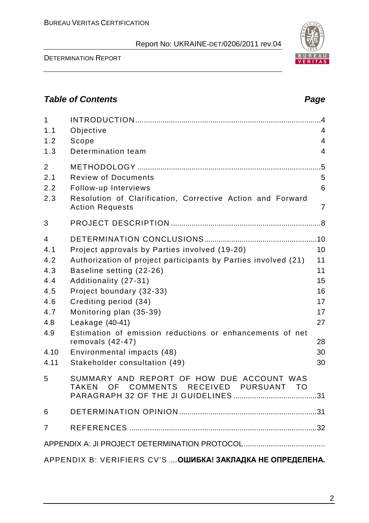DETERMINATION REPORT

| $\mathbf{1}$                                                |                                                                                                           | .4             |  |  |
|-------------------------------------------------------------|-----------------------------------------------------------------------------------------------------------|----------------|--|--|
| 1.1                                                         | Objective                                                                                                 | $\overline{4}$ |  |  |
| 1.2                                                         | Scope                                                                                                     | 4              |  |  |
| 1.3                                                         | Determination team                                                                                        | $\overline{4}$ |  |  |
| $\overline{2}$                                              |                                                                                                           | .5             |  |  |
| 2.1                                                         | <b>Review of Documents</b>                                                                                | 5              |  |  |
| 2.2                                                         | Follow-up Interviews                                                                                      | 6              |  |  |
| 2.3                                                         | Resolution of Clarification, Corrective Action and Forward<br><b>Action Requests</b>                      | $\overline{7}$ |  |  |
| 3                                                           |                                                                                                           |                |  |  |
| $\overline{4}$                                              |                                                                                                           |                |  |  |
| 4.1                                                         | Project approvals by Parties involved (19-20)                                                             | 10             |  |  |
| 4.2                                                         | Authorization of project participants by Parties involved (21)                                            | 11             |  |  |
| 4.3                                                         | Baseline setting (22-26)                                                                                  | 11             |  |  |
| 4.4                                                         | Additionality (27-31)                                                                                     | 15             |  |  |
| 4.5                                                         | Project boundary (32-33)                                                                                  | 16             |  |  |
| 4.6                                                         | Crediting period (34)                                                                                     | 17             |  |  |
| 4.7                                                         | Monitoring plan (35-39)                                                                                   | 17             |  |  |
| 4.8                                                         | Leakage $(40-41)$                                                                                         | 27             |  |  |
| 4.9                                                         | Estimation of emission reductions or enhancements of net                                                  |                |  |  |
|                                                             | removals $(42-47)$                                                                                        | 28             |  |  |
| 4.10                                                        | Environmental impacts (48)                                                                                | 30             |  |  |
| 4.11                                                        | Stakeholder consultation (49)                                                                             | 30             |  |  |
| 5                                                           | SUMMARY AND REPORT OF HOW DUE ACCOUNT WAS<br>RECEIVED<br>OF<br>COMMENTS<br>PURSUANT<br>TAKEN<br><b>TO</b> |                |  |  |
| 6                                                           |                                                                                                           |                |  |  |
| 7                                                           |                                                                                                           |                |  |  |
|                                                             |                                                                                                           |                |  |  |
|                                                             |                                                                                                           |                |  |  |
| APPENDIX B: VERIFIERS CV'S  ОШИБКА! ЗАКЛАДКА НЕ ОПРЕДЕЛЕНА. |                                                                                                           |                |  |  |

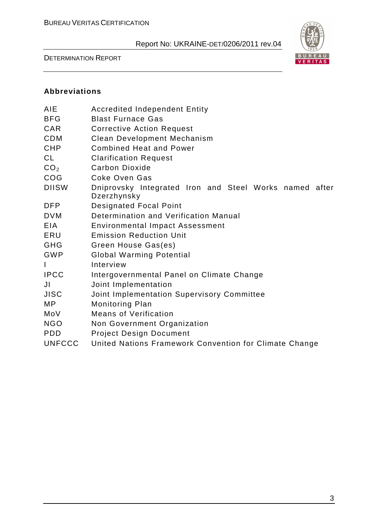DETERMINATION REPORT



#### **Abbreviations**

| AIE             | <b>Accredited Independent Entity</b>                                  |  |  |  |
|-----------------|-----------------------------------------------------------------------|--|--|--|
| <b>BFG</b>      | <b>Blast Furnace Gas</b>                                              |  |  |  |
| <b>CAR</b>      | <b>Corrective Action Request</b>                                      |  |  |  |
| <b>CDM</b>      | <b>Clean Development Mechanism</b>                                    |  |  |  |
| <b>CHP</b>      | <b>Combined Heat and Power</b>                                        |  |  |  |
| <b>CL</b>       | <b>Clarification Request</b>                                          |  |  |  |
| CO <sub>2</sub> | <b>Carbon Dioxide</b>                                                 |  |  |  |
| COG             | Coke Oven Gas                                                         |  |  |  |
| <b>DIISW</b>    | Dniprovsky Integrated Iron and Steel Works named after<br>Dzerzhynsky |  |  |  |
| <b>DFP</b>      | <b>Designated Focal Point</b>                                         |  |  |  |
| <b>DVM</b>      | Determination and Verification Manual                                 |  |  |  |
| EIA             | <b>Environmental Impact Assessment</b>                                |  |  |  |
| ERU             | <b>Emission Reduction Unit</b>                                        |  |  |  |
| GHG             | Green House Gas(es)                                                   |  |  |  |
| <b>GWP</b>      | <b>Global Warming Potential</b>                                       |  |  |  |
| $\mathsf{I}$    | Interview                                                             |  |  |  |
| <b>IPCC</b>     | Intergovernmental Panel on Climate Change                             |  |  |  |
| JI              | Joint Implementation                                                  |  |  |  |
| <b>JISC</b>     | Joint Implementation Supervisory Committee                            |  |  |  |
| MP.             | <b>Monitoring Plan</b>                                                |  |  |  |
| MoV             | <b>Means of Verification</b>                                          |  |  |  |
| <b>NGO</b>      | Non Government Organization                                           |  |  |  |
| <b>PDD</b>      | <b>Project Design Document</b>                                        |  |  |  |
| <b>UNFCCC</b>   | United Nations Framework Convention for Climate Change                |  |  |  |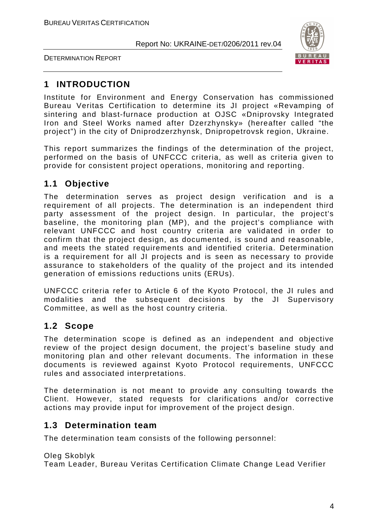



### **1 INTRODUCTION**

Institute for Environment and Energy Conservation has commissioned Bureau Veritas Certification to determine its JI project «Revamping of sintering and blast-furnace production at OJSC «Dniprovsky Integrated Iron and Steel Works named after Dzerzhynsky» (hereafter called "the project") in the city of Dniprodzerzhynsk, Dnipropetrovsk region, Ukraine.

This report summarizes the findings of the determination of the project, performed on the basis of UNFCCC criteria, as well as criteria given to provide for consistent project operations, monitoring and reporting.

#### **1.1 Objective**

The determination serves as project design verification and is a requirement of all projects. The determination is an independent third party assessment of the project design. In particular, the project's baseline, the monitoring plan (MP), and the project's compliance with relevant UNFCCC and host country criteria are validated in order to confirm that the project design, as documented, is sound and reasonable, and meets the stated requirements and identified criteria. Determination is a requirement for all JI projects and is seen as necessary to provide assurance to stakeholders of the quality of the project and its intended generation of emissions reductions units (ERUs).

UNFCCC criteria refer to Article 6 of the Kyoto Protocol, the JI rules and modalities and the subsequent decisions by the JI Supervisory Committee, as well as the host country criteria.

#### **1.2 Scope**

The determination scope is defined as an independent and objective review of the project design document, the project's baseline study and monitoring plan and other relevant documents. The information in these documents is reviewed against Kyoto Protocol requirements, UNFCCC rules and associated interpretations.

The determination is not meant to provide any consulting towards the Client. However, stated requests for clarifications and/or corrective actions may provide input for improvement of the project design.

#### **1.3 Determination team**

The determination team consists of the following personnel:

Oleg Skoblyk Team Leader, Bureau Veritas Certification Climate Change Lead Verifier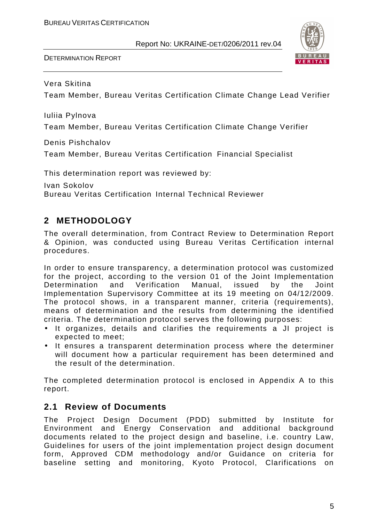

Vera Skitina

Team Member, Bureau Veritas Certification Climate Change Lead Verifier

Iuliia Pylnova

Team Member, Bureau Veritas Certification Climate Change Verifier

Denis Pishchalov

Team Member, Bureau Veritas Certification Financial Specialist

This determination report was reviewed by:

Ivan Sokolov Bureau Veritas Certification Internal Technical Reviewer

#### **2 METHODOLOGY**

The overall determination, from Contract Review to Determination Report & Opinion, was conducted using Bureau Veritas Certification internal procedures.

In order to ensure transparency, a determination protocol was customized for the project, according to the version 01 of the Joint Implementation Determination and Verification Manual, issued by the Joint Implementation Supervisory Committee at its 19 meeting on 04/12/2009. The protocol shows, in a transparent manner, criteria (requirements), means of determination and the results from determining the identified criteria. The determination protocol serves the following purposes:

- It organizes, details and clarifies the requirements a JI project is expected to meet;
- It ensures a transparent determination process where the determiner will document how a particular requirement has been determined and the result of the determination.

The completed determination protocol is enclosed in Appendix A to this report.

#### **2.1 Review of Documents**

The Project Design Document (PDD) submitted by Institute for Environment and Energy Conservation and additional background documents related to the project design and baseline, i.e. country Law, Guidelines for users of the joint implementation project design document form, Approved CDM methodology and/or Guidance on criteria for baseline setting and monitoring, Kyoto Protocol, Clarifications on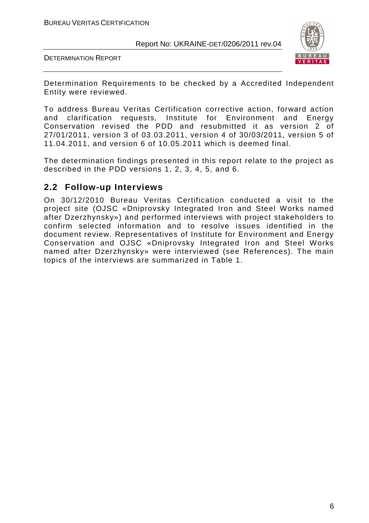DETERMINATION REPORT



Determination Requirements to be checked by a Accredited Independent Entity were reviewed.

To address Bureau Veritas Certification corrective action, forward action and clarification requests, Institute for Environment and Energy Conservation revised the PDD and resubmitted it as version 2 of 27/01/2011, version 3 of 03.03.2011, version 4 of 30/03/2011, version 5 of 11.04.2011, and version 6 of 10.05.2011 which is deemed final.

The determination findings presented in this report relate to the project as described in the PDD versions 1, 2, 3, 4, 5, and 6.

#### **2.2 Follow-up Interviews**

On 30/12/2010 Bureau Veritas Certification conducted a visit to the project site (OJSC «Dniprovsky Integrated Iron and Steel Works named after Dzerzhynsky») and performed interviews with project stakeholders to confirm selected information and to resolve issues identified in the document review. Representatives of Institute for Environment and Energy Conservation and OJSC «Dniprovsky Integrated Iron and Steel Works named after Dzerzhynsky» were interviewed (see References). The main topics of the interviews are summarized in Table 1.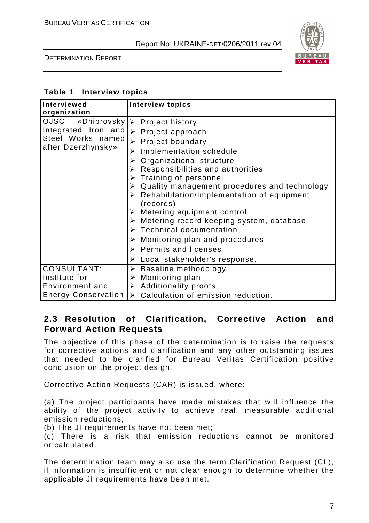

#### DETERMINATION REPORT

#### **Table 1 Interview topics**

| Interviewed                                                    | <b>Interview topics</b>                                                  |
|----------------------------------------------------------------|--------------------------------------------------------------------------|
| organization                                                   |                                                                          |
| OJSC                                                           | «Dniprovsky   > Project history                                          |
| Integrated Iron and<br>Steel Works named<br>after Dzerzhynsky» | $\triangleright$ Project approach                                        |
|                                                                | $\triangleright$ Project boundary                                        |
|                                                                | Implementation schedule<br>➤                                             |
|                                                                | Organizational structure                                                 |
|                                                                | $\triangleright$ Responsibilities and authorities                        |
|                                                                | $\triangleright$ Training of personnel                                   |
|                                                                | $\triangleright$ Quality management procedures and technology            |
|                                                                | $\triangleright$ Rehabilitation/Implementation of equipment<br>(records) |
|                                                                | $\triangleright$ Metering equipment control                              |
|                                                                | $\triangleright$ Metering record keeping system, database                |
|                                                                | $\triangleright$ Technical documentation                                 |
|                                                                | Monitoring plan and procedures<br>➤                                      |
|                                                                | $\triangleright$ Permits and licenses                                    |
|                                                                | $\triangleright$ Local stakeholder's response.                           |
| <b>CONSULTANT:</b>                                             | $\triangleright$ Baseline methodology                                    |
| Institute for                                                  | $\triangleright$ Monitoring plan                                         |
| Environment and                                                | $\triangleright$ Additionality proofs                                    |
| <b>Energy Conservation</b>                                     | $\triangleright$ Calculation of emission reduction.                      |

#### **2.3 Resolution of Clarification, Corrective Action and Forward Action Requests**

The objective of this phase of the determination is to raise the requests for corrective actions and clarification and any other outstanding issues that needed to be clarified for Bureau Veritas Certification positive conclusion on the project design.

Corrective Action Requests (CAR) is issued, where:

(a) The project participants have made mistakes that will influence the ability of the project activity to achieve real, measurable additional emission reductions;

(b) The JI requirements have not been met;

(c) There is a risk that emission reductions cannot be monitored or calculated.

The determination team may also use the term Clarification Request (CL), if information is insufficient or not clear enough to determine whether the applicable JI requirements have been met.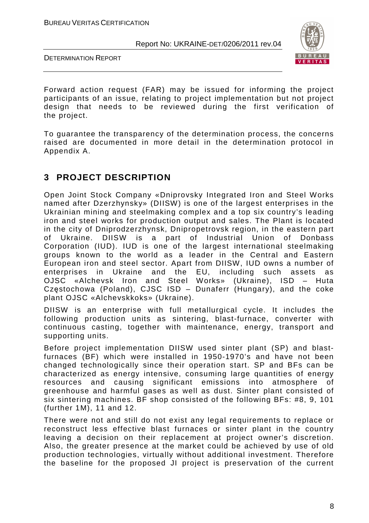DETERMINATION REPORT



Forward action request (FAR) may be issued for informing the project participants of an issue, relating to project implementation but not project design that needs to be reviewed during the first verification of the project.

To guarantee the transparency of the determination process, the concerns raised are documented in more detail in the determination protocol in Appendix A.

#### **3 PROJECT DESCRIPTION**

Open Joint Stock Company «Dniprovsky Integrated Iron and Steel Works named after Dzerzhynsky» (DIISW) is one of the largest enterprises in the Ukrainian mining and steelmaking complex and a top six country's leading iron and steel works for production output and sales. The Plant is located in the city of Dniprodzerzhynsk, Dnipropetrovsk region, in the eastern part of Ukraine. DIISW is a part of Industrial Union of Donbass Corporation (IUD). IUD is one of the largest international steelmaking groups known to the world as a leader in the Central and Eastern European iron and steel sector. Apart from DIISW, IUD owns a number of enterprises in Ukraine and the EU, including such assets as OJSC «Alchevsk Iron and Steel Works» (Ukraine), ISD – Huta Częstochowa (Poland), CJSC ISD – Dunaferr (Hungary), and the coke plant OJSC «Alchevskkoks» (Ukraine).

DIISW is an enterprise with full metallurgical cycle. It includes the following production units as sintering, blast-furnace, converter with continuous casting, together with maintenance, energy, transport and supporting units.

Before project implementation DIISW used sinter plant (SP) and blastfurnaces (BF) which were installed in 1950-1970's and have not been changed technologically since their operation start. SP and BFs can be characterized as energy intensive, consuming large quantities of energy resources and causing significant emissions into atmosphere of greenhouse and harmful gases as well as dust. Sinter plant consisted of six sintering machines. BF shop consisted of the following BFs: #8, 9, 101 (further 1M), 11 and 12.

There were not and still do not exist any legal requirements to replace or reconstruct less effective blast furnaces or sinter plant in the country leaving a decision on their replacement at project owner's discretion. Also, the greater presence at the market could be achieved by use of old production technologies, virtually without additional investment. Therefore the baseline for the proposed JI project is preservation of the current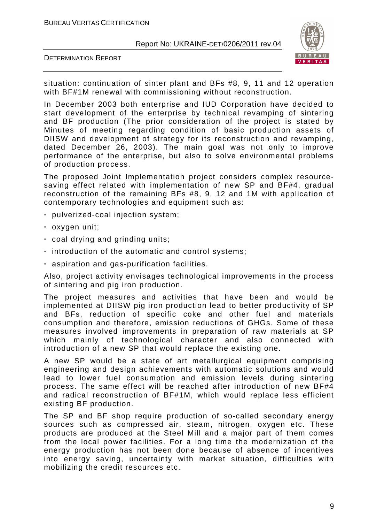DETERMINATION REPORT



situation: continuation of sinter plant and BFs #8, 9, 11 and 12 operation with BF#1M renewal with commissioning without reconstruction.

In December 2003 both enterprise and IUD Corporation have decided to start development of the enterprise by technical revamping of sintering and BF production (The prior consideration of the project is stated by Minutes of meeting regarding condition of basic production assets of DIISW and development of strategy for its reconstruction and revamping, dated December 26, 2003). The main goal was not only to improve performance of the enterprise, but also to solve environmental problems of production process.

The proposed Joint Implementation project considers complex resourcesaving effect related with implementation of new SP and BF#4, gradual reconstruction of the remaining BFs #8, 9, 12 and 1M with application of contemporary technologies and equipment such as:

- **·** pulverized-coal injection system;
- **·** oxygen unit;
- **·** coal drying and grinding units;
- **·** introduction of the automatic and control systems;
- **·** aspiration and gas-purification facilities.

Also, project activity envisages technological improvements in the process of sintering and pig iron production.

The project measures and activities that have been and would be implemented at DIISW pig iron production lead to better productivity of SP and BFs, reduction of specific coke and other fuel and materials consumption and therefore, emission reductions of GHGs. Some of these measures involved improvements in preparation of raw materials at SP which mainly of technological character and also connected with introduction of a new SP that would replace the existing one.

A new SP would be a state of art metallurgical equipment comprising engineering and design achievements with automatic solutions and would lead to lower fuel consumption and emission levels during sintering process. The same effect will be reached after introduction of new BF#4 and radical reconstruction of BF#1M, which would replace less efficient existing BF production.

The SP and BF shop require production of so-called secondary energy sources such as compressed air, steam, nitrogen, oxygen etc. These products are produced at the Steel Mill and a major part of them comes from the local power facilities. For a long time the modernization of the energy production has not been done because of absence of incentives into energy saving, uncertainty with market situation, difficulties with mobilizing the credit resources etc.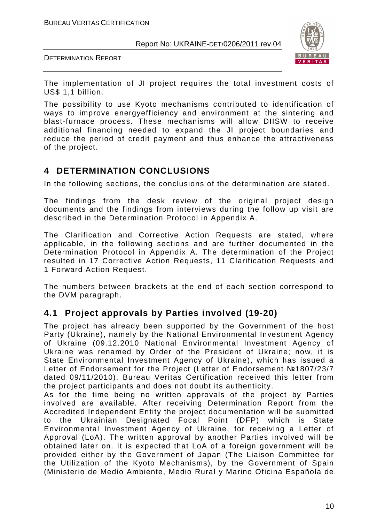DETERMINATION REPORT



The implementation of JI project requires the total investment costs of US\$ 1,1 billion.

The possibility to use Kyoto mechanisms contributed to identification of ways to improve energyefficiency and environment at the sintering and blast-furnace process. These mechanisms will allow DIISW to receive additional financing needed to expand the JI project boundaries and reduce the period of credit payment and thus enhance the attractiveness of the project.

#### **4 DETERMINATION CONCLUSIONS**

In the following sections, the conclusions of the determination are stated.

The findings from the desk review of the original project design documents and the findings from interviews during the follow up visit are described in the Determination Protocol in Appendix A.

The Clarification and Corrective Action Requests are stated, where applicable, in the following sections and are further documented in the Determination Protocol in Appendix A. The determination of the Project resulted in 17 Corrective Action Requests, 11 Clarification Requests and 1 Forward Action Request.

The numbers between brackets at the end of each section correspond to the DVM paragraph.

#### **4.1 Project approvals by Parties involved (19-20)**

The project has already been supported by the Government of the host Party (Ukraine), namely by the National Environmental Investment Agency of Ukraine (09.12.2010 National Environmental Investment Agency of Ukraine was renamed by Order of the President of Ukraine; now, it is State Environmental Investment Agency of Ukraine), which has issued a Letter of Endorsement for the Project (Letter of Endorsement №1807/23/7 dated 09/11/2010). Bureau Veritas Certification received this letter from the project participants and does not doubt its authenticity.

As for the time being no written approvals of the project by Parties involved are available. After receiving Determination Report from the Accredited Independent Entity the project documentation will be submitted to the Ukrainian Designated Focal Point (DFP) which is State Environmental Investment Agency of Ukraine, for receiving a Letter of Approval (LoA). The written approval by another Parties involved will be obtained later on. It is expected that LoA of a foreign government will be provided either by the Government of Japan (The Liaison Committee for the Utilization of the Kyoto Mechanisms), by the Government of Spain (Ministerio de Medio Ambiente, Medio Rural y Marino Oficina Española de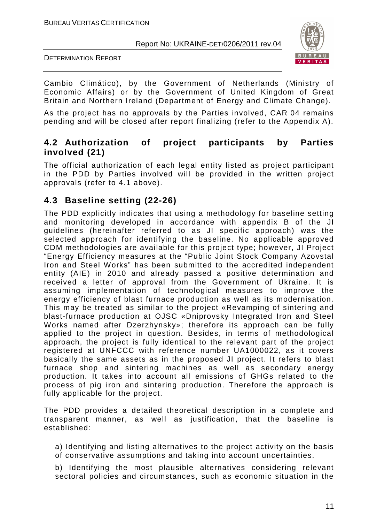DETERMINATION REPORT



Cambio Climático), by the Government of Netherlands (Ministry of Economic Affairs) or by the Government of United Kingdom of Great Britain and Northern Ireland (Department of Energy and Climate Change).

As the project has no approvals by the Parties involved, CAR 04 remains pending and will be closed after report finalizing (refer to the Appendix A).

#### **4.2 Authorization of project participants by Parties involved (21)**

The official authorization of each legal entity listed as project participant in the PDD by Parties involved will be provided in the written project approvals (refer to 4.1 above).

#### **4.3 Baseline setting (22-26)**

The PDD explicitly indicates that using a methodology for baseline setting and monitoring developed in accordance with appendix B of the JI guidelines (hereinafter referred to as JI specific approach) was the selected approach for identifying the baseline. No applicable approved CDM methodologies are available for this project type; however, JI Project "Energy Efficiency measures at the "Public Joint Stock Company Azovstal Iron and Steel Works" has been submitted to the accredited independent entity (AIE) in 2010 and already passed a positive determination and received a letter of approval from the Government of Ukraine. It is assuming implementation of technological measures to improve the energy efficiency of blast furnace production as well as its modernisation. This may be treated as similar to the project «Revamping of sintering and blast-furnace production at OJSC «Dniprovsky Integrated Iron and Steel Works named after Dzerzhynsky»; therefore its approach can be fully applied to the project in question. Besides, in terms of methodological approach, the project is fully identical to the relevant part of the project registered at UNFCCC with reference number UA1000022, as it covers basically the same assets as in the proposed JI project. It refers to blast furnace shop and sintering machines as well as secondary energy production. It takes into account all emissions of GHGs related to the process of pig iron and sintering production. Therefore the approach is fully applicable for the project.

The PDD provides a detailed theoretical description in a complete and transparent manner, as well as justification, that the baseline is established:

- a) Identifying and listing alternatives to the project activity on the basis of conservative assumptions and taking into account uncertainties.
- b) Identifying the most plausible alternatives considering relevant sectoral policies and circumstances, such as economic situation in the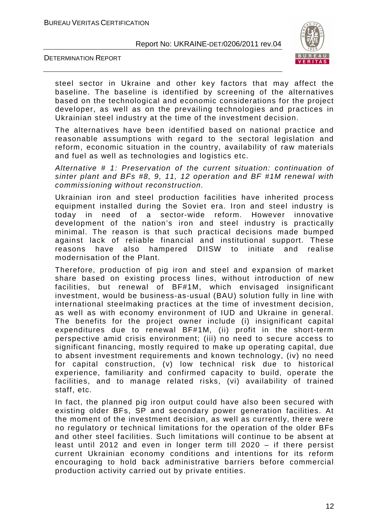

DETERMINATION REPORT

steel sector in Ukraine and other key factors that may affect the baseline. The baseline is identified by screening of the alternatives based on the technological and economic considerations for the project developer, as well as on the prevailing technologies and practices in Ukrainian steel industry at the time of the investment decision.

The alternatives have been identified based on national practice and reasonable assumptions with regard to the sectoral legislation and reform, economic situation in the country, availability of raw materials and fuel as well as technologies and logistics etc.

Alternative # 1: Preservation of the current situation: continuation of sinter plant and BFs #8, 9, 11, 12 operation and BF #1M renewal with commissioning without reconstruction.

Ukrainian iron and steel production facilities have inherited process equipment installed during the Soviet era. Iron and steel industry is today in need of a sector-wide reform. However innovative development of the nation's iron and steel industry is practically minimal. The reason is that such practical decisions made bumped against lack of reliable financial and institutional support. These reasons have also hampered DIISW to initiate and realise modernisation of the Plant.

Therefore, production of pig iron and steel and expansion of market share based on existing process lines, without introduction of new facilities, but renewal of BF#1M, which envisaged insignificant investment, would be business-as-usual (BAU) solution fully in line with international steelmaking practices at the time of investment decision, as well as with economy environment of IUD and Ukraine in general. The benefits for the project owner include (i) insignificant capital expenditures due to renewal BF#1M, (ii) profit in the short-term perspective amid crisis environment; (ііі) no need to secure access to significant financing, mostly required to make up operating capital, due to absent investment requirements and known technology, (iv) no need for capital construction, (v) low technical risk due to historical experience, familiarity and confirmed capacity to build, operate the facilities, and to manage related risks, (vі) availability of trained staff, etc.

In fact, the planned pig iron output could have also been secured with existing older BFs, SP and secondary power generation facilities. At the moment of the investment decision, as well as currently, there were no regulatory or technical limitations for the operation of the older BFs and other steel facilities. Such limitations will continue to be absent at least until 2012 and even in longer term till 2020 – if there persist current Ukrainian economy conditions and intentions for its reform encouraging to hold back administrative barriers before commercial production activity carried out by private entities.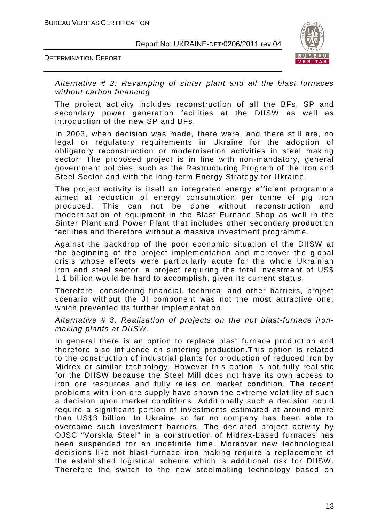DETERMINATION REPORT



Alternative # 2: Revamping of sinter plant and all the blast furnaces without carbon financing.

The project activity includes reconstruction of all the BFs, SP and secondary power generation facilities at the DIISW as well as introduction of the new SP and BFs.

In 2003, when decision was made, there were, and there still are, no legal or regulatory requirements in Ukraine for the adoption of obligatory reconstruction or modernisation activities in steel making sector. The proposed project is in line with non-mandatory, general government policies, such as the Restructuring Program of the Iron and Steel Sector and with the long-term Energy Strategy for Ukraine.

The project activity is itself an integrated energy efficient programme aimed at reduction of energy consumption per tonne of pig iron produced. This can not be done without reconstruction and modernisation of equipment in the Blast Furnace Shop as well in the Sinter Plant and Power Plant that includes other secondary production facilities and therefore without a massive investment programme.

Against the backdrop of the poor economic situation of the DIISW at the beginning of the project implementation and moreover the global crisis whose effects were particularly acute for the whole Ukrainian iron and steel sector, a project requiring the total investment of US\$ 1,1 billion would be hard to accomplish, given its current status.

Therefore, considering financial, technical and other barriers, project scenario without the JI component was not the most attractive one, which prevented its further implementation.

Alternative # 3: Realisation of projects on the not blast-furnace ironmaking plants at DIISW.

In general there is an option to replace blast furnace production and therefore also influence on sintering production.This option is related to the construction of industrial plants for production of reduced iron by Midrex or similar technology. However this option is not fully realistic for the DIISW because the Steel Mill does not have its own access to iron ore resources and fully relies on market condition. The recent problems with iron ore supply have shown the extreme volatility of such a decision upon market conditions. Additionally such a decision could require a significant portion of investments estimated at around more than US\$3 billion. In Ukraine so far no company has been able to overcome such investment barriers. The declared project activity by OJSC "Vorskla Steel" in a construction of Midrex-based furnaces has been suspended for an indefinite time. Moreover new technological decisions like not blast-furnace iron making require a replacement of the established logistical scheme which is additional risk for DIISW. Therefore the switch to the new steelmaking technology based on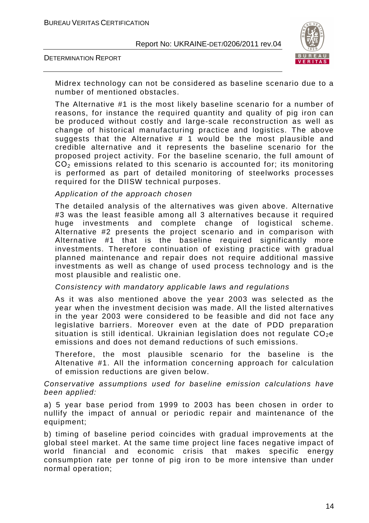DETERMINATION REPORT



Midrex technology can not be considered as baseline scenario due to a number of mentioned obstacles.

The Alternative #1 is the most likely baseline scenario for a number of reasons, for instance the required quantity and quality of pig iron can be produced without costly and large-scale reconstruction as well as change of historical manufacturing practice and logistics. The above suggests that the Alternative # 1 would be the most plausible and credible alternative and it represents the baseline scenario for the proposed project activity. For the baseline scenario, the full amount of  $CO<sub>2</sub>$  emissions related to this scenario is accounted for; its monitoring is performed as part of detailed monitoring of steelworks processes required for the DIISW technical purposes.

#### Application of the approach chosen

The detailed analysis of the alternatives was given above. Alternative #3 was the least feasible among all 3 alternatives because it required huge investments and complete change of logistical scheme. Alternative #2 presents the project scenario and in comparison with Alternative #1 that is the baseline required significantly more investments. Therefore continuation of existing practice with gradual planned maintenance and repair does not require additional massive investments as well as change of used process technology and is the most plausible and realistic one.

#### Consistency with mandatory applicable laws and regulations

As it was also mentioned above the year 2003 was selected as the year when the investment decision was made. All the listed alternatives in the year 2003 were considered to be feasible and did not face any legislative barriers. Moreover even at the date of PDD preparation situation is still identical. Ukrainian legislation does not regulate  $CO<sub>2</sub>e$ emissions and does not demand reductions of such emissions.

Therefore, the most plausible scenario for the baseline is the Altenative #1. All the information concerning approach for calculation of emission reductions are given below.

#### Conservative assumptions used for baseline emission calculations have been applied:

а) 5 year base period from 1999 to 2003 has been chosen in order to nullify the impact of annual or periodic repair and maintenance of the equipment;

b) timing of baseline period coincides with gradual improvements at the global steel market. At the same time project line faces negative impact of world financial and economic crisis that makes specific energy consumption rate per tonne of pig iron to be more intensive than under normal operation;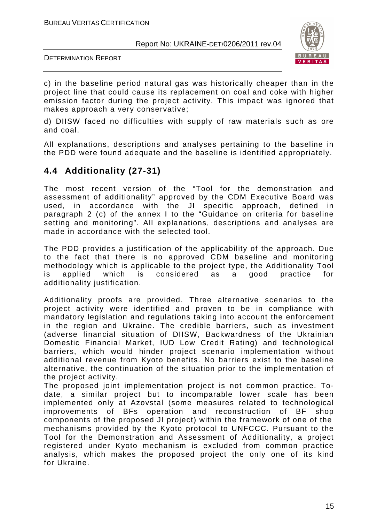DETERMINATION REPORT



c) in the baseline period natural gas was historically cheaper than in the project line that could cause its replacement on coal and coke with higher emission factor during the project activity. This impact was ignored that makes approach a very conservative;

d) DIISW faced no difficulties with supply of raw materials such as ore and coal.

All explanations, descriptions and analyses pertaining to the baseline in the PDD were found adequate and the baseline is identified appropriately.

#### **4.4 Additionality (27-31)**

The most recent version of the "Tool for the demonstration and assessment of additionality" approved by the CDM Executive Board was used, in accordance with the JI specific approach, defined in paragraph 2 (c) of the annex I to the "Guidance on criteria for baseline setting and monitoring". All explanations, descriptions and analyses are made in accordance with the selected tool.

The PDD provides a justification of the applicability of the approach. Due to the fact that there is no approved CDM baseline and monitoring methodology which is applicable to the project type, the Additionality Tool is applied which is considered as a good practice for additionality justification.

Additionality proofs are provided. Three alternative scenarios to the project activity were identified and proven to be in compliance with mandatory legislation and regulations taking into account the enforcement in the region and Ukraine. The credible barriers, such as investment (adverse financial situation of DIISW, Backwardness of the Ukrainian Domestic Financial Market, IUD Low Credit Rating) and technological barriers, which would hinder project scenario implementation without additional revenue from Kyoto benefits. No barriers exist to the baseline alternative, the continuation of the situation prior to the implementation of the project activity.

The proposed joint implementation project is not common practice. Todate, a similar project but to incomparable lower scale has been implemented only at Azovstal (some measures related to technological improvements of BFs operation and reconstruction of BF shop components of the proposed JI project) within the framework of one of the mechanisms provided by the Kyoto protocol to UNFCCC. Pursuant to the Tool for the Demonstration and Assessment of Additionality, a project registered under Kyoto mechanism is excluded from common practice analysis, which makes the proposed project the only one of its kind for Ukraine.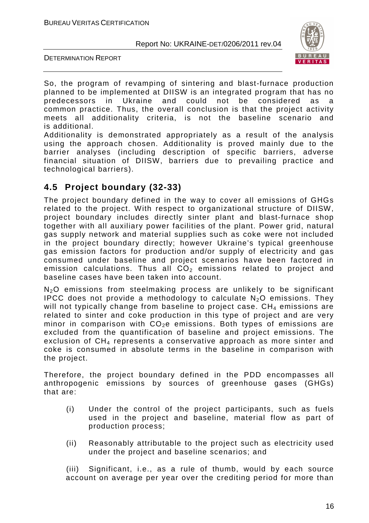DETERMINATION REPORT



So, the program of revamping of sintering and blast-furnace production planned to be implemented at DIISW is an integrated program that has no predecessors in Ukraine and could not be considered as a common practice. Thus, the overall conclusion is that the project activity meets all additionality criteria, is not the baseline scenario and is additional.

Additionality is demonstrated appropriately as a result of the analysis using the approach chosen. Additionality is proved mainly due to the barrier analyses (including description of specific barriers, adverse financial situation of DIISW, barriers due to prevailing practice and technological barriers).

#### **4.5 Project boundary (32-33)**

The project boundary defined in the way to cover all emissions of GHGs related to the project. With respect to organizational structure of DIISW, project boundary includes directly sinter plant and blast-furnace shop together with all auxiliary power facilities of the plant. Power grid, natural gas supply network and material supplies such as coke were not included in the project boundary directly; however Ukraine's typical greenhouse gas emission factors for production and/or supply of electricity and gas consumed under baseline and project scenarios have been factored in emission calculations. Thus all  $CO<sub>2</sub>$  emissions related to project and baseline cases have been taken into account.

 $N<sub>2</sub>O$  emissions from steelmaking process are unlikely to be significant IPCC does not provide a methodology to calculate  $N_2O$  emissions. They will not typically change from baseline to project case.  $CH<sub>4</sub>$  emissions are related to sinter and coke production in this type of project and are very minor in comparison with  $CO<sub>2</sub>e$  emissions. Both types of emissions are excluded from the quantification of baseline and project emissions. The exclusion of CH<sub>4</sub> represents a conservative approach as more sinter and coke is consumed in absolute terms in the baseline in comparison with the project.

Therefore, the project boundary defined in the PDD encompasses all anthropogenic emissions by sources of greenhouse gases (GHGs) that are:

- (i) Under the control of the project participants, such as fuels used in the project and baseline, material flow as part of production process;
- (ii) Reasonably attributable to the project such as electricity used under the project and baseline scenarios; and

(iii) Significant, i.e., as a rule of thumb, would by each source account on average per year over the crediting period for more than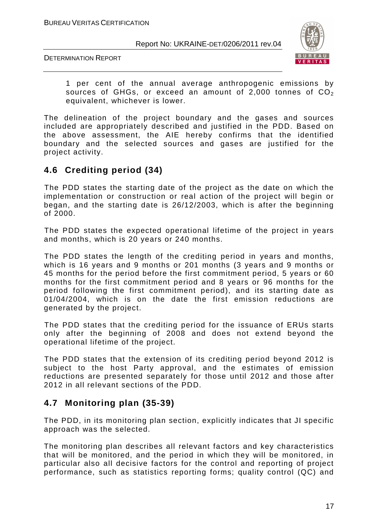DETERMINATION REPORT



1 per cent of the annual average anthropogenic emissions by sources of GHGs, or exceed an amount of 2,000 tonnes of  $CO<sub>2</sub>$ equivalent, whichever is lower.

The delineation of the project boundary and the gases and sources included are appropriately described and justified in the PDD. Based on the above assessment, the AIE hereby confirms that the identified boundary and the selected sources and gases are justified for the project activity.

#### **4.6 Crediting period (34)**

The PDD states the starting date of the project as the date on which the implementation or construction or real action of the project will begin or began, and the starting date is 26/12/2003, which is after the beginning of 2000.

The PDD states the expected operational lifetime of the project in years and months, which is 20 years or 240 months.

The PDD states the length of the crediting period in years and months, which is 16 years and 9 months or 201 months (3 years and 9 months or 45 months for the period before the first commitment period, 5 years or 60 months for the first commitment period and 8 years or 96 months for the period following the first commitment period), and its starting date as 01/04/2004, which is on the date the first emission reductions are generated by the project.

The PDD states that the crediting period for the issuance of ERUs starts only after the beginning of 2008 and does not extend beyond the operational lifetime of the project.

The PDD states that the extension of its crediting period beyond 2012 is subject to the host Party approval, and the estimates of emission reductions are presented separately for those until 2012 and those after 2012 in all relevant sections of the PDD.

#### **4.7 Monitoring plan (35-39)**

The PDD, in its monitoring plan section, explicitly indicates that JI specific approach was the selected.

The monitoring plan describes all relevant factors and key characteristics that will be monitored, and the period in which they will be monitored, in particular also all decisive factors for the control and reporting of project performance, such as statistics reporting forms; quality control (QC) and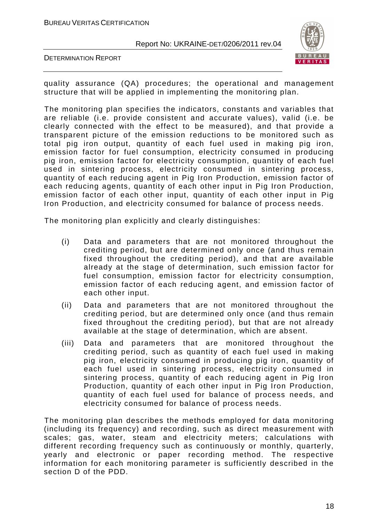DETERMINATION REPORT



quality assurance (QA) procedures; the operational and management structure that will be applied in implementing the monitoring plan.

The monitoring plan specifies the indicators, constants and variables that are reliable (i.e. provide consistent and accurate values), valid (i.e. be clearly connected with the effect to be measured), and that provide a transparent picture of the emission reductions to be monitored such as total pig iron output, quantity of each fuel used in making pig iron, emission factor for fuel consumption, electricity consumed in producing pig iron, emission factor for electricity consumption, quantity of each fuel used in sintering process, electricity consumed in sintering process, quantity of each reducing agent in Pig Iron Production, emission factor of each reducing agents, quantity of each other input in Pig Iron Production, emission factor of each other input, quantity of each other input in Pig Iron Production, and electricity consumed for balance of process needs.

The monitoring plan explicitly and clearly distinguishes:

- (i) Data and parameters that are not monitored throughout the crediting period, but are determined only once (and thus remain fixed throughout the crediting period), and that are available already at the stage of determination, such emission factor for fuel consumption, emission factor for electricity consumption, emission factor of each reducing agent, and emission factor of each other input.
- (ii) Data and parameters that are not monitored throughout the crediting period, but are determined only once (and thus remain fixed throughout the crediting period), but that are not already available at the stage of determination, which are absent.
- (iii) Data and parameters that are monitored throughout the crediting period, such as quantity of each fuel used in making pig iron, electricity consumed in producing pig iron, quantity of each fuel used in sintering process, electricity consumed in sintering process, quantity of each reducing agent in Pig Iron Production, quantity of each other input in Pig Iron Production, quantity of each fuel used for balance of process needs, and electricity consumed for balance of process needs.

The monitoring plan describes the methods employed for data monitoring (including its frequency) and recording, such as direct measurement with scales; gas, water, steam and electricity meters; calculations with different recording frequency such as continuously or monthly, quarterly, yearly and electronic or paper recording method. The respective information for each monitoring parameter is sufficiently described in the section D of the PDD.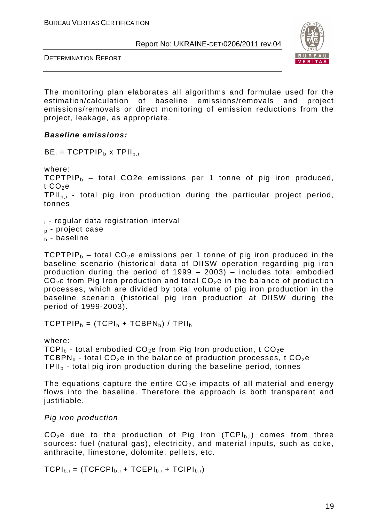DETERMINATION REPORT



The monitoring plan elaborates all algorithms and formulae used for the estimation/calculation of baseline emissions/removals and project emissions/removals or direct monitoring of emission reductions from the project, leakage, as appropriate.

#### **Baseline emissions:**

 $BE_i = TCPTPIP_b$  x TPII<sub>p.i</sub>

where: TCPTPIP $_b$  – total CO2e emissions per 1 tonne of pig iron produced, t  $CO<sub>2</sub>e$ TPIIp,i - total pig iron production during the particular project period, tonnes

<sup>i</sup> - regular data registration interval

 $<sub>p</sub>$  - project case</sub>

 $<sub>b</sub>$  - baseline</sub>

TCPTPIP $_b$  – total CO<sub>2</sub>e emissions per 1 tonne of pig iron produced in the baseline scenario (historical data of DIISW operation regarding pig iron production during the period of 1999 – 2003) – includes total embodied  $CO<sub>2</sub>e$  from Pig Iron production and total  $CO<sub>2</sub>e$  in the balance of production processes, which are divided by total volume of pig iron production in the baseline scenario (historical pig iron production at DIISW during the period of 1999-2003).

 $TCPTPIP<sub>b</sub> = (TCPI<sub>b</sub> + TCPBPN<sub>b</sub>) / TPII<sub>b</sub>$ 

where: TCPI<sub>b</sub> - total embodied CO<sub>2</sub>e from Pig Iron production, t CO<sub>2</sub>e TCBPN<sub>b</sub> - total CO<sub>2</sub>e in the balance of production processes, t CO<sub>2</sub>e  $TPII<sub>b</sub>$  - total pig iron production during the baseline period, tonnes

The equations capture the entire  $CO<sub>2</sub>e$  impacts of all material and energy flows into the baseline. Therefore the approach is both transparent and justifiable.

#### Pig iron production

 $CO<sub>2</sub>e$  due to the production of Pig Iron (TCPI<sub>b,i</sub>) comes from three sources: fuel (natural gas), electricity, and material inputs, such as coke, anthracite, limestone, dolomite, pellets, etc.

 $TCPI_{b,i} = (TCFCPI_{b,i} + TCEPI_{b,i} + TCIPI_{b,i})$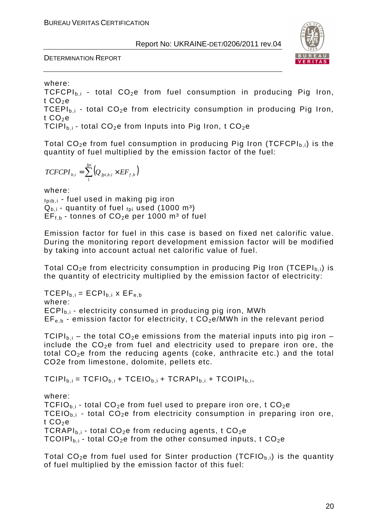

where:

 $TCFCPI_{b,i}$  - total  $CO<sub>2</sub>e$  from fuel consumption in producing Pig Iron, t  $CO<sub>2</sub>e$ 

TCEPI<sub>b,i</sub> - total CO<sub>2</sub>e from electricity consumption in producing Pig Iron, t  $CO<sub>2</sub>e$ 

TCIPI<sub>bi</sub> - total CO<sub>2</sub>e from Inputs into Pig Iron, t CO<sub>2</sub>e

Total  $CO<sub>2</sub>e$  from fuel consumption in producing Pig Iron (TCFCPI<sub>b,i</sub>) is the quantity of fuel multiplied by the emission factor of the fuel:

$$
TCFCPI_{b,i} = \sum_{1}^{fpi} \left(Q_{fpi,b,i} \times EF_{f,b}\right)
$$

where:  $f<sub>pib,i</sub>$  - fuel used in making pig iron  $Q_{b,i}$  - quantity of fuel  $_{foi}$  used (1000 m<sup>3</sup>)  $EF_{f,b}$  - tonnes of  $CO_2e$  per 1000 m<sup>3</sup> of fuel

Emission factor for fuel in this case is based on fixed net calorific value. During the monitoring report development emission factor will be modified by taking into account actual net calorific value of fuel.

Total  $CO<sub>2</sub>e$  from electricity consumption in producing Pig Iron (TCEPI<sub>b,i</sub>) is the quantity of electricity multiplied by the emission factor of electricity:

 $TCEPI_{b,i} = ECPI_{b,i} \times EF_{e,b}$ where:  $ECPI<sub>b,i</sub>$  - electricity consumed in producing pig iron, MWh  $EF_{e,b}$  - emission factor for electricity, t  $CO<sub>2</sub>e/MWh$  in the relevant period

TCIPI<sub>b,i</sub> – the total CO<sub>2</sub>e emissions from the material inputs into pig iron – include the  $CO<sub>2</sub>e$  from fuel and electricity used to prepare iron ore, the total  $CO<sub>2</sub>e$  from the reducing agents (coke, anthracite etc.) and the total CO2e from limestone, dolomite, pellets etc.

 $TCIPI_{b,i} = TCFIO_{b,i} + TCEIO_{b,i} + TCRAPI_{b,i} + TCOIPI_{b,i}$ 

where:

TCFIO<sub>b,i</sub> - total CO<sub>2</sub>e from fuel used to prepare iron ore, t CO<sub>2</sub>e TCEIO<sub>b,i</sub> - total CO<sub>2</sub>e from electricity consumption in preparing iron ore, t  $CO<sub>2</sub>e$ TCRAPI $_{\text{b,i}}$  - total CO<sub>2</sub>e from reducing agents, t CO<sub>2</sub>e TCOIPI<sub>b,i</sub> - total CO<sub>2</sub>e from the other consumed inputs, t CO<sub>2</sub>e

Total  $CO<sub>2</sub>e$  from fuel used for Sinter production (TCFIO<sub>b,i</sub>) is the quantity of fuel multiplied by the emission factor of this fuel: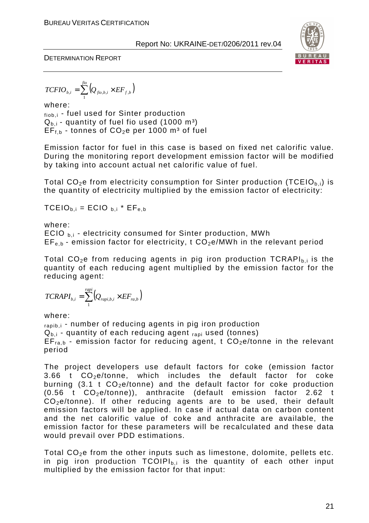

$$
TCFIO_{b,i} = \sum_{1}^{fio} \left(Q_{fio,b,i} \times EF_{f,b}\right)
$$

where: fiob,i - fuel used for Sinter production  $Q_{b,i}$  - quantity of fuel fio used (1000 m<sup>3</sup>)  $EF_{f,b}$  - tonnes of  $CO_2e$  per 1000 m<sup>3</sup> of fuel

Emission factor for fuel in this case is based on fixed net calorific value. During the monitoring report development emission factor will be modified by taking into account actual net calorific value of fuel.

Total  $CO<sub>2</sub>e$  from electricity consumption for Sinter production (TCEIO<sub>b,i</sub>) is the quantity of electricity multiplied by the emission factor of electricity:

 $TCEIO_{b,i} = ECIO_{b,i} * EF_{e,b}$ 

where:

ECIO  $_{\text{b,i}}$  - electricity consumed for Sinter production, MWh  $EF_{e,b}$  - emission factor for electricity, t  $CO<sub>2</sub>e/MWh$  in the relevant period

Total  $CO<sub>2</sub>e$  from reducing agents in pig iron production TCRAPI<sub>bi</sub> is the quantity of each reducing agent multiplied by the emission factor for the reducing agent:

$$
TCRAPI_{b,i} = \sum_{1}^{rapi} (Q_{rapi,b,i} \times EF_{ra,b})
$$

where:

rapib,i - number of reducing agents in pig iron production  $Q_{b,i}$  - quantity of each reducing agent  $_{\text{rapi}}$  used (tonnes)  $EF_{\text{rad}}$  - emission factor for reducing agent, t  $CO<sub>2</sub>e/tonne$  in the relevant period

The project developers use default factors for coke (emission factor 3.66 t  $CO<sub>2</sub>e/tonne$ , which includes the default factor for coke burning  $(3.1 \t{CO}_2e/tonne)$  and the default factor for coke production  $(0.56 \text{ t } CO_2$ e/tonne)), anthracite (default emission factor 2.62 t CO2e/tonne). If other reducing agents are to be used, their default emission factors will be applied. In case if actual data on carbon content and the net calorific value of coke and anthracite are available, the emission factor for these parameters will be recalculated and these data would prevail over PDD estimations.

Total  $CO<sub>2</sub>e$  from the other inputs such as limestone, dolomite, pellets etc. in pig iron production  $TCOIPI_{b,i}$  is the quantity of each other input multiplied by the emission factor for that input: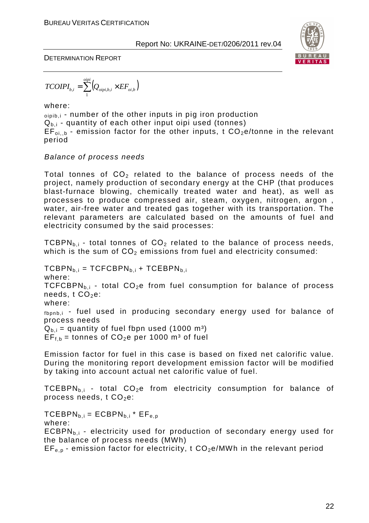

$$
TCOIPI_{b,i} = \sum_{1}^{oipi} \left(Q_{oipi,b,i} \times EF_{oi,b}\right)
$$

where:

oipib,i - number of the other inputs in pig iron production  $Q_{b,i}$  - quantity of each other input oipi used (tonnes)  $EF_{oi,b}$  - emission factor for the other inputs, t  $CO<sub>2</sub>e/tonne$  in the relevant period

#### Balance of process needs

Total tonnes of  $CO<sub>2</sub>$  related to the balance of process needs of the project, namely production of secondary energy at the CHP (that produces blast-furnace blowing, chemically treated water and heat), as well as processes to produce compressed air, steam, oxygen, nitrogen, argon , water, air-free water and treated gas together with its transportation. The relevant parameters are calculated based on the amounts of fuel and electricity consumed by the said processes:

TCBPN<sub>b,i</sub> - total tonnes of  $CO<sub>2</sub>$  related to the balance of process needs, which is the sum of  $CO<sub>2</sub>$  emissions from fuel and electricity consumed:

 $TCBPN<sub>b.i</sub> = TCFCBPN<sub>b.i</sub> + TCEBPN<sub>b.i</sub>$ where: TCFCBPN<sub>b.i</sub> - total CO<sub>2</sub>e from fuel consumption for balance of process needs,  $t CO<sub>2</sub>e$ : where: fbpnb,i - fuel used in producing secondary energy used for balance of process needs  $Q_{b,i}$  = quantity of fuel fbpn used (1000 m<sup>3</sup>)  $EF_{f,b}$  = tonnes of CO<sub>2</sub>e per 1000 m<sup>3</sup> of fuel

Emission factor for fuel in this case is based on fixed net calorific value. During the monitoring report development emission factor will be modified by taking into account actual net calorific value of fuel.

TCEBPN<sub>b,i</sub> - total CO<sub>2</sub>e from electricity consumption for balance of process needs,  $t CO<sub>2</sub>e$ :

 $TCEBPN<sub>b,i</sub> = ECBPN<sub>b,i</sub> * EF<sub>e,p</sub>$ 

where:

 $ECBPN<sub>b,i</sub>$  - electricity used for production of secondary energy used for the balance of process needs (MWh)

 $EF_{e,p}$  - emission factor for electricity, t  $CO_2e/MWh$  in the relevant period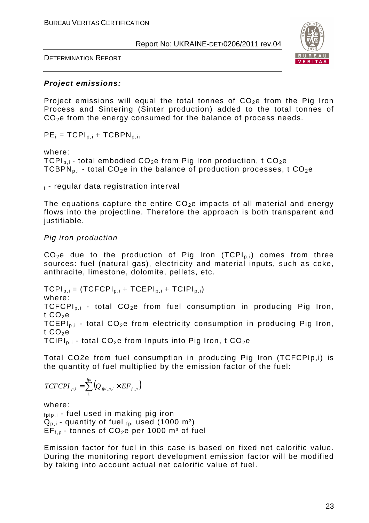DETERMINATION REPORT



#### **Project emissions:**

Project emissions will equal the total tonnes of  $CO<sub>2</sub>e$  from the Pig Iron Process and Sintering (Sinter production) added to the total tonnes of CO<sub>2</sub>e from the energy consumed for the balance of process needs.

 $PE_i = TCPI_{p,i} + TCBPN_{p,i}$ 

#### where:

TCPI<sub>p.i</sub> - total embodied CO<sub>2</sub>e from Pig Iron production, t CO<sub>2</sub>e TCBPN<sub>p.i</sub> - total CO<sub>2</sub>e in the balance of production processes, t CO<sub>2</sub>e

 $\mathbf{i}$  - regular data registration interval

The equations capture the entire  $CO<sub>2</sub>e$  impacts of all material and energy flows into the projectline. Therefore the approach is both transparent and justifiable.

#### Pig iron production

 $CO<sub>2</sub>e$  due to the production of Pig Iron (TCPI<sub>p,i</sub>) comes from three sources: fuel (natural gas), electricity and material inputs, such as coke, anthracite, limestone, dolomite, pellets, etc.

 $TCPI<sub>p,i</sub> = (TCFCPI<sub>p,i</sub> + TCEPI<sub>p,i</sub> + TCIPI<sub>p,i</sub>)$ where: TCFCPI<sub>p,i</sub> - total CO<sub>2</sub>e from fuel consumption in producing Pig Iron, t  $CO<sub>2</sub>e$ TCEPI<sub>pi</sub> - total CO<sub>2</sub>e from electricity consumption in producing Pig Iron, t  $CO<sub>2</sub>e$ TCIPI<sub>p.i</sub> - total CO<sub>2</sub>e from Inputs into Pig Iron, t CO<sub>2</sub>e

Total CO2e from fuel consumption in producing Pig Iron (TCFCPIp,i) is the quantity of fuel multiplied by the emission factor of the fuel:

$$
TCFCPI_{p,i} = \sum_{1}^{fpi} \left(Q_{fpi,p,i} \times EF_{f,p}\right)
$$

where:

 $f_{\text{pip},i}$  - fuel used in making pig iron  $Q_{p,i}$  - quantity of fuel  $_{fpi}$  used (1000 m<sup>3</sup>)  $EF_{f,p}$  - tonnes of  $CO_2e$  per 1000 m<sup>3</sup> of fuel

Emission factor for fuel in this case is based on fixed net calorific value. During the monitoring report development emission factor will be modified by taking into account actual net calorific value of fuel.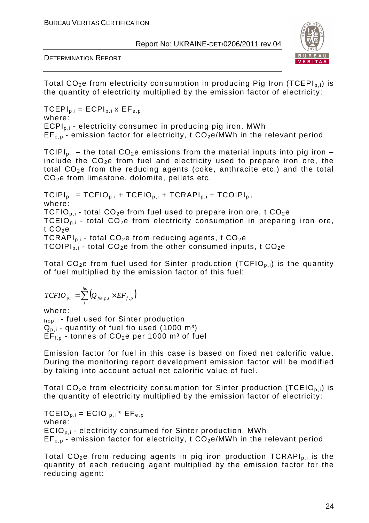

DETERMINATION REPORT

Total  $CO<sub>2</sub>e$  from electricity consumption in producing Pig Iron (TCEPI<sub>p,i</sub>) is the quantity of electricity multiplied by the emission factor of electricity:

 $TCEPI<sub>p,i</sub> = ECPI<sub>p,i</sub>$  x  $EF<sub>e,p</sub>$ where: ECPI<sub>p i</sub> - electricity consumed in producing pig iron, MWh  $EF_{en}$  - emission factor for electricity, t  $CO<sub>2</sub>e/MWh$  in the relevant period

TCIPI<sub>p.i</sub> – the total CO<sub>2</sub>e emissions from the material inputs into pig iron – include the  $CO<sub>2</sub>e$  from fuel and electricity used to prepare iron ore, the total  $CO<sub>2</sub>e$  from the reducing agents (coke, anthracite etc.) and the total  $CO<sub>2</sub>e$  from limestone, dolomite, pellets etc.

 $TCIPI_{p,i} = TCFIO_{p,i} + TCEIO_{p,i} + TCRAPI_{p,i} + TCOIPI_{p,i}$ where: TCFIO<sub>p i</sub> - total CO<sub>2</sub>e from fuel used to prepare iron ore, t CO<sub>2</sub>e TCEIO<sub>p.i</sub> - total CO<sub>2</sub>e from electricity consumption in preparing iron ore, t  $CO<sub>2</sub>e$ TCRAPI<sub>p.i</sub> - total CO<sub>2</sub>e from reducing agents, t CO<sub>2</sub>e TCOIPI<sub>p.i</sub> - total CO<sub>2</sub>e from the other consumed inputs, t CO<sub>2</sub>e

Total  $CO<sub>2</sub>e$  from fuel used for Sinter production (TCFIO<sub>p,i</sub>) is the quantity of fuel multiplied by the emission factor of this fuel:

$$
TCFIO_{p,i} = \sum_{1}^{fio} \left(Q_{fio,p,i} \times EF_{f,p}\right)
$$

where:

fiop,i - fuel used for Sinter production  $Q_{p,i}$  - quantity of fuel fio used (1000 m<sup>3</sup>)  $EF_{f,p}$  - tonnes of  $CO<sub>2</sub>e$  per 1000 m<sup>3</sup> of fuel

Emission factor for fuel in this case is based on fixed net calorific value. During the monitoring report development emission factor will be modified by taking into account actual net calorific value of fuel.

Total  $CO<sub>2</sub>e$  from electricity consumption for Sinter production (TCEIO<sub>p,i</sub>) is the quantity of electricity multiplied by the emission factor of electricity:

 $TCEIO_{p,i} = ECIO_{p,i} * EF_{e,p}$ where:  $ECIO<sub>p,i</sub>$  - electricity consumed for Sinter production, MWh  $EF_{en}$  - emission factor for electricity, t  $CO<sub>2</sub>e/MWh$  in the relevant period

Total  $CO<sub>2</sub>e$  from reducing agents in pig iron production TCRAPI<sub>p,i</sub> is the quantity of each reducing agent multiplied by the emission factor for the reducing agent: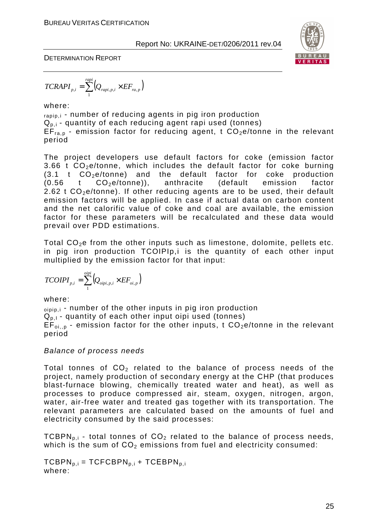

$$
TCRAPI_{p,i} = \sum_{1}^{rapi} (Q_{rapi,p,i} \times EF_{ra,p})
$$

where:

rapip,i - number of reducing agents in pig iron production  $Q_{p,i}$  - quantity of each reducing agent rapi used (tonnes)  $EF_{ra.p}$  - emission factor for reducing agent, t  $CO<sub>2</sub>e/tonne$  in the relevant period

The project developers use default factors for coke (emission factor 3.66 t  $CO<sub>2</sub>e/tonne$ , which includes the default factor for coke burning  $(3.1 \text{ t } CO<sub>2</sub>e/tonne)$  and the default factor for coke production  $(0.56$  t  $CO<sub>2</sub>e/tonne)$ , anthracite (default emission factor  $2.62$  t  $CO<sub>2</sub>e/tonne$ ). If other reducing agents are to be used, their default emission factors will be applied. In case if actual data on carbon content and the net calorific value of coke and coal are available, the emission factor for these parameters will be recalculated and these data would prevail over PDD estimations.

Total  $CO<sub>2</sub>e$  from the other inputs such as limestone, dolomite, pellets etc. in pig iron production TCOIPIp,i is the quantity of each other input multiplied by the emission factor for that input:

$$
TCOIPI_{p,i} = \sum_{1}^{oipi} (Q_{oipi,p,i} \times EF_{oi,p})
$$

where:

 $_{\text{oipip},i}$  - number of the other inputs in pig iron production  $Q_{p,1}$  - quantity of each other input oipi used (tonnes)  $EF_{\text{o}i,n}$  - emission factor for the other inputs, t  $CO_2e/t$ onne in the relevant period

Balance of process needs

Total tonnes of  $CO<sub>2</sub>$  related to the balance of process needs of the project, namely production of secondary energy at the CHP (that produces blast-furnace blowing, chemically treated water and heat), as well as processes to produce compressed air, steam, oxygen, nitrogen, argon, water, air-free water and treated gas together with its transportation. The relevant parameters are calculated based on the amounts of fuel and electricity consumed by the said processes:

TCBPN<sub>p.i</sub> - total tonnes of  $CO<sub>2</sub>$  related to the balance of process needs, which is the sum of  $CO<sub>2</sub>$  emissions from fuel and electricity consumed:

 $TCBPN<sub>p,i</sub> = TCFCBPN<sub>p,i</sub> + TCEBPN<sub>p,i</sub>$ where: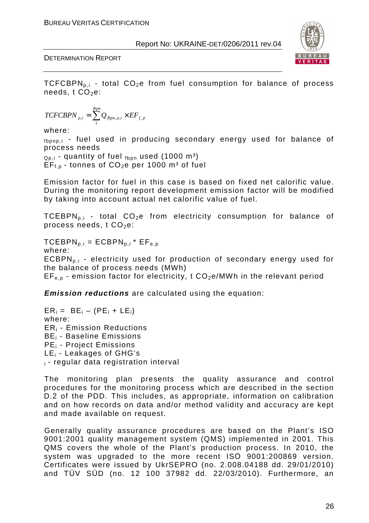

TCFCBPN<sub>p.i</sub> - total CO<sub>2</sub>e from fuel consumption for balance of process needs,  $t$  CO<sub>2</sub>e:

$$
TCFCBPN_{p,i} = \sum_{1}^{fppn} Q_{fppn,p,i} \times EF_{f,p}
$$

where:

fbpnp,i - fuel used in producing secondary energy used for balance of process needs

 $_{Q<sub>D,i</sub>}$  - quantity of fuel  $_{f<sub>bon</sub>}$  used (1000 m<sup>3</sup>)  $EF_{f,p}$  - tonnes of  $CO_2e$  per 1000 m<sup>3</sup> of fuel

Emission factor for fuel in this case is based on fixed net calorific value. During the monitoring report development emission factor will be modified by taking into account actual net calorific value of fuel.

TCEBPN<sub>p.i</sub> - total CO<sub>2</sub>e from electricity consumption for balance of process needs,  $t$  CO<sub>2</sub>e:

 $TCEBPN_{p,i} = ECBPN_{p,i} * EF_{e,p}$ 

where:

 $ECBPN<sub>p,i</sub>$  - electricity used for production of secondary energy used for the balance of process needs (MWh)

 $EF_{e,p}$  - emission factor for electricity, t  $CO_2e/MWh$  in the relevant period

**Emission reductions** are calculated using the equation:

 $ER_i = BE_i - (PE_i + LE_i)$ where: ERi - Emission Reductions BEi - Baseline Emissions PEi - Project Emissions LEi - Leakages of GHG's <sup>i</sup>- regular data registration interval

The monitoring plan presents the quality assurance and control procedures for the monitoring process which are described in the section D.2 of the PDD. This includes, as appropriate, information on calibration and on how records on data and/or method validity and accuracy are kept and made available on request.

Generally quality assurance procedures are based on the Plant's ISO 9001:2001 quality management system (QMS) implemented in 2001. This QMS covers the whole of the Plant's production process. In 2010, the system was upgraded to the more recent ISО 9001:200869 version. Certificates were issued by UkrSEPRO (no. 2.008.04188 dd. 29/01/2010) and TÜV SÜD (no. 12 100 37982 dd. 22/03/2010). Furthermore, an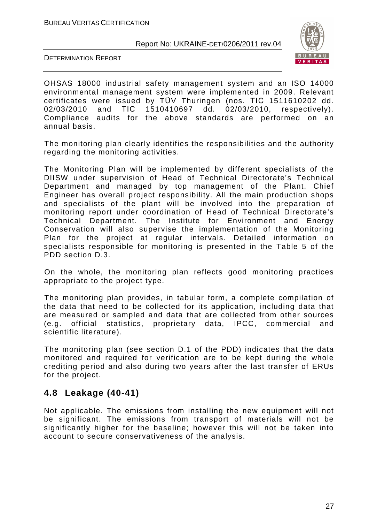



OHSAS 18000 industrial safety management system and an ISO 14000 environmental management system were implemented in 2009. Relevant certificates were issued by TÜV Thuringen (nos. ТІС 1511610202 dd. 02/03/2010 and ТІС 1510410697 dd. 02/03/2010, respectively). Compliance audits for the above standards are performed on an annual basis.

The monitoring plan clearly identifies the responsibilities and the authority regarding the monitoring activities.

The Monitoring Plan will be implemented by different specialists of the DIISW under supervision of Head of Technical Directorate's Technical Department and managed by top management of the Plant. Chief Engineer has overall project responsibility. All the main production shops and specialists of the plant will be involved into the preparation of monitoring report under coordination of Head of Technical Directorate's Technical Department. The Institute for Environment and Energy Conservation will also supervise the implementation of the Monitoring Plan for the project at regular intervals. Detailed information on specialists responsible for monitoring is presented in the Table 5 of the PDD section D.3.

On the whole, the monitoring plan reflects good monitoring practices appropriate to the project type.

The monitoring plan provides, in tabular form, a complete compilation of the data that need to be collected for its application, including data that are measured or sampled and data that are collected from other sources (e.g. official statistics, proprietary data, IPCC, commercial and scientific literature).

The monitoring plan (see section D.1 of the PDD) indicates that the data monitored and required for verification are to be kept during the whole crediting period and also during two years after the last transfer of ERUs for the project.

#### **4.8 Leakage (40-41)**

Not applicable. The emissions from installing the new equipment will not be significant. The emissions from transport of materials will not be significantly higher for the baseline; however this will not be taken into account to secure conservativeness of the analysis.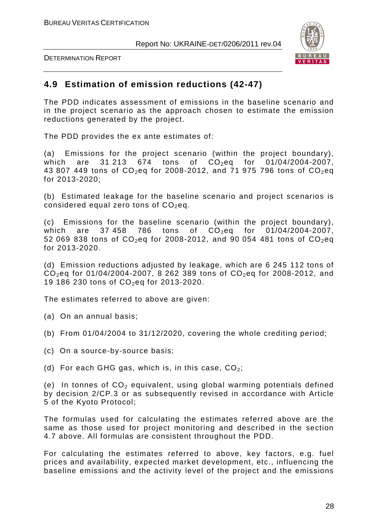



#### **4.9 Estimation of emission reductions (42-47)**

The PDD indicates assessment of emissions in the baseline scenario and in the project scenario as the approach chosen to estimate the emission reductions generated by the project.

The PDD provides the ex ante estimates of:

(a) Emissions for the project scenario (within the project boundary), which are 31 213 674 tons of  $CO_2$ eq for 01/04/2004-2007, 43 807 449 tons of  $CO_2$ eq for 2008-2012, and 71 975 796 tons of  $CO_2$ eq for 2013-2020;

(b) Estimated leakage for the baseline scenario and project scenarios is considered equal zero tons of  $CO<sub>2</sub>$ eq.

(c) Emissions for the baseline scenario (within the project boundary), which are 37.458 786 tons of  $CO_2$ eq for 01/04/2004-2007, 52 069 838 tons of  $CO_2$ eq for 2008-2012, and 90 054 481 tons of  $CO_2$ eq for 2013-2020.

(d) Emission reductions adjusted by leakage, which are 6 245 112 tons of  $CO_2$ eq for 01/04/2004-2007, 8 262 389 tons of  $CO_2$ eq for 2008-2012, and 19 186 230 tons of  $CO_2$ eq for 2013-2020.

The estimates referred to above are given:

(a) On an annual basis;

- (b) From 01/04/2004 to 31/12/2020, covering the whole crediting period;
- (c) On a source-by-source basis;
- (d) For each GHG gas, which is, in this case,  $CO_2$ ;

(e) In tonnes of  $CO<sub>2</sub>$  equivalent, using global warming potentials defined by decision 2/CP.3 or as subsequently revised in accordance with Article 5 of the Kyoto Protocol;

The formulas used for calculating the estimates referred above are the same as those used for project monitoring and described in the section 4.7 above. All formulas are consistent throughout the PDD.

For calculating the estimates referred to above, key factors, e.g. fuel prices and availability, expected market development, etc., influencing the baseline emissions and the activity level of the project and the emissions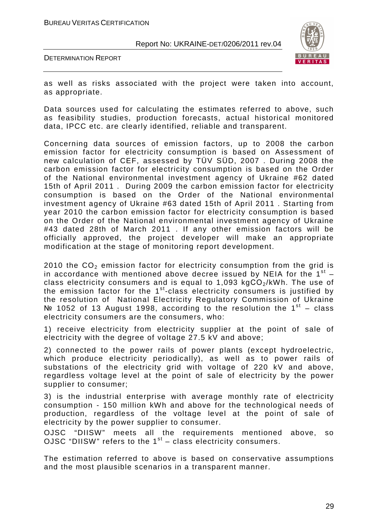DETERMINATION REPORT



as well as risks associated with the project were taken into account, as appropriate.

Data sources used for calculating the estimates referred to above, such as feasibility studies, production forecasts, actual historical monitored data, IPCC etc. are clearly identified, reliable and transparent.

Concerning data sources of emission factors, up to 2008 the carbon emission factor for electricity consumption is based on Assessment of new calculation of CEF, assessed by TÜV SÜD, 2007 . During 2008 the carbon emission factor for electricity consumption is based on the Order of the National environmental investment agency of Ukraine #62 dated 15th of April 2011 . During 2009 the carbon emission factor for electricity consumption is based on the Order of the National environmental investment agency of Ukraine #63 dated 15th of April 2011 . Starting from year 2010 the carbon emission factor for electricity consumption is based on the Order of the National environmental investment agency of Ukraine #43 dated 28th of March 2011 . If any other emission factors will be officially approved, the project developer will make an appropriate modification at the stage of monitoring report development.

2010 the  $CO<sub>2</sub>$  emission factor for electricity consumption from the grid is in accordance with mentioned above decree issued by NEIA for the  $1^{st}$  class electricity consumers and is equal to 1,093 kg $CO<sub>2</sub>/kWh$ . The use of the emission factor for the  $1<sup>st</sup>$ -class electricity consumers is justified by the resolution of National Electricity Regulatory Commission of Ukraine  $N<sup>2</sup>$  1052 of 13 August 1998, according to the resolution the 1<sup>st</sup> – class electricity consumers are the consumers, who:

1) receive electricity from electricity supplier at the point of sale of electricity with the degree of voltage 27.5 kV and above;

2) connected to the power rails of power plants (except hydroelectric, which produce electricity periodically), as well as to power rails of substations of the electricity grid with voltage of 220 kV and above, regardless voltage level at the point of sale of electricity by the power supplier to consumer;

3) is the industrial enterprise with average monthly rate of electricity consumption - 150 million kWh and above for the technological needs of production, regardless of the voltage level at the point of sale of electricity by the power supplier to consumer.

OJSC "DIISW" meets all the requirements mentioned above, so OJSC "DIISW" refers to the  $1<sup>st</sup>$  – class electricity consumers.

The estimation referred to above is based on conservative assumptions and the most plausible scenarios in a transparent manner.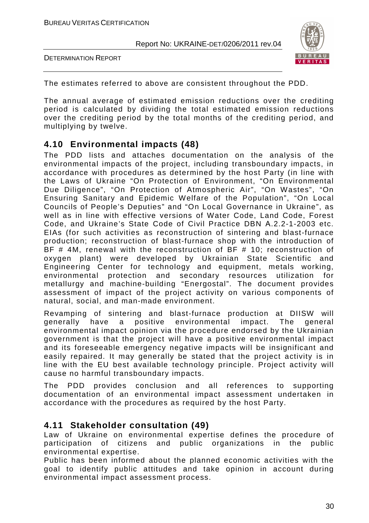DETERMINATION REPORT



The estimates referred to above are consistent throughout the PDD.

The annual average of estimated emission reductions over the crediting period is calculated by dividing the total estimated emission reductions over the crediting period by the total months of the crediting period, and multiplying by twelve.

#### **4.10 Environmental impacts (48)**

The PDD lists and attaches documentation on the analysis of the environmental impacts of the project, including transboundary impacts, in accordance with procedures as determined by the host Party (in line with the Laws of Ukraine "On Protection of Environment, "On Environmental Due Diligence", "On Protection of Atmospheric Air", "On Wastes", "On Ensuring Sanitary and Epidemic Welfare of the Population", "On Local Councils of People's Deputies" and "On Local Governance in Ukraine", as well as in line with effective versions of Water Code, Land Code, Forest Code, and Ukraine's State Code of Civil Practice DBN А.2.2-1-2003 etc. EIAs (for such activities as reconstruction of sintering and blast-furnace production; reconstruction of blast-furnace shop with the introduction of BF # 4M, renewal with the reconstruction of BF # 10; reconstruction of oxygen plant) were developed by Ukrainian State Scientific and Engineering Center for technology and equipment, metals working, environmental protection and secondary resources utilization for metallurgy and machine-building "Energostal". The document provides assessment of impact of the project activity on various components of natural, social, and man-made environment.

Revamping of sintering and blast-furnace production at DIISW will generally have a positive environmental impact. The general environmental impact opinion via the procedure endorsed by the Ukrainian government is that the project will have a positive environmental impact and its foreseeable emergency negative impacts will be insignificant and easily repaired. It may generally be stated that the project activity is in line with the EU best available technology principle. Project activity will cause no harmful transboundary impacts.

The PDD provides conclusion and all references to supporting documentation of an environmental impact assessment undertaken in accordance with the procedures as required by the host Party.

#### **4.11 Stakeholder consultation (49)**

Law of Ukraine on environmental expertise defines the procedure of participation of citizens and public organizations in the public environmental expertise.

Public has been informed about the planned economic activities with the goal to identify public attitudes and take opinion in account during environmental impact assessment process.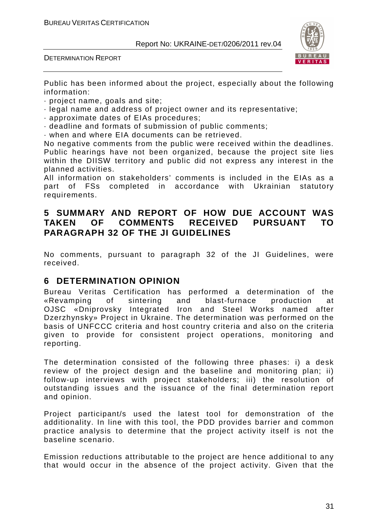DETERMINATION REPORT



Public has been informed about the project, especially about the following information:

- · project name, goals and site;
- · legal name and address of project owner and its representative;
- · approximate dates of EIAs procedures;
- · deadline and formats of submission of public comments;
- · when and where EIA documents can be retrieved.

No negative comments from the public were received within the deadlines. Public hearings have not been organized, because the project site lies within the DIISW territory and public did not express any interest in the planned activities.

All information on stakeholders' comments is included in the EIAs as a part of FSs completed in accordance with Ukrainian statutory requirements.

#### **5 SUMMARY AND REPORT OF HOW DUE ACCOUNT WAS TAKEN OF COMMENTS RECEIVED PURSUANT TO PARAGRAPH 32 OF THE JI GUIDELINES**

No comments, pursuant to paragraph 32 of the JI Guidelines, were received.

#### **6 DETERMINATION OPINION**

Bureau Veritas Certification has performed a determination of the «Revamping of sintering and blast-furnace production at OJSC «Dniprovsky Integrated Iron and Steel Works named after Dzerzhynsky» Project in Ukraine. The determination was performed on the basis of UNFCCC criteria and host country criteria and also on the criteria given to provide for consistent project operations, monitoring and reporting.

The determination consisted of the following three phases: i) a desk review of the project design and the baseline and monitoring plan; ii) follow-up interviews with project stakeholders; iii) the resolution of outstanding issues and the issuance of the final determination report and opinion.

Project participant/s used the latest tool for demonstration of the additionality. In line with this tool, the PDD provides barrier and common practice analysis to determine that the project activity itself is not the baseline scenario.

Emission reductions attributable to the project are hence additional to any that would occur in the absence of the project activity. Given that the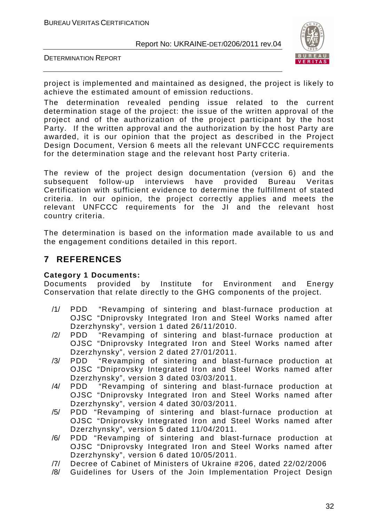DETERMINATION REPORT



project is implemented and maintained as designed, the project is likely to achieve the estimated amount of emission reductions.

The determination revealed pending issue related to the current determination stage of the project: the issue of the written approval of the project and of the authorization of the project participant by the host Party. If the written approval and the authorization by the host Party are awarded, it is our opinion that the project as described in the Project Design Document, Version 6 meets all the relevant UNFCCC requirements for the determination stage and the relevant host Party criteria.

The review of the project design documentation (version 6) and the subsequent follow-up interviews have provided Bureau Veritas Certification with sufficient evidence to determine the fulfillment of stated criteria. In our opinion, the project correctly applies and meets the relevant UNFCCC requirements for the JI and the relevant host country criteria.

The determination is based on the information made available to us and the engagement conditions detailed in this report.

#### **7 REFERENCES**

#### **Category 1 Documents:**

Documents provided by Institute for Environment and Energy Conservation that relate directly to the GHG components of the project.

- /1/ PDD "Revamping of sintering and blast-furnace production at OJSC "Dniprovsky Integrated Iron and Steel Works named after Dzerzhynsky", version 1 dated 26/11/2010.
- /2/ PDD "Revamping of sintering and blast-furnace production at OJSC "Dniprovsky Integrated Iron and Steel Works named after Dzerzhynsky", version 2 dated 27/01/2011.
- /3/ PDD "Revamping of sintering and blast-furnace production at OJSC "Dniprovsky Integrated Iron and Steel Works named after Dzerzhynsky", version 3 dated 03/03/2011.
- /4/ PDD "Revamping of sintering and blast-furnace production at OJSC "Dniprovsky Integrated Iron and Steel Works named after Dzerzhynsky", version 4 dated 30/03/2011.
- /5/ PDD "Revamping of sintering and blast-furnace production at OJSC "Dniprovsky Integrated Iron and Steel Works named after Dzerzhynsky", version 5 dated 11/04/2011.
- /6/ PDD "Revamping of sintering and blast-furnace production at OJSC "Dniprovsky Integrated Iron and Steel Works named after Dzerzhynsky", version 6 dated 10/05/2011.
- /7/ Decree of Cabinet of Ministers of Ukraine #206, dated 22/02/2006
- /8/ Guidelines for Users of the Join Implementation Project Design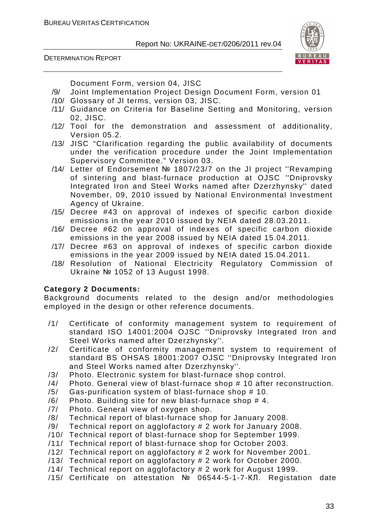DETERMINATION REPORT



Document Form, version 04, JISC

- /9/ Joint Implementation Project Design Document Form, version 01
- /10/ Glossary of JI terms, version 03, JISC.
- /11/ Guidance on Criteria for Baseline Setting and Monitoring, version 02, JISC.
- /12/ Tool for the demonstration and assessment of additionality, Version 05.2.
- /13/ JISC "Clarification regarding the public availability of documents under the verification procedure under the Joint Implementation Supervisory Committee." Version 03.
- /14/ Letter of Endorsement № 1807/23/7 on the JI project ''Revamping of sintering and blast-furnace production at OJSC ''Dniprovsky Integrated Iron and Steel Works named after Dzerzhynsky'' dated November, 09, 2010 issued by National Environmental Investment Agency of Ukraine.
- /15/ Decree #43 on approval of indexes of specific carbon dioxide emissions in the year 2010 issued by NEIA dated 28.03.2011.
- /16/ Decree #62 on approval of indexes of specific carbon dioxide emissions in the year 2008 issued by NEIA dated 15.04.2011.
- /17/ Decree #63 on approval of indexes of specific carbon dioxide emissions in the year 2009 issued by NEIA dated 15.04.2011.
- /18/ Resolution of National Electricity Regulatory Commission of Ukraine № 1052 of 13 August 1998.

#### **Category 2 Documents:**

Background documents related to the design and/or methodologies employed in the design or other reference documents.

- /1/ Certificate of conformity management system to requirement of standard ISO 14001:2004 OJSC ''Dniprovsky Integrated Iron and Steel Works named after Dzerzhynsky''.
- /2/ Certificate of conformity management system to requirement of standard BS OHSAS 18001:2007 OJSC ''Dniprovsky Integrated Iron and Steel Works named after Dzerzhynsky''.
- /3/ Photo. Electronic system for blast-furnace shop control.
- /4/ Photo. General view of blast-furnace shop # 10 after reconstruction.
- /5/ Gas-purification system of blast-furnace shop # 10.
- /6/ Photo. Building site for new blast-furnace shop # 4.
- /7/ Photo. General view of oxygen shop.
- /8/ Technical report of blast-furnace shop for January 2008.
- /9/ Technical report on agglofactory # 2 work for January 2008.
- /10/ Technical report of blast-furnace shop for September 1999.
- /11/ Technical report of blast-furnace shop for October 2003.
- /12/ Technical report on agglofactory # 2 work for November 2001.
- /13/ Technical report on agglofactory # 2 work for October 2000.
- /14/ Technical report on agglofactory # 2 work for August 1999.
- /15/ Certificate on attestation № 06544-5-1-7-КЛ. Registation date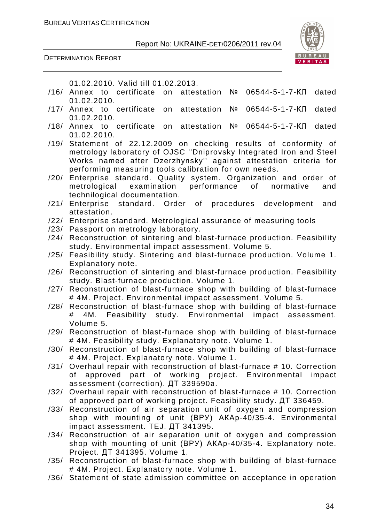DETERMINATION REPORT



01.02.2010. Valid till 01.02.2013.

- /16/ Annex to certificate on attestation № 06544-5-1-7-КЛ dated 01.02.2010.
- /17/ Annex to certificate on attestation № 06544-5-1-7-КЛ dated 01.02.2010.
- /18/ Annex to certificate on attestation № 06544-5-1-7-КЛ dated 01.02.2010.
- /19/ Statement of 22.12.2009 on checking results of conformity of metrology laboratory of OJSC ''Dniprovsky Integrated Iron and Steel Works named after Dzerzhynsky'' against attestation criteria for performing measuring tools calibration for own needs.
- /20/ Enterprise standard. Quality system. Organization and order of metrological examination performance of normative and technilogical documentation.
- /21/ Enterprise standard. Order of procedures development and attestation.
- /22/ Enterprise standard. Metrological assurance of measuring tools
- /23/ Passport on metrology laboratory.
- /24/ Reconstruction of sintering and blast-furnace production. Feasibility study. Environmental impact assessment. Volume 5.
- /25/ Feasibility study. Sintering and blast-furnace production. Volume 1. Explanatory note.
- /26/ Reconstruction of sintering and blast-furnace production. Feasibility study. Blast-furnace production. Volume 1.
- /27/ Reconstruction of blast-furnace shop with building of blast-furnace # 4M. Project. Environmental impact assessment. Volume 5.
- /28/ Reconstruction of blast-furnace shop with building of blast-furnace # 4M. Feasibility study. Environmental impact assessment. Volume 5.
- /29/ Reconstruction of blast-furnace shop with building of blast-furnace # 4M. Feasibility study. Explanatory note. Volume 1.
- /30/ Reconstruction of blast-furnace shop with building of blast-furnace # 4M. Project. Explanatory note. Volume 1.
- /31/ Overhaul repair with reconstruction of blast-furnace # 10. Correction of approved part of working project. Environmental impact assessment (correction). ДТ 339590а.
- /32/ Overhaul repair with reconstruction of blast-furnace # 10. Correction of approved part of working project. Feasibility study. ДТ 336459.
- /33/ Reconstruction of air separation unit of oxygen and compression shop with mounting of unit (ВРУ) АКАр-40/35-4. Environmental impact assessment. TEJ. ДТ 341395.
- /34/ Reconstruction of air separation unit of oxygen and compression shop with mounting of unit (ВРУ) АКАр-40/35-4. Explanatory note. Project. ДТ 341395. Volume 1.
- /35/ Reconstruction of blast-furnace shop with building of blast-furnace # 4M. Project. Explanatory note. Volume 1.
- /36/ Statement of state admission committee on acceptance in operation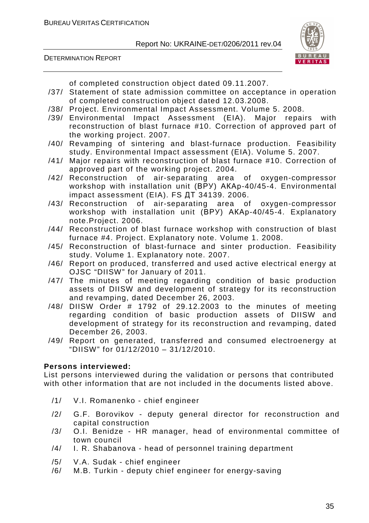DETERMINATION REPORT

of completed construction object dated 09.11.2007.

- /37/ Statement of state admission committee on acceptance in operation of completed construction object dated 12.03.2008.
- /38/ Project. Environmental Impact Assessment. Volume 5. 2008.
- /39/ Environmental Impact Assessment (EIA). Major repairs with reconstruction of blast furnace #10. Correction of approved part of the working project. 2007.
- /40/ Revamping of sintering and blast-furnace production. Feasibility study. Environmental Impact assessment (EIA). Volume 5. 2007.
- /41/ Major repairs with reconstruction of blast furnace #10. Correction of approved part of the working project. 2004.
- /42/ Reconstruction of air-separating area of oxygen-compressor workshop with installation unit (ВРУ) АКАр-40/45-4. Environmental impact assessment (EIA). FS ДТ 34139. 2006.
- /43/ Reconstruction of air-separating area of oxygen-compressor workshop with installation unit (ВРУ) АКАр-40/45-4. Explanatory note.Project. 2006.
- /44/ Reconstruction of blast furnace workshop with construction of blast furnace #4. Project. Explanatory note. Volume 1. 2008.
- /45/ Reconstruction of blast-furnace and sinter production. Feasibility study. Volume 1. Explanatory note. 2007.
- /46/ Report on produced, transferred and used active electrical energy at OJSC "DIISW" for January of 2011.
- /47/ The minutes of meeting regarding condition of basic production assets of DIISW and development of strategy for its reconstruction and revamping, dated December 26, 2003.
- /48/ DIISW Order # 1792 of 29.12.2003 to the minutes of meeting regarding condition of basic production assets of DIISW and development of strategy for its reconstruction and revamping, dated December 26, 2003.
- /49/ Report on generated, transferred and consumed electroenergy at "DIISW" for 01/12/2010 – 31/12/2010.

#### **Persons interviewed:**

List persons interviewed during the validation or persons that contributed with other information that are not included in the documents listed above.

- /1/ V.I. Romanenko chief engineer
- /2/ G.F. Borovikov deputy general director for reconstruction and capital construction
- /3/ O.I. Benidze HR manager, head of environmental committee of town council
- /4/ I. R. Shabanova head of personnel training department
- /5/ V.A. Sudak chief engineer
- /6/ M.B. Turkin deputy chief engineer for energy-saving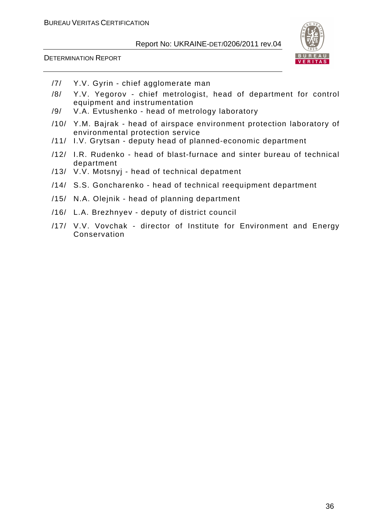

- /7/ Y.V. Gyrin chief agglomerate man
- /8/ Y.V. Yegorov chief metrologist, head of department for control equipment and instrumentation
- /9/ V.A. Evtushenko head of metrology laboratory
- /10/ Y.M. Bajrak head of airspace environment protection laboratory of environmental protection service
- /11/ I.V. Grytsan deputy head of planned-economic department
- /12/ I.R. Rudenko head of blast-furnace and sinter bureau of technical department
- /13/ V.V. Motsnyj head of technical depatment
- /14/ S.S. Goncharenko head of technical reequipment department
- /15/ N.A. Olejnik head of planning department
- /16/ L.A. Brezhnyev deputy of district council
- /17/ V.V. Vovchak director of Institute for Environment and Energy Conservation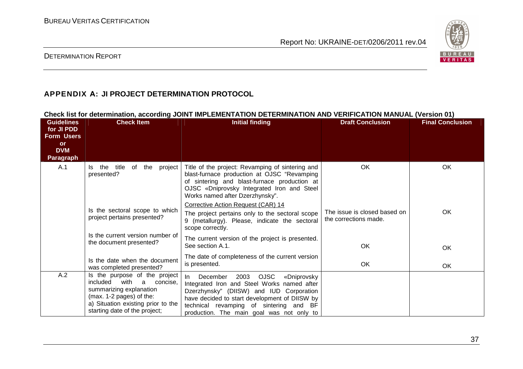

#### DETERMINATION REPORT

#### **APPENDIX А: JI PROJECT DETERMINATION PROTOCOL**

#### **Check list for determination, according JOINT IMPLEMENTATION DETERMINATION AND VERIFICATION MANUAL (Version 01)**<br>Guidelines Check Item Conclusion Check Item **and Conclusion** and the Unitial finding **Final Conclusion Guidelines for JI PDD Form Users or DVM Paragraph Check Item Initial finding Check Item Initial finding Check Item Initial finding Check Item Initial finding** A.1 Is the title of the project Title of the project: Revamping of sintering and presented? Is the sectoral scope to which project pertains presented? Is the current version number of the document presented? Is the date when the document was completed presented? A.2 **Is the purpose of the project**  blast-furnace production at OJSC "Revamping of sintering and blast-furnace production at OJSC «Dniprovsky Integrated Iron and Steel Works named after Dzerzhynsky". Corrective Action Request (CAR) 14 The project pertains only to the sectoral scope 9 (metallurgy). Please, indicate the sectoral scope correctly. The current version of the project is presented. See section A.1. The date of completeness of the current version is presented. OK The issue is closed based on the corrections made. OK OK OK OK OK OK included with a concise, summarizing explanation (max. 1-2 pages) of the: a) Situation existing prior to the starting date of the project; In December 2003 OJSC «Dniprovsky Integrated Iron and Steel Works named after Dzerzhynsky" (DIISW) and IUD Corporation have decided to start development of DIISW by technical revamping of sintering and BF production. The main goal was not only to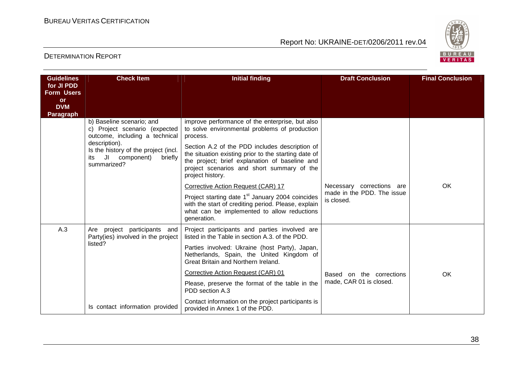

| <b>Guidelines</b><br>for JI PDD<br><b>Form Users</b><br>or<br><b>DVM</b><br><b>Paragraph</b> | <b>Check Item</b>                                                                                       | <b>Initial finding</b>                                                                                                                                                                                                     | <b>Draft Conclusion</b>                  | <b>Final Conclusion</b> |
|----------------------------------------------------------------------------------------------|---------------------------------------------------------------------------------------------------------|----------------------------------------------------------------------------------------------------------------------------------------------------------------------------------------------------------------------------|------------------------------------------|-------------------------|
|                                                                                              | b) Baseline scenario; and<br>c) Project scenario (expected<br>outcome, including a technical            | improve performance of the enterprise, but also<br>to solve environmental problems of production<br>process.                                                                                                               |                                          |                         |
|                                                                                              | description).<br>Is the history of the project (incl.<br>JI component)<br>briefly<br>its<br>summarized? | Section A.2 of the PDD includes description of<br>the situation existing prior to the starting date of<br>the project; brief explanation of baseline and<br>project scenarios and short summary of the<br>project history. |                                          |                         |
|                                                                                              |                                                                                                         | Corrective Action Request (CAR) 17                                                                                                                                                                                         | Necessary corrections are                | <b>OK</b>               |
|                                                                                              |                                                                                                         | Project starting date 1 <sup>st</sup> January 2004 coincides<br>with the start of crediting period. Please, explain<br>what can be implemented to allow reductions<br>generation.                                          | made in the PDD. The issue<br>is closed. |                         |
| A.3                                                                                          | Are project participants and<br>Party(ies) involved in the project                                      | Project participants and parties involved are<br>listed in the Table in section A.3. of the PDD.                                                                                                                           |                                          |                         |
|                                                                                              | listed?                                                                                                 | Parties involved: Ukraine (host Party), Japan,<br>Netherlands, Spain, the United Kingdom of<br>Great Britain and Northern Ireland.                                                                                         |                                          |                         |
|                                                                                              |                                                                                                         | Corrective Action Request (CAR) 01                                                                                                                                                                                         | Based on the corrections                 | OK                      |
|                                                                                              |                                                                                                         | Please, preserve the format of the table in the<br>PDD section A.3                                                                                                                                                         | made, CAR 01 is closed.                  |                         |
|                                                                                              | Is contact information provided                                                                         | Contact information on the project participants is<br>provided in Annex 1 of the PDD.                                                                                                                                      |                                          |                         |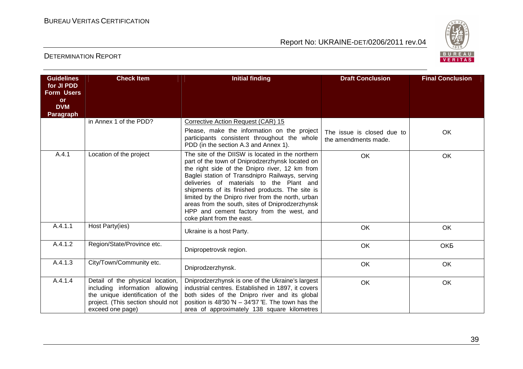

| <b>Guidelines</b><br>for JI PDD<br><b>Form Users</b> | <b>Check Item</b>                                                                                                                                               | <b>Initial finding</b>                                                                                                                                                                                                                                                                                                                                                                                                                                                                    | <b>Draft Conclusion</b>                            | <b>Final Conclusion</b> |
|------------------------------------------------------|-----------------------------------------------------------------------------------------------------------------------------------------------------------------|-------------------------------------------------------------------------------------------------------------------------------------------------------------------------------------------------------------------------------------------------------------------------------------------------------------------------------------------------------------------------------------------------------------------------------------------------------------------------------------------|----------------------------------------------------|-------------------------|
| or<br><b>DVM</b><br><b>Paragraph</b>                 |                                                                                                                                                                 |                                                                                                                                                                                                                                                                                                                                                                                                                                                                                           |                                                    |                         |
|                                                      | in Annex 1 of the PDD?                                                                                                                                          | Corrective Action Request (CAR) 15<br>Please, make the information on the project<br>participants consistent throughout the whole<br>PDD (in the section A.3 and Annex 1).                                                                                                                                                                                                                                                                                                                | The issue is closed due to<br>the amendments made. | OK                      |
| A.4.1                                                | Location of the project                                                                                                                                         | The site of the DIISW is located in the northern<br>part of the town of Dniprodzerzhynsk located on<br>the right side of the Dnipro river, 12 km from<br>Baglei station of Transdnipro Railways, serving<br>deliveries of materials to the Plant and<br>shipments of its finished products. The site is<br>limited by the Dnipro river from the north, urban<br>areas from the south, sites of Dniprodzerzhynsk<br>HPP and cement factory from the west, and<br>coke plant from the east. | <b>OK</b>                                          | <b>OK</b>               |
| A.4.1.1                                              | Host Party(ies)                                                                                                                                                 | Ukraine is a host Party.                                                                                                                                                                                                                                                                                                                                                                                                                                                                  | OK                                                 | OK                      |
| A.4.1.2                                              | Region/State/Province etc.                                                                                                                                      | Dnipropetrovsk region.                                                                                                                                                                                                                                                                                                                                                                                                                                                                    | OK                                                 | <b>OKE</b>              |
| A.4.1.3                                              | City/Town/Community etc.                                                                                                                                        | Dniprodzerzhynsk.                                                                                                                                                                                                                                                                                                                                                                                                                                                                         | OK                                                 | OK                      |
| A.4.1.4                                              | Detail of the physical location,<br>including information allowing<br>the unique identification of the<br>project. (This section should not<br>exceed one page) | Dniprodzerzhynsk is one of the Ukraine's largest<br>industrial centres. Established in 1897, it covers<br>both sides of the Dnipro river and its global<br>position is 48'30 'N $-$ 34'37 'E. The town has the<br>area of approximately 138 square kilometres                                                                                                                                                                                                                             | OK                                                 | OK                      |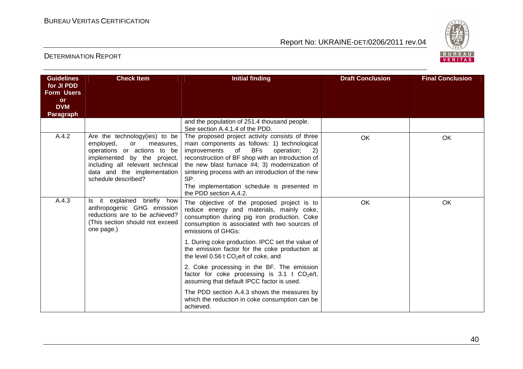

| <b>Guidelines</b><br>for JI PDD<br><b>Form Users</b><br><b>or</b><br><b>DVM</b><br><b>Paragraph</b> | <b>Check Item</b>                                                                                                                                                                                                     | <b>Initial finding</b>                                                                                                                                                                                                                                                                                                                                                                             | <b>Draft Conclusion</b> | <b>Final Conclusion</b> |
|-----------------------------------------------------------------------------------------------------|-----------------------------------------------------------------------------------------------------------------------------------------------------------------------------------------------------------------------|----------------------------------------------------------------------------------------------------------------------------------------------------------------------------------------------------------------------------------------------------------------------------------------------------------------------------------------------------------------------------------------------------|-------------------------|-------------------------|
|                                                                                                     |                                                                                                                                                                                                                       | and the population of 251.4 thousand people.<br>See section A.4.1.4 of the PDD.                                                                                                                                                                                                                                                                                                                    |                         |                         |
| A.4.2                                                                                               | Are the technology(ies) to be<br>employed,<br>measures.<br>or<br>operations or actions to be<br>implemented by the project,<br>including all relevant technical<br>data and the implementation<br>schedule described? | The proposed project activity consists of three<br>main components as follows: 1) technological<br><b>BFs</b><br>improvements<br>of<br>operation;<br>2)<br>reconstruction of BF shop with an introduction of<br>the new blast furnace #4; 3) modernization of<br>sintering process with an introduction of the new<br>SP.<br>The implementation schedule is presented in<br>the PDD section A.4.2. | <b>OK</b>               | OK                      |
| A.4.3                                                                                               | Is it explained briefly how<br>anthropogenic GHG emission<br>reductions are to be achieved?<br>(This section should not exceed<br>one page.)                                                                          | The objective of the proposed project is to<br>reduce energy and materials, mainly coke,<br>consumption during pig iron production. Coke<br>consumption is associated with two sources of<br>emissions of GHGs:                                                                                                                                                                                    | OK                      | OK                      |
|                                                                                                     |                                                                                                                                                                                                                       | 1. During coke production. IPCC set the value of<br>the emission factor for the coke production at<br>the level 0.56 t $CO2e/t$ of coke, and                                                                                                                                                                                                                                                       |                         |                         |
|                                                                                                     |                                                                                                                                                                                                                       | 2. Coke processing in the BF. The emission<br>factor for coke processing is 3.1 t $CO2e/t$ ,<br>assuming that default IPCC factor is used.                                                                                                                                                                                                                                                         |                         |                         |
|                                                                                                     |                                                                                                                                                                                                                       | The PDD section A.4.3 shows the measures by<br>which the reduction in coke consumption can be<br>achieved.                                                                                                                                                                                                                                                                                         |                         |                         |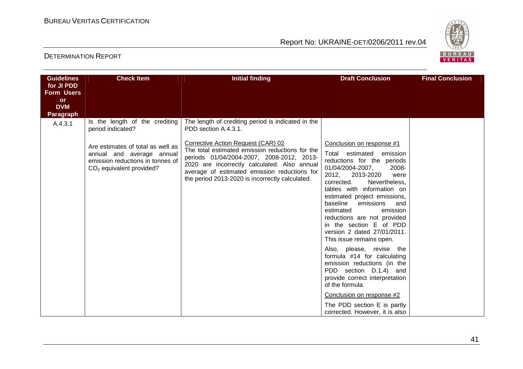

| <b>Guidelines</b><br>for JI PDD | <b>Check Item</b>                                                                                                                | <b>Initial finding</b>                                                                                                                                                                                                                                                                | <b>Draft Conclusion</b>                                                                                                                                                                                                                                                                                                                                                                                                      | <b>Final Conclusion</b> |
|---------------------------------|----------------------------------------------------------------------------------------------------------------------------------|---------------------------------------------------------------------------------------------------------------------------------------------------------------------------------------------------------------------------------------------------------------------------------------|------------------------------------------------------------------------------------------------------------------------------------------------------------------------------------------------------------------------------------------------------------------------------------------------------------------------------------------------------------------------------------------------------------------------------|-------------------------|
| <b>Form Users</b>               |                                                                                                                                  |                                                                                                                                                                                                                                                                                       |                                                                                                                                                                                                                                                                                                                                                                                                                              |                         |
| <b>or</b><br><b>DVM</b>         |                                                                                                                                  |                                                                                                                                                                                                                                                                                       |                                                                                                                                                                                                                                                                                                                                                                                                                              |                         |
| Paragraph                       |                                                                                                                                  |                                                                                                                                                                                                                                                                                       |                                                                                                                                                                                                                                                                                                                                                                                                                              |                         |
| A.4.3.1                         | Is the length of the crediting<br>period indicated?                                                                              | The length of crediting period is indicated in the<br>PDD section A.4.3.1.                                                                                                                                                                                                            |                                                                                                                                                                                                                                                                                                                                                                                                                              |                         |
|                                 | Are estimates of total as well as<br>annual and average annual<br>emission reductions in tonnes of<br>$CO2$ equivalent provided? | Corrective Action Request (CAR) 02<br>The total estimated emission reductions for the<br>periods 01/04/2004-2007, 2008-2012, 2013-<br>2020 are incorrectly calculated. Also annual<br>average of estimated emission reductions for<br>the period 2013-2020 is incorrectly calculated. | Conclusion on response #1<br>Total estimated<br>emission<br>reductions for the periods<br>01/04/2004-2007,<br>2008-<br>2012,<br>2013-2020<br>were<br>corrected.<br>Nevertheless,<br>tables with information on<br>estimated project emissions,<br>baseline<br>emissions<br>and<br>estimated<br>emission<br>reductions are not provided<br>in the section E of PDD<br>version 2 dated 27/01/2011.<br>This issue remains open. |                         |
|                                 |                                                                                                                                  |                                                                                                                                                                                                                                                                                       | Also, please, revise the<br>formula #14 for calculating<br>emission reductions (in the<br>PDD section D.1.4) and<br>provide correct interpretation<br>of the formula.<br>Conclusion on response #2<br>The PDD section E is partly                                                                                                                                                                                            |                         |
|                                 |                                                                                                                                  |                                                                                                                                                                                                                                                                                       | corrected. However, it is also                                                                                                                                                                                                                                                                                                                                                                                               |                         |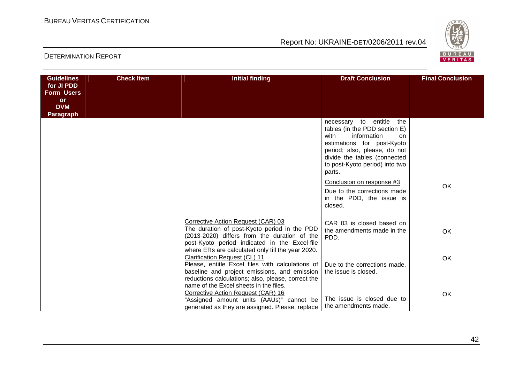

| <b>Guidelines</b>              | <b>Check Item</b> | <b>Initial finding</b>                                                                                                                                                                                                                   | <b>Draft Conclusion</b>                                                                                                                                                                                                              | <b>Final Conclusion</b> |
|--------------------------------|-------------------|------------------------------------------------------------------------------------------------------------------------------------------------------------------------------------------------------------------------------------------|--------------------------------------------------------------------------------------------------------------------------------------------------------------------------------------------------------------------------------------|-------------------------|
| for JI PDD                     |                   |                                                                                                                                                                                                                                          |                                                                                                                                                                                                                                      |                         |
| <b>Form Users</b><br><b>or</b> |                   |                                                                                                                                                                                                                                          |                                                                                                                                                                                                                                      |                         |
| <b>DVM</b>                     |                   |                                                                                                                                                                                                                                          |                                                                                                                                                                                                                                      |                         |
| <b>Paragraph</b>               |                   |                                                                                                                                                                                                                                          |                                                                                                                                                                                                                                      |                         |
|                                |                   |                                                                                                                                                                                                                                          | necessary to entitle<br>the<br>tables (in the PDD section E)<br>with<br>information<br>on.<br>estimations for post-Kyoto<br>period; also, please, do not<br>divide the tables (connected<br>to post-Kyoto period) into two<br>parts. |                         |
|                                |                   |                                                                                                                                                                                                                                          | Conclusion on response #3<br>Due to the corrections made<br>in the PDD, the issue is<br>closed.                                                                                                                                      | <b>OK</b>               |
|                                |                   | Corrective Action Request (CAR) 03<br>The duration of post-Kyoto period in the PDD<br>(2013-2020) differs from the duration of the<br>post-Kyoto period indicated in the Excel-file<br>where ERs are calculated only till the year 2020. | CAR 03 is closed based on<br>the amendments made in the<br>PDD.                                                                                                                                                                      | <b>OK</b>               |
|                                |                   | Clarification Request (CL) 11<br>Please, entitle Excel files with calculations of<br>baseline and project emissions, and emission<br>reductions calculations; also, please, correct the                                                  | Due to the corrections made,<br>the issue is closed.                                                                                                                                                                                 | OK                      |
|                                |                   | name of the Excel sheets in the files.<br>Corrective Action Request (CAR) 16<br>"Assigned amount units (AAUs)" cannot be<br>generated as they are assigned. Please, replace                                                              | The issue is closed due to<br>the amendments made.                                                                                                                                                                                   | OK                      |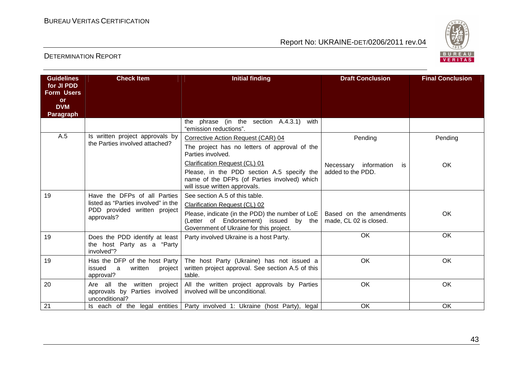

| <b>Guidelines</b><br>for JI PDD<br><b>Form Users</b><br>or<br><b>DVM</b> | <b>Check Item</b>                                                                 | <b>Initial finding</b>                                                                                                              | <b>Draft Conclusion</b>                           | <b>Final Conclusion</b> |
|--------------------------------------------------------------------------|-----------------------------------------------------------------------------------|-------------------------------------------------------------------------------------------------------------------------------------|---------------------------------------------------|-------------------------|
| <b>Paragraph</b>                                                         |                                                                                   | the phrase (in the section A.4.3.1)<br>with                                                                                         |                                                   |                         |
|                                                                          |                                                                                   | "emission reductions".                                                                                                              |                                                   |                         |
| A.5                                                                      | Is written project approvals by<br>the Parties involved attached?                 | Corrective Action Request (CAR) 04                                                                                                  | Pending                                           | Pending                 |
|                                                                          |                                                                                   | The project has no letters of approval of the<br>Parties involved.                                                                  |                                                   |                         |
|                                                                          |                                                                                   | Clarification Request (CL) 01                                                                                                       | Necessary information<br>is.                      | OK                      |
|                                                                          |                                                                                   | Please, in the PDD section A.5 specify the<br>name of the DFPs (of Parties involved) which<br>will issue written approvals.         | added to the PDD.                                 |                         |
| 19                                                                       | Have the DFPs of all Parties                                                      | See section A.5 of this table.                                                                                                      |                                                   |                         |
|                                                                          | listed as "Parties involved" in the                                               | Clarification Request (CL) 02                                                                                                       |                                                   |                         |
|                                                                          | PDD provided written project<br>approvals?                                        | Please, indicate (in the PDD) the number of LoE<br>(Letter of Endorsement) issued by the<br>Government of Ukraine for this project. | Based on the amendments<br>made, CL 02 is closed. | <b>OK</b>               |
| 19                                                                       | Does the PDD identify at least<br>the host Party as a "Party"<br>involved"?       | Party involved Ukraine is a host Party.                                                                                             | OK                                                | OK                      |
| 19                                                                       | Has the DFP of the host Party<br>issued<br>a<br>written<br>project  <br>approval? | The host Party (Ukraine) has not issued a<br>written project approval. See section A.5 of this<br>table.                            | OK.                                               | OK                      |
| 20                                                                       | Are all the written project<br>approvals by Parties involved<br>unconditional?    | All the written project approvals by Parties<br>involved will be unconditional.                                                     | OK                                                | OK                      |
| 21                                                                       |                                                                                   | Is each of the legal entities Party involved 1: Ukraine (host Party), legal                                                         | OK                                                | OK                      |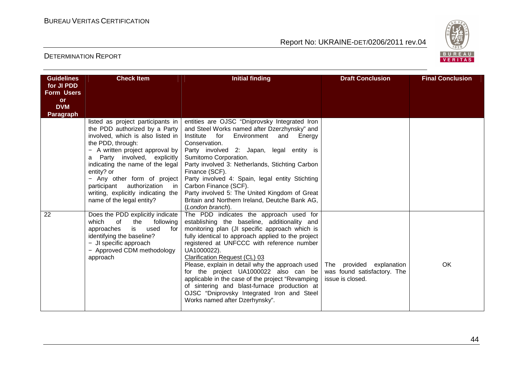

| <b>Guidelines</b><br>for JI PDD<br><b>Form Users</b><br><b>or</b><br><b>DVM</b><br>Paragraph | <b>Check Item</b>                                                                                                                                                                                                                                                                                                                                                                              | <b>Initial finding</b>                                                                                                                                                                                                                                                                                                                                                                                                                                                                                                                                                        | <b>Draft Conclusion</b>                                                     | <b>Final Conclusion</b> |
|----------------------------------------------------------------------------------------------|------------------------------------------------------------------------------------------------------------------------------------------------------------------------------------------------------------------------------------------------------------------------------------------------------------------------------------------------------------------------------------------------|-------------------------------------------------------------------------------------------------------------------------------------------------------------------------------------------------------------------------------------------------------------------------------------------------------------------------------------------------------------------------------------------------------------------------------------------------------------------------------------------------------------------------------------------------------------------------------|-----------------------------------------------------------------------------|-------------------------|
|                                                                                              | listed as project participants in<br>the PDD authorized by a Party<br>involved, which is also listed in<br>the PDD, through:<br>- A written project approval by<br>Party involved, explicitly<br>a<br>indicating the name of the legal<br>entity? or<br>- Any other form of project<br>participant<br>authorization<br>in l<br>writing, explicitly indicating the<br>name of the legal entity? | entities are OJSC "Dniprovsky Integrated Iron<br>and Steel Works named after Dzerzhynsky" and<br>Institute<br>for<br>Environment<br>and<br>Energy<br>Conservation.<br>Party involved 2: Japan, legal entity is<br>Sumitomo Corporation.<br>Party involved 3: Netherlands, Stichting Carbon<br>Finance (SCF).<br>Party involved 4: Spain, legal entity Stichting<br>Carbon Finance (SCF).<br>Party involved 5: The United Kingdom of Great<br>Britain and Northern Ireland, Deutche Bank AG,<br>(London branch).                                                               |                                                                             |                         |
| 22                                                                                           | Does the PDD explicitly indicate<br>which<br>0f<br>the<br>following<br>approaches<br>used<br>is<br>for<br>identifying the baseline?<br>- JI specific approach<br>- Approved CDM methodology<br>approach                                                                                                                                                                                        | The PDD indicates the approach used for<br>establishing the baseline, additionality and<br>monitoring plan (JI specific approach which is<br>fully identical to approach applied to the project<br>registered at UNFCCC with reference number<br>UA1000022).<br>Clarification Request (CL) 03<br>Please, explain in detail why the approach used<br>for the project UA1000022 also can be<br>applicable in the case of the project "Revamping<br>of sintering and blast-furnace production at<br>OJSC "Dniprovsky Integrated Iron and Steel<br>Works named after Dzerhynsky". | The provided explanation<br>was found satisfactory. The<br>issue is closed. | OK                      |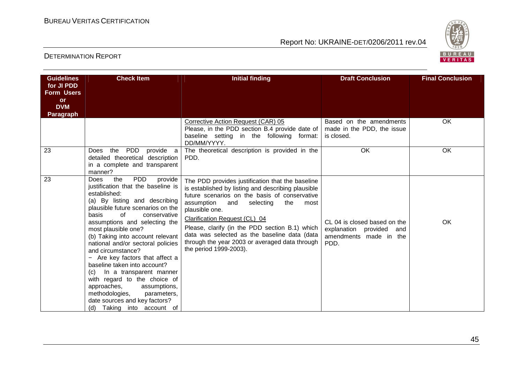

| <b>Guidelines</b><br>for JI PDD<br><b>Form Users</b><br><b>or</b><br><b>DVM</b><br><b>Paragraph</b> | <b>Check Item</b>                                                                                                                                                                                                                                                                                                                                                                                                                                                                                                                                                                                                                | <b>Initial finding</b>                                                                                                                                                                                                                                                                                                                                                                                                                    | <b>Draft Conclusion</b>                                                                       | <b>Final Conclusion</b> |
|-----------------------------------------------------------------------------------------------------|----------------------------------------------------------------------------------------------------------------------------------------------------------------------------------------------------------------------------------------------------------------------------------------------------------------------------------------------------------------------------------------------------------------------------------------------------------------------------------------------------------------------------------------------------------------------------------------------------------------------------------|-------------------------------------------------------------------------------------------------------------------------------------------------------------------------------------------------------------------------------------------------------------------------------------------------------------------------------------------------------------------------------------------------------------------------------------------|-----------------------------------------------------------------------------------------------|-------------------------|
|                                                                                                     |                                                                                                                                                                                                                                                                                                                                                                                                                                                                                                                                                                                                                                  | Corrective Action Request (CAR) 05<br>Please, in the PDD section B.4 provide date of<br>baseline setting in the following format:<br>DD/MM/YYYY.                                                                                                                                                                                                                                                                                          | Based on the amendments<br>made in the PDD, the issue<br>is closed.                           | OK.                     |
| 23                                                                                                  | PDD<br>provide a<br>the<br>Does<br>detailed theoretical description<br>in a complete and transparent<br>manner?                                                                                                                                                                                                                                                                                                                                                                                                                                                                                                                  | The theoretical description is provided in the<br>PDD.                                                                                                                                                                                                                                                                                                                                                                                    | <b>OK</b>                                                                                     | OK                      |
| 23                                                                                                  | <b>PDD</b><br>the<br><b>Does</b><br>provide<br>justification that the baseline is<br>established:<br>(a) By listing and describing<br>plausible future scenarios on the<br>basis<br>0f<br>conservative<br>assumptions and selecting the<br>most plausible one?<br>(b) Taking into account relevant<br>national and/or sectoral policies<br>and circumstance?<br>- Are key factors that affect a<br>baseline taken into account?<br>In a transparent manner<br>(C)<br>with regard to the choice of<br>approaches,<br>assumptions,<br>methodologies,<br>parameters,<br>date sources and key factors?<br>(d) Taking into account of | The PDD provides justification that the baseline<br>is established by listing and describing plausible<br>future scenarios on the basis of conservative<br>assumption<br>the<br>and<br>selecting<br>most<br>plausible one.<br>Clarification Request (CL) 04<br>Please, clarify (in the PDD section B.1) which<br>data was selected as the baseline data (data<br>through the year 2003 or averaged data through<br>the period 1999-2003). | CL 04 is closed based on the<br>explanation<br>provided and<br>amendments made in the<br>PDD. | OK                      |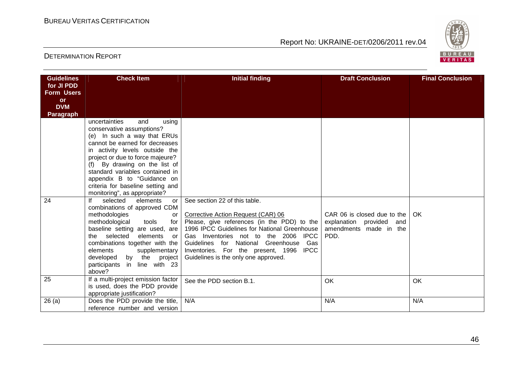

| <b>Guidelines</b>               | <b>Check Item</b>                                                          | <b>Initial finding</b>                                                               | <b>Draft Conclusion</b>        | <b>Final Conclusion</b> |
|---------------------------------|----------------------------------------------------------------------------|--------------------------------------------------------------------------------------|--------------------------------|-------------------------|
| for JI PDD<br><b>Form Users</b> |                                                                            |                                                                                      |                                |                         |
| <b>or</b>                       |                                                                            |                                                                                      |                                |                         |
| <b>DVM</b>                      |                                                                            |                                                                                      |                                |                         |
| <b>Paragraph</b>                |                                                                            |                                                                                      |                                |                         |
|                                 | uncertainties<br>using<br>and                                              |                                                                                      |                                |                         |
|                                 | conservative assumptions?                                                  |                                                                                      |                                |                         |
|                                 | (e) In such a way that ERUs                                                |                                                                                      |                                |                         |
|                                 | cannot be earned for decreases                                             |                                                                                      |                                |                         |
|                                 | in activity levels outside the<br>project or due to force majeure?         |                                                                                      |                                |                         |
|                                 | By drawing on the list of                                                  |                                                                                      |                                |                         |
|                                 | standard variables contained in                                            |                                                                                      |                                |                         |
|                                 | appendix B to "Guidance on                                                 |                                                                                      |                                |                         |
|                                 | criteria for baseline setting and                                          |                                                                                      |                                |                         |
|                                 | monitoring", as appropriate?                                               |                                                                                      |                                |                         |
| 24                              | selected<br>elements<br>lf<br>or                                           | See section 22 of this table.                                                        |                                |                         |
|                                 | combinations of approved CDM                                               |                                                                                      |                                |                         |
|                                 | methodologies<br>or                                                        | Corrective Action Request (CAR) 06                                                   | CAR 06 is closed due to the    | OK.                     |
|                                 | methodological<br>tools<br>for I                                           | Please, give references (in the PDD) to the                                          | explanation provided and       |                         |
|                                 | baseline setting are used, are<br>selected<br>elements<br>the<br><b>or</b> | 1996 IPCC Guidelines for National Greenhouse<br>Gas Inventories not to the 2006 IPCC | amendments made in the<br>PDD. |                         |
|                                 | combinations together with the                                             | Guidelines for National Greenhouse Gas                                               |                                |                         |
|                                 | elements<br>supplementary                                                  | Inventories. For the present, 1996 IPCC                                              |                                |                         |
|                                 | by the project<br>developed                                                | Guidelines is the only one approved.                                                 |                                |                         |
|                                 | participants in line with 23                                               |                                                                                      |                                |                         |
|                                 | above?                                                                     |                                                                                      |                                |                         |
| 25                              | If a multi-project emission factor                                         | See the PDD section B.1.                                                             | OK                             | OK                      |
|                                 | is used, does the PDD provide                                              |                                                                                      |                                |                         |
|                                 | appropriate justification?                                                 |                                                                                      |                                |                         |
| 26(a)                           | Does the PDD provide the title,                                            | N/A                                                                                  | N/A                            | N/A                     |
|                                 | reference number and version                                               |                                                                                      |                                |                         |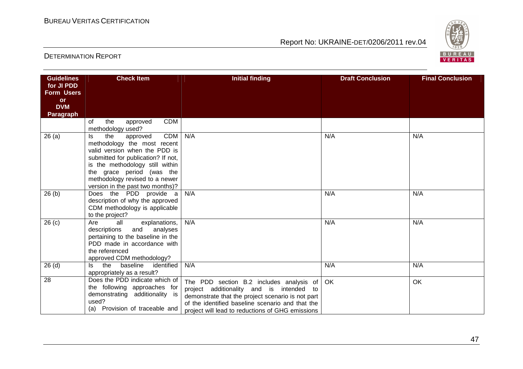

| <b>Guidelines</b>       | <b>Check Item</b>                                                 | <b>Initial finding</b>                            | <b>Draft Conclusion</b> | <b>Final Conclusion</b> |
|-------------------------|-------------------------------------------------------------------|---------------------------------------------------|-------------------------|-------------------------|
| for JI PDD              |                                                                   |                                                   |                         |                         |
| <b>Form Users</b>       |                                                                   |                                                   |                         |                         |
| <b>or</b><br><b>DVM</b> |                                                                   |                                                   |                         |                         |
| <b>Paragraph</b>        |                                                                   |                                                   |                         |                         |
|                         | <b>CDM</b><br>the<br>of<br>approved                               |                                                   |                         |                         |
|                         | methodology used?                                                 |                                                   |                         |                         |
| 26(a)                   | <b>CDM</b><br>the<br>approved<br>ls.                              | N/A                                               | N/A                     | N/A                     |
|                         | methodology the most recent                                       |                                                   |                         |                         |
|                         | valid version when the PDD is                                     |                                                   |                         |                         |
|                         | submitted for publication? If not,                                |                                                   |                         |                         |
|                         | is the methodology still within<br>the grace period (was the      |                                                   |                         |                         |
|                         | methodology revised to a newer                                    |                                                   |                         |                         |
|                         | version in the past two months)?                                  |                                                   |                         |                         |
| 26(b)                   | Does the PDD provide a                                            | N/A                                               | N/A                     | N/A                     |
|                         | description of why the approved                                   |                                                   |                         |                         |
|                         | CDM methodology is applicable                                     |                                                   |                         |                         |
|                         | to the project?                                                   |                                                   |                         |                         |
| 26(c)                   | explanations,<br>Are<br>all                                       | N/A                                               | N/A                     | N/A                     |
|                         | and analyses<br>descriptions<br>pertaining to the baseline in the |                                                   |                         |                         |
|                         | PDD made in accordance with                                       |                                                   |                         |                         |
|                         | the referenced                                                    |                                                   |                         |                         |
|                         | approved CDM methodology?                                         |                                                   |                         |                         |
| 26(d)                   | baseline<br>the<br>identified<br>ls.                              | N/A                                               | N/A                     | N/A                     |
|                         | appropriately as a result?                                        |                                                   |                         |                         |
| 28                      | Does the PDD indicate which of                                    | The PDD section B.2 includes analysis of          | OK                      | <b>OK</b>               |
|                         | the following approaches for                                      | project additionality and is intended to          |                         |                         |
|                         | demonstrating additionality is                                    | demonstrate that the project scenario is not part |                         |                         |
|                         | used?<br>(a) Provision of traceable and                           | of the identified baseline scenario and that the  |                         |                         |
|                         |                                                                   | project will lead to reductions of GHG emissions  |                         |                         |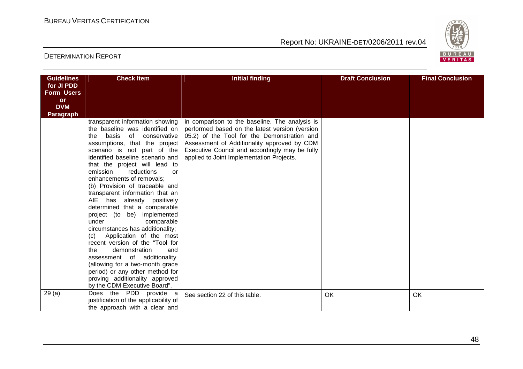

| <b>Guidelines</b>              | <b>Check Item</b>                                                                                                                                                                                                                                                                                                                                                                                                                                                                                                                                                                                                                                                                                                                                                                                            | <b>Initial finding</b>                                                                                                                                                                                                                                                                        | <b>Draft Conclusion</b> | <b>Final Conclusion</b> |
|--------------------------------|--------------------------------------------------------------------------------------------------------------------------------------------------------------------------------------------------------------------------------------------------------------------------------------------------------------------------------------------------------------------------------------------------------------------------------------------------------------------------------------------------------------------------------------------------------------------------------------------------------------------------------------------------------------------------------------------------------------------------------------------------------------------------------------------------------------|-----------------------------------------------------------------------------------------------------------------------------------------------------------------------------------------------------------------------------------------------------------------------------------------------|-------------------------|-------------------------|
| for JI PDD                     |                                                                                                                                                                                                                                                                                                                                                                                                                                                                                                                                                                                                                                                                                                                                                                                                              |                                                                                                                                                                                                                                                                                               |                         |                         |
| <b>Form Users</b><br><b>or</b> |                                                                                                                                                                                                                                                                                                                                                                                                                                                                                                                                                                                                                                                                                                                                                                                                              |                                                                                                                                                                                                                                                                                               |                         |                         |
| <b>DVM</b>                     |                                                                                                                                                                                                                                                                                                                                                                                                                                                                                                                                                                                                                                                                                                                                                                                                              |                                                                                                                                                                                                                                                                                               |                         |                         |
| Paragraph                      |                                                                                                                                                                                                                                                                                                                                                                                                                                                                                                                                                                                                                                                                                                                                                                                                              |                                                                                                                                                                                                                                                                                               |                         |                         |
|                                | transparent information showing<br>the baseline was identified on<br>basis of conservative<br>the<br>assumptions, that the project<br>scenario is not part of the<br>identified baseline scenario and<br>that the project will lead to<br>emission<br>reductions<br>or<br>enhancements of removals;<br>(b) Provision of traceable and<br>transparent information that an<br>AIE has already positively<br>determined that a comparable<br>project (to be) implemented<br>under<br>comparable<br>circumstances has additionality;<br>Application of the most<br>(c)<br>recent version of the "Tool for<br>demonstration<br>the<br>and<br>assessment of additionality.<br>(allowing for a two-month grace<br>period) or any other method for<br>proving additionality approved<br>by the CDM Executive Board". | in comparison to the baseline. The analysis is<br>performed based on the latest version (version<br>05.2) of the Tool for the Demonstration and<br>Assessment of Additionality approved by CDM<br>Executive Council and accordingly may be fully<br>applied to Joint Implementation Projects. |                         |                         |
| 29(a)                          | Does the PDD provide a<br>justification of the applicability of<br>the approach with a clear and                                                                                                                                                                                                                                                                                                                                                                                                                                                                                                                                                                                                                                                                                                             | See section 22 of this table.                                                                                                                                                                                                                                                                 | OK                      | OK                      |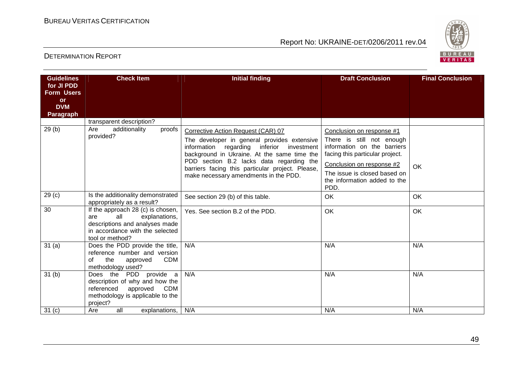

| <b>Guidelines</b><br>for JI PDD<br><b>Form Users</b> | <b>Check Item</b>                                                                                                                                        | <b>Initial finding</b>                                                                                                                                                           | <b>Draft Conclusion</b>                                                                                                  | <b>Final Conclusion</b> |
|------------------------------------------------------|----------------------------------------------------------------------------------------------------------------------------------------------------------|----------------------------------------------------------------------------------------------------------------------------------------------------------------------------------|--------------------------------------------------------------------------------------------------------------------------|-------------------------|
| <b>or</b><br><b>DVM</b><br><b>Paragraph</b>          |                                                                                                                                                          |                                                                                                                                                                                  |                                                                                                                          |                         |
|                                                      | transparent description?                                                                                                                                 |                                                                                                                                                                                  |                                                                                                                          |                         |
| 29(b)                                                | additionality<br>Are<br>proofs<br>provided?                                                                                                              | Corrective Action Request (CAR) 07<br>The developer in general provides extensive<br>information regarding inferior<br>investment<br>background in Ukraine. At the same time the | Conclusion on response #1<br>There is still not enough<br>information on the barriers<br>facing this particular project. |                         |
|                                                      |                                                                                                                                                          | PDD section B.2 lacks data regarding the<br>barriers facing this particular project. Please,<br>make necessary amendments in the PDD.                                            | Conclusion on response #2<br>The issue is closed based on<br>the information added to the<br>PDD.                        | OK                      |
| 29 <sub>(c)</sub>                                    | Is the additionality demonstrated<br>appropriately as a result?                                                                                          | See section 29 (b) of this table.                                                                                                                                                | OK                                                                                                                       | OK                      |
| 30                                                   | If the approach 28 (c) is chosen,<br>all<br>are<br>explanations,<br>descriptions and analyses made<br>in accordance with the selected<br>tool or method? | Yes. See section B.2 of the PDD.                                                                                                                                                 | OK                                                                                                                       | OK                      |
| 31(a)                                                | Does the PDD provide the title,<br>reference number and version<br>the<br><b>CDM</b><br>approved<br>οf<br>methodology used?                              | N/A                                                                                                                                                                              | N/A                                                                                                                      | N/A                     |
| 31 <sub>(b)</sub>                                    | Does the PDD provide a<br>description of why and how the<br><b>CDM</b><br>referenced<br>approved<br>methodology is applicable to the<br>project?         | N/A                                                                                                                                                                              | N/A                                                                                                                      | N/A                     |
| 31 <sub>(c)</sub>                                    | all<br>Are<br>explanations,                                                                                                                              | N/A                                                                                                                                                                              | N/A                                                                                                                      | N/A                     |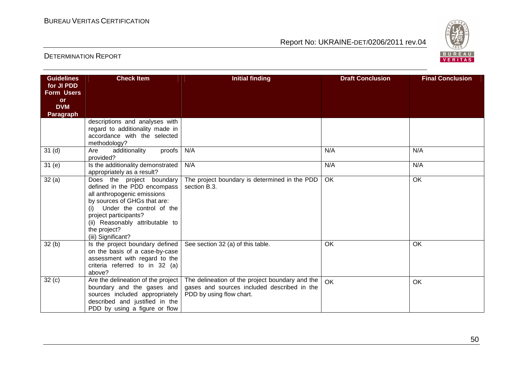

| <b>Guidelines</b>       | <b>Check Item</b>                                                                                                                                                                                                                                             | <b>Initial finding</b>                                                                                                     | <b>Draft Conclusion</b> | <b>Final Conclusion</b> |
|-------------------------|---------------------------------------------------------------------------------------------------------------------------------------------------------------------------------------------------------------------------------------------------------------|----------------------------------------------------------------------------------------------------------------------------|-------------------------|-------------------------|
| for JI PDD              |                                                                                                                                                                                                                                                               |                                                                                                                            |                         |                         |
| <b>Form Users</b>       |                                                                                                                                                                                                                                                               |                                                                                                                            |                         |                         |
| <b>or</b><br><b>DVM</b> |                                                                                                                                                                                                                                                               |                                                                                                                            |                         |                         |
| <b>Paragraph</b>        |                                                                                                                                                                                                                                                               |                                                                                                                            |                         |                         |
|                         | descriptions and analyses with<br>regard to additionality made in<br>accordance with the selected<br>methodology?                                                                                                                                             |                                                                                                                            |                         |                         |
| 31 <sub>(d)</sub>       | proofs<br>additionality<br>Are<br>provided?                                                                                                                                                                                                                   | N/A                                                                                                                        | N/A                     | N/A                     |
| 31(e)                   | Is the additionality demonstrated<br>appropriately as a result?                                                                                                                                                                                               | N/A                                                                                                                        | N/A                     | N/A                     |
| 32(a)                   | Does the project boundary<br>defined in the PDD encompass<br>all anthropogenic emissions<br>by sources of GHGs that are:<br>Under the control of the<br>(i)<br>project participants?<br>(ii) Reasonably attributable to<br>the project?<br>(iii) Significant? | The project boundary is determined in the PDD<br>section B.3.                                                              | OK                      | $\overline{OK}$         |
| 32(b)                   | Is the project boundary defined<br>on the basis of a case-by-case<br>assessment with regard to the<br>criteria referred to in 32 (a)<br>above?                                                                                                                | See section 32 (a) of this table.                                                                                          | OK                      | <b>OK</b>               |
| 32(c)                   | Are the delineation of the project<br>boundary and the gases and<br>sources included appropriately<br>described and justified in the<br>PDD by using a figure or flow                                                                                         | The delineation of the project boundary and the<br>gases and sources included described in the<br>PDD by using flow chart. | OK                      | <b>OK</b>               |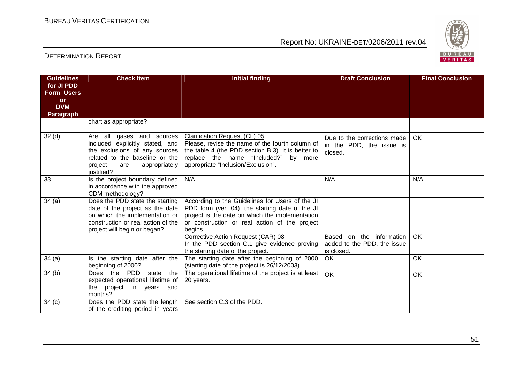

| <b>Guidelines</b>       | <b>Check Item</b>                                                                                                                                                                | <b>Initial finding</b>                                                                                                                                                                                                                                                                                                                       | <b>Draft Conclusion</b>                                               | <b>Final Conclusion</b> |
|-------------------------|----------------------------------------------------------------------------------------------------------------------------------------------------------------------------------|----------------------------------------------------------------------------------------------------------------------------------------------------------------------------------------------------------------------------------------------------------------------------------------------------------------------------------------------|-----------------------------------------------------------------------|-------------------------|
| for JI PDD              |                                                                                                                                                                                  |                                                                                                                                                                                                                                                                                                                                              |                                                                       |                         |
| <b>Form Users</b>       |                                                                                                                                                                                  |                                                                                                                                                                                                                                                                                                                                              |                                                                       |                         |
| <b>or</b><br><b>DVM</b> |                                                                                                                                                                                  |                                                                                                                                                                                                                                                                                                                                              |                                                                       |                         |
| <b>Paragraph</b>        |                                                                                                                                                                                  |                                                                                                                                                                                                                                                                                                                                              |                                                                       |                         |
|                         | chart as appropriate?                                                                                                                                                            |                                                                                                                                                                                                                                                                                                                                              |                                                                       |                         |
| 32 <sub>(d)</sub>       | Are all gases and sources<br>included explicitly stated, and<br>the exclusions of any sources<br>related to the baseline or the<br>project<br>appropriately<br>are<br>justified? | Clarification Request (CL) 05<br>Please, revise the name of the fourth column of<br>the table 4 (the PDD section B.3). It is better to<br>replace the name "Included?" by more<br>appropriate "Inclusion/Exclusion".                                                                                                                         | Due to the corrections made<br>in the PDD, the issue is<br>closed.    | <b>OK</b>               |
| 33                      | Is the project boundary defined<br>in accordance with the approved<br>CDM methodology?                                                                                           | N/A                                                                                                                                                                                                                                                                                                                                          | N/A                                                                   | N/A                     |
| 34(a)                   | Does the PDD state the starting<br>date of the project as the date<br>on which the implementation or<br>construction or real action of the<br>project will begin or began?       | According to the Guidelines for Users of the JI<br>PDD form (ver. 04), the starting date of the JI<br>project is the date on which the implementation<br>or construction or real action of the project<br>begins.<br>Corrective Action Request (CAR) 08<br>In the PDD section C.1 give evidence proving<br>the starting date of the project. | Based on the information<br>added to the PDD, the issue<br>is closed. | OK                      |
| 34(a)                   | Is the starting date after the<br>beginning of 2000?                                                                                                                             | The starting date after the beginning of 2000<br>(starting date of the project is 26/12/2003).                                                                                                                                                                                                                                               | OK                                                                    | <b>OK</b>               |
| 34(b)                   | Does the PDD<br>state<br>the<br>expected operational lifetime of<br>the project in years and<br>months?                                                                          | The operational lifetime of the project is at least<br>20 years.                                                                                                                                                                                                                                                                             | OK                                                                    | OK                      |
| 34(c)                   | Does the PDD state the length  <br>of the crediting period in years                                                                                                              | See section C.3 of the PDD.                                                                                                                                                                                                                                                                                                                  |                                                                       |                         |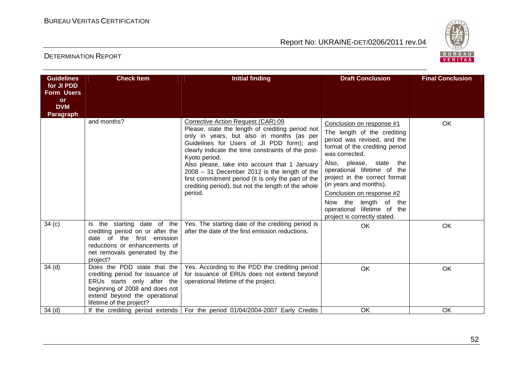

| <b>Guidelines</b><br>for JI PDD<br><b>Form Users</b> | <b>Check Item</b>                                                                                                                                                                            | <b>Initial finding</b>                                                                                                                                                                                                                                                                                                                                                                                                                                                             | <b>Draft Conclusion</b>                                                                                                                                                                                                                                                                                                                                                                           | <b>Final Conclusion</b> |
|------------------------------------------------------|----------------------------------------------------------------------------------------------------------------------------------------------------------------------------------------------|------------------------------------------------------------------------------------------------------------------------------------------------------------------------------------------------------------------------------------------------------------------------------------------------------------------------------------------------------------------------------------------------------------------------------------------------------------------------------------|---------------------------------------------------------------------------------------------------------------------------------------------------------------------------------------------------------------------------------------------------------------------------------------------------------------------------------------------------------------------------------------------------|-------------------------|
| <b>or</b><br><b>DVM</b><br><b>Paragraph</b>          |                                                                                                                                                                                              |                                                                                                                                                                                                                                                                                                                                                                                                                                                                                    |                                                                                                                                                                                                                                                                                                                                                                                                   |                         |
|                                                      | and months?                                                                                                                                                                                  | Corrective Action Request (CAR) 09<br>Please, state the length of crediting period not<br>only in years, but also in months (as per<br>Guidelines for Users of JI PDD form); and<br>clearly indicate the time constraints of the post-<br>Kyoto period.<br>Also please, take into account that 1 January<br>$2008 - 31$ December 2012 is the length of the<br>first commitment period (it is only the part of the<br>crediting period), but not the length of the whole<br>period. | Conclusion on response #1<br>The length of the crediting<br>period was revised, and the<br>format of the crediting period<br>was corrected.<br>Also, please,<br>state<br>the<br>operational lifetime of the<br>project in the correct format<br>(in years and months).<br>Conclusion on response #2<br>Now the<br>length of<br>the<br>operational lifetime of the<br>project is correctly stated. | <b>OK</b>               |
| 34(c)                                                | the starting date of the<br>ls.<br>crediting period on or after the<br>date of the first emission<br>reductions or enhancements of<br>net removals generated by the<br>project?              | Yes. The starting date of the crediting period is<br>after the date of the first emission reductions.                                                                                                                                                                                                                                                                                                                                                                              | OK                                                                                                                                                                                                                                                                                                                                                                                                | OK                      |
| 34 <sub>(d)</sub>                                    | Does the PDD state that the<br>crediting period for issuance of<br>ERUs starts only after the<br>beginning of 2008 and does not<br>extend beyond the operational<br>lifetime of the project? | Yes. According to the PDD the crediting period<br>for issuance of ERUs does not extend beyond<br>operational lifetime of the project.                                                                                                                                                                                                                                                                                                                                              | OK                                                                                                                                                                                                                                                                                                                                                                                                | OK                      |
| 34(d)                                                |                                                                                                                                                                                              | If the crediting period extends   For the period 01/04/2004-2007 Early Credits                                                                                                                                                                                                                                                                                                                                                                                                     | <b>OK</b>                                                                                                                                                                                                                                                                                                                                                                                         | OK                      |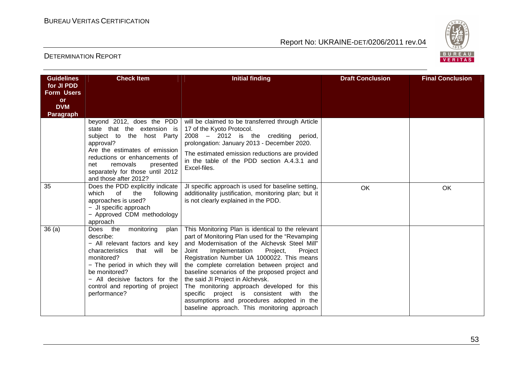

| <b>Guidelines</b><br>for JI PDD<br><b>Form Users</b><br><b>or</b><br><b>DVM</b><br><b>Paragraph</b> | <b>Check Item</b>                                                                                                                                                                                                                                                       | <b>Initial finding</b>                                                                                                                                                                                                                                                                                                                                                                                                                                                                                                                                                              | <b>Draft Conclusion</b> | <b>Final Conclusion</b> |
|-----------------------------------------------------------------------------------------------------|-------------------------------------------------------------------------------------------------------------------------------------------------------------------------------------------------------------------------------------------------------------------------|-------------------------------------------------------------------------------------------------------------------------------------------------------------------------------------------------------------------------------------------------------------------------------------------------------------------------------------------------------------------------------------------------------------------------------------------------------------------------------------------------------------------------------------------------------------------------------------|-------------------------|-------------------------|
|                                                                                                     | beyond 2012, does the PDD<br>state that the extension is<br>subject to the host Party<br>approval?<br>Are the estimates of emission<br>reductions or enhancements of<br>removals<br>presented<br>net<br>separately for those until 2012<br>and those after 2012?        | will be claimed to be transferred through Article<br>17 of the Kyoto Protocol.<br>2008 - 2012 is the crediting period,<br>prolongation: January 2013 - December 2020.<br>The estimated emission reductions are provided<br>in the table of the PDD section A.4.3.1 and<br>Excel-files.                                                                                                                                                                                                                                                                                              |                         |                         |
| 35                                                                                                  | Does the PDD explicitly indicate<br>which<br>of<br>the<br>following<br>approaches is used?<br>- JI specific approach<br>- Approved CDM methodology<br>approach                                                                                                          | JI specific approach is used for baseline setting,<br>additionality justification, monitoring plan; but it<br>is not clearly explained in the PDD.                                                                                                                                                                                                                                                                                                                                                                                                                                  | <b>OK</b>               | OK                      |
| 36(a)                                                                                               | Does the<br>monitoring<br>plan<br>describe:<br>- All relevant factors and key<br>characteristics that will be<br>monitored?<br>- The period in which they will<br>be monitored?<br>$-$ All decisive factors for the<br>control and reporting of project<br>performance? | This Monitoring Plan is identical to the relevant<br>part of Monitoring Plan used for the "Revamping<br>and Modernisation of the Alchevsk Steel Mill"<br>Joint<br>Implementation<br>Project,<br>Project<br>Registration Number UA 1000022. This means<br>the complete correlation between project and<br>baseline scenarios of the proposed project and<br>the said JI Project in Alchevsk.<br>The monitoring approach developed for this<br>specific project is consistent with<br>the<br>assumptions and procedures adopted in the<br>baseline approach. This monitoring approach |                         |                         |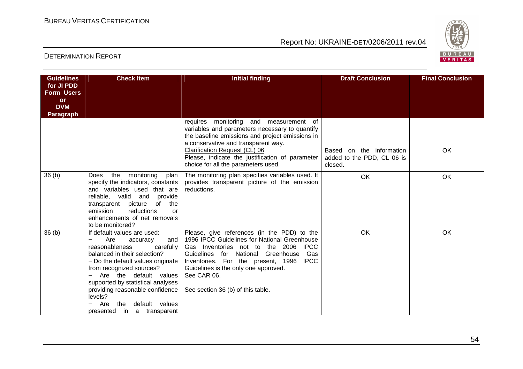

| <b>Guidelines</b><br>for JI PDD<br><b>Form Users</b><br>or<br><b>DVM</b><br>Paragraph | <b>Check Item</b>                                                                                                                                                                                                                                                                                                                                                  | <b>Initial finding</b>                                                                                                                                                                                                                                                                                                                      | <b>Draft Conclusion</b>                                           | <b>Final Conclusion</b> |
|---------------------------------------------------------------------------------------|--------------------------------------------------------------------------------------------------------------------------------------------------------------------------------------------------------------------------------------------------------------------------------------------------------------------------------------------------------------------|---------------------------------------------------------------------------------------------------------------------------------------------------------------------------------------------------------------------------------------------------------------------------------------------------------------------------------------------|-------------------------------------------------------------------|-------------------------|
|                                                                                       |                                                                                                                                                                                                                                                                                                                                                                    | requires monitoring and measurement of<br>variables and parameters necessary to quantify<br>the baseline emissions and project emissions in<br>a conservative and transparent way.<br>Clarification Request (CL) 06<br>Please, indicate the justification of parameter<br>choice for all the parameters used.                               | Based on the information<br>added to the PDD, CL 06 is<br>closed. | OK                      |
| 36(b)                                                                                 | monitoring<br>Does<br>the<br>plan<br>specify the indicators, constants<br>and variables used that are<br>reliable, valid<br>and<br>provide<br>transparent picture<br>of<br>the<br>emission<br>reductions<br>or<br>enhancements of net removals<br>to be monitored?                                                                                                 | The monitoring plan specifies variables used. It<br>provides transparent picture of the emission<br>reductions.                                                                                                                                                                                                                             | OK                                                                | OK                      |
| 36(b)                                                                                 | If default values are used:<br>Are<br>and  <br>accuracy<br>reasonableness<br>carefully<br>balanced in their selection?<br>- Do the default values originate<br>from recognized sources?<br>Are the default values<br>supported by statistical analyses<br>providing reasonable confidence<br>levels?<br>default values<br>Are<br>the<br>presented in a transparent | Please, give references (in the PDD) to the<br>1996 IPCC Guidelines for National Greenhouse<br>Gas Inventories not to the 2006<br><b>IPCC</b><br>Guidelines for National Greenhouse<br>Gas<br><b>IPCC</b><br>Inventories. For the present, 1996<br>Guidelines is the only one approved.<br>See CAR 06.<br>See section 36 (b) of this table. | OK                                                                | OK                      |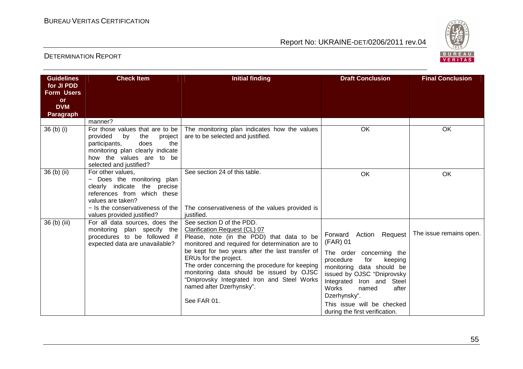

| <b>Guidelines</b><br>for JI PDD<br><b>Form Users</b><br>or<br><b>DVM</b><br><b>Paragraph</b> | <b>Check Item</b>                                                                                                                                                                                                                | <b>Initial finding</b>                                                                                                                                                                                                                                                                                                                                                                                                          | <b>Draft Conclusion</b>                                                                                                                                                                                                                                                                                 | <b>Final Conclusion</b> |
|----------------------------------------------------------------------------------------------|----------------------------------------------------------------------------------------------------------------------------------------------------------------------------------------------------------------------------------|---------------------------------------------------------------------------------------------------------------------------------------------------------------------------------------------------------------------------------------------------------------------------------------------------------------------------------------------------------------------------------------------------------------------------------|---------------------------------------------------------------------------------------------------------------------------------------------------------------------------------------------------------------------------------------------------------------------------------------------------------|-------------------------|
|                                                                                              | manner?                                                                                                                                                                                                                          |                                                                                                                                                                                                                                                                                                                                                                                                                                 |                                                                                                                                                                                                                                                                                                         |                         |
| 36 (b) (i)                                                                                   | For those values that are to be<br>provided<br>the<br>project<br>by<br>participants,<br>does<br>the<br>monitoring plan clearly indicate<br>how the values are to be<br>selected and justified?                                   | The monitoring plan indicates how the values<br>are to be selected and justified.                                                                                                                                                                                                                                                                                                                                               | OK                                                                                                                                                                                                                                                                                                      | OK                      |
| 36 (b) (ii)                                                                                  | For other values,<br>- Does the monitoring plan<br>clearly indicate the precise<br>references from which these<br>values are taken?<br>$-$ Is the conservativeness of the $\overline{\phantom{a}}$<br>values provided justified? | See section 24 of this table.<br>The conservativeness of the values provided is<br>justified.                                                                                                                                                                                                                                                                                                                                   | OK                                                                                                                                                                                                                                                                                                      | OK                      |
| 36 (b) (iii)                                                                                 | For all data sources, does the<br>monitoring plan specify the<br>procedures to be followed if<br>expected data are unavailable?                                                                                                  | See section D of the PDD.<br>Clarification Request (CL) 07<br>Please, note (in the PDD) that data to be<br>monitored and required for determination are to<br>be kept for two years after the last transfer of<br>ERUs for the project.<br>The order concerning the procedure for keeping<br>monitoring data should be issued by OJSC<br>"Dniprovsky Integrated Iron and Steel Works<br>named after Dzerhynsky".<br>See FAR 01. | Forward Action Request<br>(FAR) 01<br>The order concerning the<br>procedure<br>for<br>keeping<br>monitoring data should be<br>issued by OJSC "Dniprovsky<br>Integrated Iron and Steel<br><b>Works</b><br>after<br>named<br>Dzerhynsky".<br>This issue will be checked<br>during the first verification. | The issue remains open. |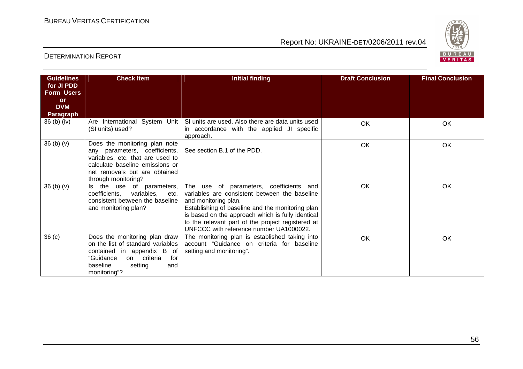

| <b>Guidelines</b>                            | <b>Check Item</b>                                                                                                                                                                             | <b>Initial finding</b>                                                                                                                                                                                                                                                                                                    | <b>Draft Conclusion</b> | <b>Final Conclusion</b> |
|----------------------------------------------|-----------------------------------------------------------------------------------------------------------------------------------------------------------------------------------------------|---------------------------------------------------------------------------------------------------------------------------------------------------------------------------------------------------------------------------------------------------------------------------------------------------------------------------|-------------------------|-------------------------|
| for JI PDD<br><b>Form Users</b><br><b>or</b> |                                                                                                                                                                                               |                                                                                                                                                                                                                                                                                                                           |                         |                         |
| <b>DVM</b><br><b>Paragraph</b>               |                                                                                                                                                                                               |                                                                                                                                                                                                                                                                                                                           |                         |                         |
| 36 (b) (iv)                                  | Are International System Unit<br>(SI units) used?                                                                                                                                             | SI units are used. Also there are data units used<br>in accordance with the applied JI specific<br>approach.                                                                                                                                                                                                              | OK                      | OK                      |
| 36(b)(v)                                     | Does the monitoring plan note<br>any parameters, coefficients,<br>variables, etc. that are used to<br>calculate baseline emissions or<br>net removals but are obtained<br>through monitoring? | See section B.1 of the PDD.                                                                                                                                                                                                                                                                                               | OK                      | OK                      |
| 36(b)(v)                                     | the use of parameters,<br>ls l<br>coefficients,<br>variables,<br>etc.<br>consistent between the baseline<br>and monitoring plan?                                                              | The use of parameters, coefficients and<br>variables are consistent between the baseline<br>and monitoring plan.<br>Establishing of baseline and the monitoring plan<br>is based on the approach which is fully identical<br>to the relevant part of the project registered at<br>UNFCCC with reference number UA1000022. | OK                      | OK                      |
| 36 <sub>(c)</sub>                            | Does the monitoring plan draw<br>on the list of standard variables<br>contained in appendix B of<br>"Guidance<br>on criteria<br>for<br>baseline<br>setting<br>and<br>monitoring"?             | The monitoring plan is established taking into<br>account "Guidance on criteria for baseline<br>setting and monitoring".                                                                                                                                                                                                  | OK                      | OK                      |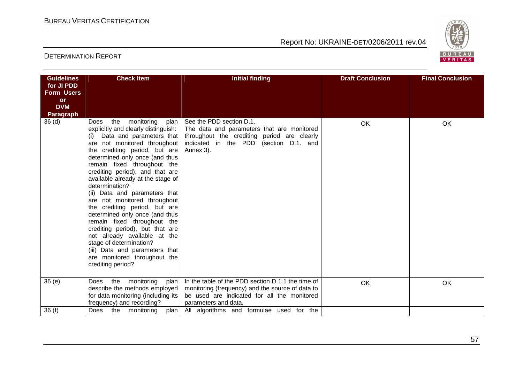

| <b>Guidelines</b><br>for JI PDD<br><b>Form Users</b><br><b>or</b><br><b>DVM</b><br>Paragraph | <b>Check Item</b>                                                                                                                                                                                                                                                                                                                                                                                                                                                                                                                                                                                                                                                             | <b>Initial finding</b>                                                                                                                                                              | <b>Draft Conclusion</b> | <b>Final Conclusion</b> |
|----------------------------------------------------------------------------------------------|-------------------------------------------------------------------------------------------------------------------------------------------------------------------------------------------------------------------------------------------------------------------------------------------------------------------------------------------------------------------------------------------------------------------------------------------------------------------------------------------------------------------------------------------------------------------------------------------------------------------------------------------------------------------------------|-------------------------------------------------------------------------------------------------------------------------------------------------------------------------------------|-------------------------|-------------------------|
| 36 <sub>(d)</sub>                                                                            | the monitoring<br>Does<br>explicitly and clearly distinguish:<br>Data and parameters that<br>are not monitored throughout<br>the crediting period, but are<br>determined only once (and thus<br>remain fixed throughout the<br>crediting period), and that are<br>available already at the stage of<br>determination?<br>(ii) Data and parameters that<br>are not monitored throughout<br>the crediting period, but are<br>determined only once (and thus<br>remain fixed throughout the<br>crediting period), but that are<br>not already available at the<br>stage of determination?<br>(iii) Data and parameters that<br>are monitored throughout the<br>crediting period? | plan   See the PDD section D.1.<br>The data and parameters that are monitored<br>throughout the crediting period are clearly<br>indicated in the PDD (section D.1. and<br>Annex 3). | <b>OK</b>               | OK                      |
| 36(e)                                                                                        | Does the monitoring<br>plan  <br>describe the methods employed<br>for data monitoring (including its<br>frequency) and recording?                                                                                                                                                                                                                                                                                                                                                                                                                                                                                                                                             | In the table of the PDD section D.1.1 the time of<br>monitoring (frequency) and the source of data to<br>be used are indicated for all the monitored<br>parameters and data.        | <b>OK</b>               | OK                      |
| 36(f)                                                                                        | Does the monitoring                                                                                                                                                                                                                                                                                                                                                                                                                                                                                                                                                                                                                                                           | plan   All algorithms and formulae used for the                                                                                                                                     |                         |                         |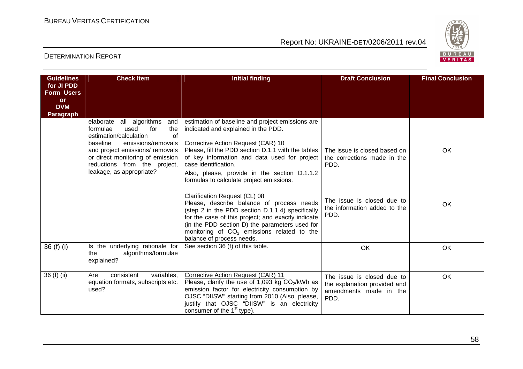

| <b>Guidelines</b><br>for JI PDD<br><b>Form Users</b> | <b>Check Item</b>                                                                                                                                                                                                                                                      | <b>Initial finding</b>                                                                                                                                                                                                                                                                                                                                                                                                                                                                                                                                                                                                                                                         | <b>Draft Conclusion</b>                                                                                                                   | <b>Final Conclusion</b> |
|------------------------------------------------------|------------------------------------------------------------------------------------------------------------------------------------------------------------------------------------------------------------------------------------------------------------------------|--------------------------------------------------------------------------------------------------------------------------------------------------------------------------------------------------------------------------------------------------------------------------------------------------------------------------------------------------------------------------------------------------------------------------------------------------------------------------------------------------------------------------------------------------------------------------------------------------------------------------------------------------------------------------------|-------------------------------------------------------------------------------------------------------------------------------------------|-------------------------|
| or<br><b>DVM</b><br><b>Paragraph</b>                 |                                                                                                                                                                                                                                                                        |                                                                                                                                                                                                                                                                                                                                                                                                                                                                                                                                                                                                                                                                                |                                                                                                                                           |                         |
|                                                      | elaborate all algorithms<br>and<br>formulae<br>used<br>for<br>the<br>estimation/calculation<br>of<br>emissions/removals<br>baseline<br>and project emissions/ removals<br>or direct monitoring of emission<br>reductions from the project,<br>leakage, as appropriate? | estimation of baseline and project emissions are<br>indicated and explained in the PDD.<br>Corrective Action Request (CAR) 10<br>Please, fill the PDD section D.1.1 with the tables<br>of key information and data used for project<br>case identification.<br>Also, please, provide in the section D.1.1.2<br>formulas to calculate project emissions.<br>Clarification Request (CL) 08<br>Please, describe balance of process needs<br>(step 2 in the PDD section D.1.1.4) specifically<br>for the case of this project; and exactly indicate<br>(in the PDD section D) the parameters used for<br>monitoring of $CO2$ emissions related to the<br>balance of process needs. | The issue is closed based on<br>the corrections made in the<br>PDD.<br>The issue is closed due to<br>the information added to the<br>PDD. | OK<br>OK                |
| 36 (f) (i)                                           | Is the underlying rationale for<br>the<br>algorithms/formulae<br>explained?                                                                                                                                                                                            | See section 36 (f) of this table.                                                                                                                                                                                                                                                                                                                                                                                                                                                                                                                                                                                                                                              | OK                                                                                                                                        | OK                      |
| 36 (f) (ii)                                          | variables,<br>Are<br>consistent<br>equation formats, subscripts etc.<br>used?                                                                                                                                                                                          | Corrective Action Request (CAR) 11<br>Please, clarify the use of 1,093 kg $CO2/kWh$ as<br>emission factor for electricity consumption by<br>OJSC "DIISW" starting from 2010 (Also, please,<br>justify that OJSC "DIISW" is an electricity<br>consumer of the 1 <sup>st</sup> type).                                                                                                                                                                                                                                                                                                                                                                                            | The issue is closed due to<br>the explanation provided and<br>amendments made in the<br>PDD.                                              | OK                      |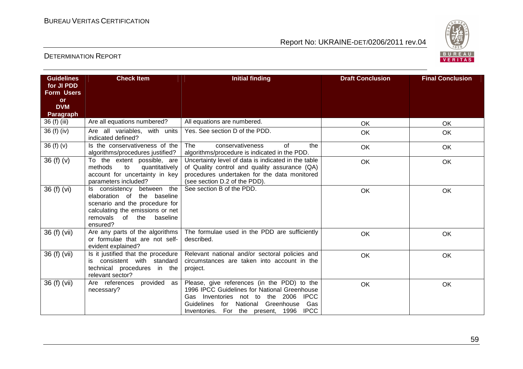

| <b>Guidelines</b><br>for JI PDD | <b>Check Item</b>                                                                                                                                                          | <b>Initial finding</b>                                                                                                                                                                                                                         | <b>Draft Conclusion</b> | <b>Final Conclusion</b> |
|---------------------------------|----------------------------------------------------------------------------------------------------------------------------------------------------------------------------|------------------------------------------------------------------------------------------------------------------------------------------------------------------------------------------------------------------------------------------------|-------------------------|-------------------------|
| <b>Form Users</b>               |                                                                                                                                                                            |                                                                                                                                                                                                                                                |                         |                         |
| <b>or</b><br><b>DVM</b>         |                                                                                                                                                                            |                                                                                                                                                                                                                                                |                         |                         |
| Paragraph                       |                                                                                                                                                                            |                                                                                                                                                                                                                                                |                         |                         |
| 36 (f) (iii)                    | Are all equations numbered?                                                                                                                                                | All equations are numbered.                                                                                                                                                                                                                    | OK                      | OK                      |
| 36 (f) (iv)                     | Are all variables, with units<br>indicated defined?                                                                                                                        | Yes. See section D of the PDD.                                                                                                                                                                                                                 | <b>OK</b>               | OK                      |
| 36 (f) (v)                      | Is the conservativeness of the<br>algorithms/procedures justified?                                                                                                         | <b>The</b><br>conservativeness<br>of<br>the<br>algorithms/procedure is indicated in the PDD.                                                                                                                                                   | OK                      | OK                      |
| 36(f)(v)                        | To the extent possible, are<br>quantitatively<br>methods<br>to<br>account for uncertainty in key<br>parameters included?                                                   | Uncertainty level of data is indicated in the table<br>of Quality control and quality assurance (QA)<br>procedures undertaken for the data monitored<br>(see section D.2 of the PDD).                                                          | <b>OK</b>               | OK                      |
| 36 (f) (vi)                     | between the<br>Is consistency<br>elaboration of the baseline<br>scenario and the procedure for<br>calculating the emissions or net<br>removals of the baseline<br>ensured? | See section B of the PDD.                                                                                                                                                                                                                      | OK                      | OK                      |
| 36 (f) (vii)                    | Are any parts of the algorithms<br>or formulae that are not self-<br>evident explained?                                                                                    | The formulae used in the PDD are sufficiently<br>described.                                                                                                                                                                                    | OK                      | OK                      |
| 36 (f) (vii)                    | Is it justified that the procedure<br>consistent with standard<br>is<br>technical procedures in the<br>relevant sector?                                                    | Relevant national and/or sectoral policies and<br>circumstances are taken into account in the<br>project.                                                                                                                                      | <b>OK</b>               | OK                      |
| 36 (f) (vii)                    | provided as<br>Are references<br>necessary?                                                                                                                                | Please, give references (in the PDD) to the<br>1996 IPCC Guidelines for National Greenhouse<br>Inventories not to the 2006<br><b>IPCC</b><br>Gas<br>National Greenhouse<br>Guidelines<br>for<br>Gas<br>Inventories. For the present, 1996 IPCC | OK                      | OK                      |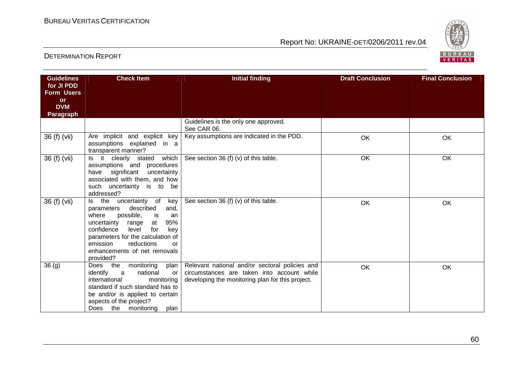

| <b>Guidelines</b><br>for JI PDD | <b>Check Item</b>                                                                                                                                                                                                                                                                             | <b>Initial finding</b>                                                                                                                           | <b>Draft Conclusion</b> | <b>Final Conclusion</b> |
|---------------------------------|-----------------------------------------------------------------------------------------------------------------------------------------------------------------------------------------------------------------------------------------------------------------------------------------------|--------------------------------------------------------------------------------------------------------------------------------------------------|-------------------------|-------------------------|
| <b>Form Users</b><br>or         |                                                                                                                                                                                                                                                                                               |                                                                                                                                                  |                         |                         |
| <b>DVM</b><br><b>Paragraph</b>  |                                                                                                                                                                                                                                                                                               |                                                                                                                                                  |                         |                         |
|                                 |                                                                                                                                                                                                                                                                                               | Guidelines is the only one approved.<br>See CAR 06.                                                                                              |                         |                         |
| 36 (f) (vii)                    | Are implicit and explicit key<br>assumptions explained in a<br>transparent manner?                                                                                                                                                                                                            | Key assumptions are indicated in the PDD.                                                                                                        | OK                      | OK                      |
| 36 (f) (vii)                    | which<br>Is it clearly stated<br>assumptions and procedures<br>have significant<br>uncertainty<br>associated with them, and how<br>such uncertainty is to be<br>addressed?                                                                                                                    | See section 36 (f) (v) of this table.                                                                                                            | OK                      | <b>OK</b>               |
| 36 (f) (vii)                    | Is the<br>uncertainty of key<br>described<br>parameters<br>and.<br>possible,<br>where<br>is<br>an<br>uncertainty<br>95%<br>range<br>at<br>for<br>confidence<br>key<br>level<br>parameters for the calculation of<br>emission<br>reductions<br>or<br>enhancements of net removals<br>provided? | See section 36 (f) (v) of this table.                                                                                                            | OK                      | OK                      |
| 36(9)                           | monitoring<br>Does the<br>plan  <br>identify<br>$\overline{a}$<br>national<br>or<br>international<br>monitoring<br>standard if such standard has to<br>be and/or is applied to certain<br>aspects of the project?<br>Does the monitoring<br>plan                                              | Relevant national and/or sectoral policies and<br>circumstances are taken into account while<br>developing the monitoring plan for this project. | OK                      | OK                      |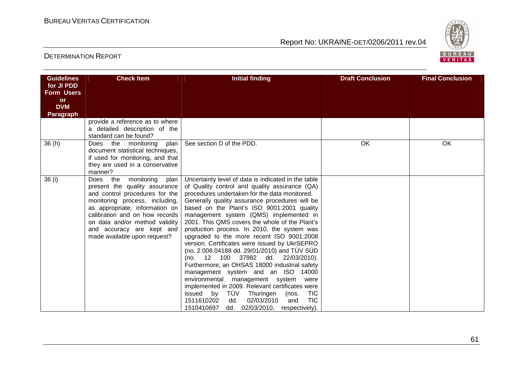

| <b>Guidelines</b><br>for JI PDD<br><b>Form Users</b><br><b>or</b><br><b>DVM</b><br><b>Paragraph</b> | <b>Check Item</b>                                                                                                                                                                                                                                                                                   | <b>Initial finding</b>                                                                                                                                                                                                                                                                                                                                                                                                                                                                                                                                                                                                                                                                                                                                                                                                                                                                                                                       | <b>Draft Conclusion</b> | <b>Final Conclusion</b> |
|-----------------------------------------------------------------------------------------------------|-----------------------------------------------------------------------------------------------------------------------------------------------------------------------------------------------------------------------------------------------------------------------------------------------------|----------------------------------------------------------------------------------------------------------------------------------------------------------------------------------------------------------------------------------------------------------------------------------------------------------------------------------------------------------------------------------------------------------------------------------------------------------------------------------------------------------------------------------------------------------------------------------------------------------------------------------------------------------------------------------------------------------------------------------------------------------------------------------------------------------------------------------------------------------------------------------------------------------------------------------------------|-------------------------|-------------------------|
|                                                                                                     | provide a reference as to where<br>a detailed description of the<br>standard can be found?                                                                                                                                                                                                          |                                                                                                                                                                                                                                                                                                                                                                                                                                                                                                                                                                                                                                                                                                                                                                                                                                                                                                                                              |                         |                         |
| 36(h)                                                                                               | the<br>monitoring<br>plan<br>Does<br>document statistical techniques,<br>if used for monitoring, and that<br>they are used in a conservative<br>manner?                                                                                                                                             | See section D of the PDD.                                                                                                                                                                                                                                                                                                                                                                                                                                                                                                                                                                                                                                                                                                                                                                                                                                                                                                                    | OK                      | OK                      |
| 36(i)                                                                                               | Does the monitoring<br>plan<br>present the quality assurance<br>and control procedures for the<br>monitoring process, including,<br>as appropriate, information on<br>calibration and on how records<br>on data and/or method validity<br>and accuracy are kept and<br>made available upon request? | Uncertainty level of data is indicated in the table<br>of Quality control and quality assurance (QA)<br>procedures undertaken for the data monitored.<br>Generally quality assurance procedures will be<br>based on the Plant's ISO 9001:2001 quality<br>management system (QMS) implemented in<br>2001. This QMS covers the whole of the Plant's<br>production process. In 2010, the system was<br>upgraded to the more recent ISO 9001:2008<br>version. Certificates were issued by UkrSEPRO<br>(no. 2.008.04188 dd. 29/01/2010) and TÜV SÜD<br>37982 dd. 22/03/2010).<br>(no. 12<br>100<br>Furthermore, an OHSAS 18000 industrial safety<br>management system and an ISO 14000<br>environmental management system were<br>implemented in 2009. Relevant certificates were<br>TÜV<br><b>TIC</b><br>by<br>issued<br>Thuringen<br>(nos.<br><b>TIC</b><br>1511610202<br>02/03/2010<br>dd.<br>and<br>1510410697 dd. 02/03/2010, respectively). |                         |                         |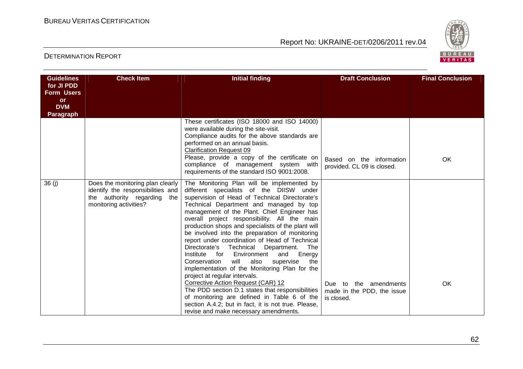

| <b>Guidelines</b><br>for JI PDD<br><b>Form Users</b> | <b>Check Item</b>                                                                                                                 | <b>Initial finding</b>                                                                                                                                                                                                                                                                                                                                                                                                                                                                                                                                                                                                                                                                                                                                                                                                                                                                                                           | <b>Draft Conclusion</b>                                           | <b>Final Conclusion</b> |
|------------------------------------------------------|-----------------------------------------------------------------------------------------------------------------------------------|----------------------------------------------------------------------------------------------------------------------------------------------------------------------------------------------------------------------------------------------------------------------------------------------------------------------------------------------------------------------------------------------------------------------------------------------------------------------------------------------------------------------------------------------------------------------------------------------------------------------------------------------------------------------------------------------------------------------------------------------------------------------------------------------------------------------------------------------------------------------------------------------------------------------------------|-------------------------------------------------------------------|-------------------------|
| <b>or</b><br><b>DVM</b><br><b>Paragraph</b>          |                                                                                                                                   |                                                                                                                                                                                                                                                                                                                                                                                                                                                                                                                                                                                                                                                                                                                                                                                                                                                                                                                                  |                                                                   |                         |
|                                                      |                                                                                                                                   | These certificates (ISO 18000 and ISO 14000)<br>were available during the site-visit.<br>Compliance audits for the above standards are<br>performed on an annual basis.<br><b>Clarification Request 09</b><br>Please, provide a copy of the certificate on<br>compliance of management system with<br>requirements of the standard ISO 9001:2008.                                                                                                                                                                                                                                                                                                                                                                                                                                                                                                                                                                                | Based on the information<br>provided. CL 09 is closed.            | OK                      |
| 36 (i)                                               | Does the monitoring plan clearly<br>identify the responsibilities and<br>the authority regarding<br>the<br>monitoring activities? | The Monitoring Plan will be implemented by<br>different specialists of the DIISW under<br>supervision of Head of Technical Directorate's<br>Technical Department and managed by top<br>management of the Plant. Chief Engineer has<br>overall project responsibility. All the main<br>production shops and specialists of the plant will<br>be involved into the preparation of monitoring<br>report under coordination of Head of Technical<br>Directorate's Technical<br>Department.<br>The<br>Institute<br>for<br>Environment<br>Energy<br>and<br>will<br>also<br>Conservation<br>supervise<br>the<br>implementation of the Monitoring Plan for the<br>project at regular intervals.<br>Corrective Action Request (CAR) 12<br>The PDD section D.1 states that responsibilities<br>of monitoring are defined in Table 6 of the<br>section A.4.2; but in fact, it is not true. Please,<br>revise and make necessary amendments. | Due to the amendments<br>made in the PDD, the issue<br>is closed. | OK                      |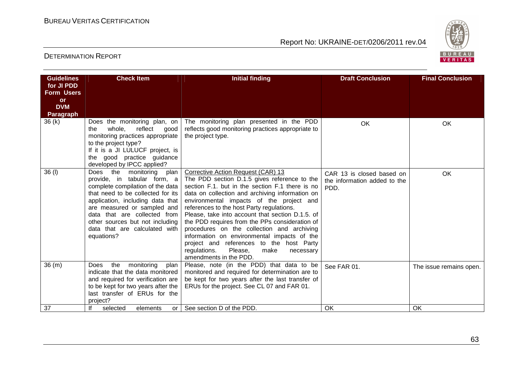

| <b>Guidelines</b><br>for JI PDD<br><b>Form Users</b><br>or<br><b>DVM</b><br>Paragraph | <b>Check Item</b>                                                                                                                                                                                                                                                                                                              | <b>Initial finding</b>                                                                                                                                                                                                                                                                                                                                                                                                                                                                                                                                                                                     | <b>Draft Conclusion</b>                                           | <b>Final Conclusion</b> |
|---------------------------------------------------------------------------------------|--------------------------------------------------------------------------------------------------------------------------------------------------------------------------------------------------------------------------------------------------------------------------------------------------------------------------------|------------------------------------------------------------------------------------------------------------------------------------------------------------------------------------------------------------------------------------------------------------------------------------------------------------------------------------------------------------------------------------------------------------------------------------------------------------------------------------------------------------------------------------------------------------------------------------------------------------|-------------------------------------------------------------------|-------------------------|
| 36(k)                                                                                 | Does the monitoring plan, on<br>whole.<br>reflect<br>the<br>good<br>monitoring practices appropriate<br>to the project type?<br>If it is a JI LULUCF project, is<br>the good practice guidance<br>developed by IPCC applied?                                                                                                   | The monitoring plan presented in the PDD<br>reflects good monitoring practices appropriate to<br>the project type.                                                                                                                                                                                                                                                                                                                                                                                                                                                                                         | OK                                                                | OK                      |
| 36 (I)                                                                                | the<br>monitoring<br>Does<br>plan<br>provide, in tabular form, a<br>complete compilation of the data<br>that need to be collected for its<br>application, including data that<br>are measured or sampled and<br>data that are collected from<br>other sources but not including<br>data that are calculated with<br>equations? | Corrective Action Request (CAR) 13<br>The PDD section D.1.5 gives reference to the<br>section F.1. but in the section F.1 there is no<br>data on collection and archiving information on<br>environmental impacts of the project and<br>references to the host Party regulations.<br>Please, take into account that section D.1.5. of<br>the PDD requires from the PPs consideration of<br>procedures on the collection and archiving<br>information on environmental impacts of the<br>project and references to the host Party<br>regulations.<br>Please,<br>make<br>necessary<br>amendments in the PDD. | CAR 13 is closed based on<br>the information added to the<br>PDD. | OK                      |
| 36(m)                                                                                 | the<br>Does<br>monitoring<br>plan<br>indicate that the data monitored<br>and required for verification are<br>to be kept for two years after the<br>last transfer of ERUs for the<br>project?                                                                                                                                  | Please, note (in the PDD) that data to be<br>monitored and required for determination are to<br>be kept for two years after the last transfer of<br>ERUs for the project. See CL 07 and FAR 01.                                                                                                                                                                                                                                                                                                                                                                                                            | See FAR 01.                                                       | The issue remains open. |
| 37                                                                                    | lf<br>selected<br>elements<br>or I                                                                                                                                                                                                                                                                                             | See section D of the PDD.                                                                                                                                                                                                                                                                                                                                                                                                                                                                                                                                                                                  | OK                                                                | OK                      |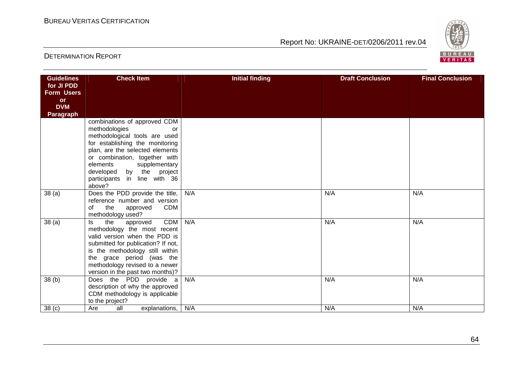

| <b>Guidelines</b> | <b>Check Item</b>                                                     | <b>Initial finding</b> | <b>Draft Conclusion</b> | <b>Final Conclusion</b> |
|-------------------|-----------------------------------------------------------------------|------------------------|-------------------------|-------------------------|
| for JI PDD        |                                                                       |                        |                         |                         |
| <b>Form Users</b> |                                                                       |                        |                         |                         |
| or<br><b>DVM</b>  |                                                                       |                        |                         |                         |
| <b>Paragraph</b>  |                                                                       |                        |                         |                         |
|                   | combinations of approved CDM                                          |                        |                         |                         |
|                   | methodologies<br>or                                                   |                        |                         |                         |
|                   | methodological tools are used                                         |                        |                         |                         |
|                   | for establishing the monitoring                                       |                        |                         |                         |
|                   | plan, are the selected elements                                       |                        |                         |                         |
|                   | or combination, together with                                         |                        |                         |                         |
|                   | elements<br>supplementary                                             |                        |                         |                         |
|                   | developed by the project                                              |                        |                         |                         |
|                   | participants in line with 36<br>above?                                |                        |                         |                         |
| 38(a)             | Does the PDD provide the title,                                       | N/A                    | N/A                     | N/A                     |
|                   | reference number and version                                          |                        |                         |                         |
|                   | the<br><b>CDM</b><br>of<br>approved                                   |                        |                         |                         |
|                   | methodology used?                                                     |                        |                         |                         |
| 38 <sub>(a)</sub> | <b>CDM</b><br>ls<br>the<br>approved                                   | N/A                    | N/A                     | N/A                     |
|                   | methodology the most recent                                           |                        |                         |                         |
|                   | valid version when the PDD is                                         |                        |                         |                         |
|                   | submitted for publication? If not,<br>is the methodology still within |                        |                         |                         |
|                   | the grace period (was the                                             |                        |                         |                         |
|                   | methodology revised to a newer                                        |                        |                         |                         |
|                   | version in the past two months)?                                      |                        |                         |                         |
| 38(b)             | Does the PDD provide a                                                | N/A                    | N/A                     | N/A                     |
|                   | description of why the approved                                       |                        |                         |                         |
|                   | CDM methodology is applicable                                         |                        |                         |                         |
|                   | to the project?                                                       |                        |                         |                         |
| 38 <sub>(c)</sub> | all<br>Are<br>explanations,                                           | N/A                    | N/A                     | N/A                     |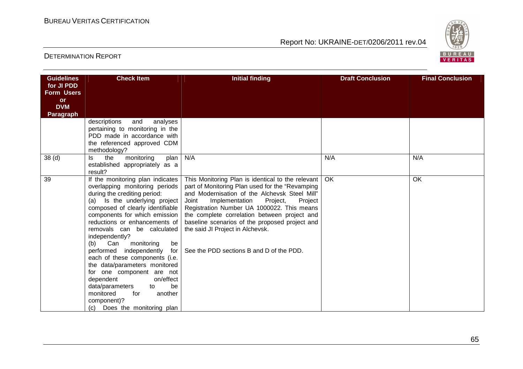

| <b>Guidelines</b>       | <b>Check Item</b>                                                                                                                                                                                                                                                                                                                                                                                                                                                                                                                                                                          | <b>Initial finding</b>                                                                                                                                                                                                                                                                                                                                                                                                                        | <b>Draft Conclusion</b> | <b>Final Conclusion</b> |
|-------------------------|--------------------------------------------------------------------------------------------------------------------------------------------------------------------------------------------------------------------------------------------------------------------------------------------------------------------------------------------------------------------------------------------------------------------------------------------------------------------------------------------------------------------------------------------------------------------------------------------|-----------------------------------------------------------------------------------------------------------------------------------------------------------------------------------------------------------------------------------------------------------------------------------------------------------------------------------------------------------------------------------------------------------------------------------------------|-------------------------|-------------------------|
| for JI PDD              |                                                                                                                                                                                                                                                                                                                                                                                                                                                                                                                                                                                            |                                                                                                                                                                                                                                                                                                                                                                                                                                               |                         |                         |
| <b>Form Users</b>       |                                                                                                                                                                                                                                                                                                                                                                                                                                                                                                                                                                                            |                                                                                                                                                                                                                                                                                                                                                                                                                                               |                         |                         |
| <b>or</b><br><b>DVM</b> |                                                                                                                                                                                                                                                                                                                                                                                                                                                                                                                                                                                            |                                                                                                                                                                                                                                                                                                                                                                                                                                               |                         |                         |
| <b>Paragraph</b>        |                                                                                                                                                                                                                                                                                                                                                                                                                                                                                                                                                                                            |                                                                                                                                                                                                                                                                                                                                                                                                                                               |                         |                         |
|                         | descriptions<br>and<br>analyses<br>pertaining to monitoring in the<br>PDD made in accordance with<br>the referenced approved CDM<br>methodology?                                                                                                                                                                                                                                                                                                                                                                                                                                           |                                                                                                                                                                                                                                                                                                                                                                                                                                               |                         |                         |
| 38 <sub>(d)</sub>       | the<br>monitoring<br>plan<br>ls.<br>established appropriately as a<br>result?                                                                                                                                                                                                                                                                                                                                                                                                                                                                                                              | N/A                                                                                                                                                                                                                                                                                                                                                                                                                                           | N/A                     | N/A                     |
| 39                      | If the monitoring plan indicates<br>overlapping monitoring periods<br>during the crediting period:<br>Is the underlying project<br>(a)<br>composed of clearly identifiable<br>components for which emission<br>reductions or enhancements of<br>removals can be calculated<br>independently?<br>(b) Can monitoring<br>be<br>performed independently<br>each of these components (i.e.<br>the data/parameters monitored<br>for one component are not<br>dependent<br>on/effect<br>be<br>data/parameters<br>to<br>another<br>monitored<br>for<br>component)?<br>(c) Does the monitoring plan | This Monitoring Plan is identical to the relevant<br>part of Monitoring Plan used for the "Revamping<br>and Modernisation of the Alchevsk Steel Mill"<br>Implementation<br>Joint<br>Project,<br>Project<br>Registration Number UA 1000022. This means<br>the complete correlation between project and<br>baseline scenarios of the proposed project and<br>the said JI Project in Alchevsk.<br>for   See the PDD sections B and D of the PDD. | OK                      | <b>OK</b>               |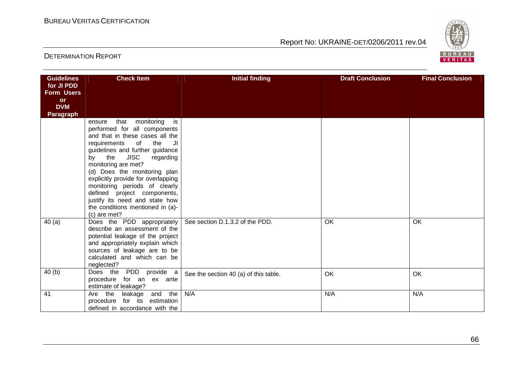

| <b>Guidelines</b><br>for JI PDD<br><b>Form Users</b><br><b>or</b><br><b>DVM</b><br><b>Paragraph</b> | <b>Check Item</b>                                                                                                                                                                                                                                                                                                                                                                                                                                    | <b>Initial finding</b>                | <b>Draft Conclusion</b> | <b>Final Conclusion</b> |
|-----------------------------------------------------------------------------------------------------|------------------------------------------------------------------------------------------------------------------------------------------------------------------------------------------------------------------------------------------------------------------------------------------------------------------------------------------------------------------------------------------------------------------------------------------------------|---------------------------------------|-------------------------|-------------------------|
|                                                                                                     | that monitoring is<br>ensure<br>performed for all components<br>and that in these cases all the<br>the<br>requirements<br>of<br>JI<br>guidelines and further guidance<br>by the JISC<br>regarding<br>monitoring are met?<br>(d) Does the monitoring plan<br>explicitly provide for overlapping<br>monitoring periods of clearly<br>defined project components,<br>justify its need and state how<br>the conditions mentioned in (a)-<br>(c) are met? |                                       |                         |                         |
| 40(a)                                                                                               | Does the PDD appropriately<br>describe an assessment of the<br>potential leakage of the project<br>and appropriately explain which<br>sources of leakage are to be<br>calculated and which can be<br>neglected?                                                                                                                                                                                                                                      | See section D.1.3.2 of the PDD.       | OK                      | OK                      |
| 40(b)                                                                                               | Does the PDD provide a<br>procedure for an ex ante<br>estimate of leakage?                                                                                                                                                                                                                                                                                                                                                                           | See the section 40 (a) of this table. | OK                      | <b>OK</b>               |
| 41                                                                                                  | Are the leakage<br>and the<br>procedure for its estimation<br>defined in accordance with the                                                                                                                                                                                                                                                                                                                                                         | N/A                                   | N/A                     | N/A                     |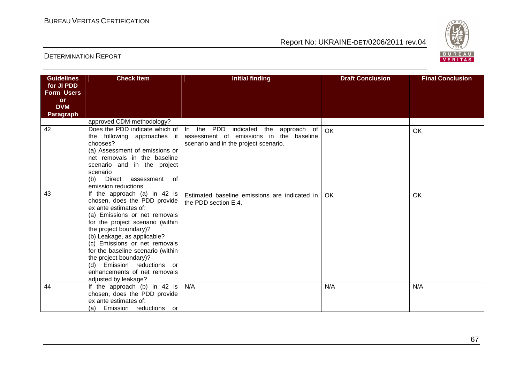

| <b>Guidelines</b>       | <b>Check Item</b>                                            | <b>Initial finding</b>                                                | <b>Draft Conclusion</b> | <b>Final Conclusion</b> |
|-------------------------|--------------------------------------------------------------|-----------------------------------------------------------------------|-------------------------|-------------------------|
| for JI PDD              |                                                              |                                                                       |                         |                         |
| <b>Form Users</b>       |                                                              |                                                                       |                         |                         |
| <b>or</b><br><b>DVM</b> |                                                              |                                                                       |                         |                         |
| <b>Paragraph</b>        |                                                              |                                                                       |                         |                         |
|                         | approved CDM methodology?                                    |                                                                       |                         |                         |
| 42                      |                                                              | Does the PDD indicate which of   In the PDD indicated the approach of | OK                      | <b>OK</b>               |
|                         | the following approaches it                                  | assessment of emissions in the baseline                               |                         |                         |
|                         | chooses?                                                     | scenario and in the project scenario.                                 |                         |                         |
|                         | (a) Assessment of emissions or                               |                                                                       |                         |                         |
|                         | net removals in the baseline                                 |                                                                       |                         |                         |
|                         | scenario and in the project                                  |                                                                       |                         |                         |
|                         | scenario                                                     |                                                                       |                         |                         |
|                         | (b) Direct assessment of<br>emission reductions              |                                                                       |                         |                         |
| 43                      | If the approach (a) in 42 is                                 |                                                                       |                         |                         |
|                         | chosen, does the PDD provide                                 | Estimated baseline emissions are indicated in                         | OK.                     | <b>OK</b>               |
|                         | ex ante estimates of:                                        | the PDD section E.4.                                                  |                         |                         |
|                         | (a) Emissions or net removals                                |                                                                       |                         |                         |
|                         | for the project scenario (within                             |                                                                       |                         |                         |
|                         | the project boundary)?                                       |                                                                       |                         |                         |
|                         | (b) Leakage, as applicable?                                  |                                                                       |                         |                         |
|                         | (c) Emissions or net removals                                |                                                                       |                         |                         |
|                         | for the baseline scenario (within                            |                                                                       |                         |                         |
|                         | the project boundary)?                                       |                                                                       |                         |                         |
|                         | (d) Emission reductions or                                   |                                                                       |                         |                         |
|                         | enhancements of net removals                                 |                                                                       |                         |                         |
| 44                      | adjusted by leakage?                                         | N/A                                                                   | N/A                     | N/A                     |
|                         | If the approach (b) in 42 is<br>chosen, does the PDD provide |                                                                       |                         |                         |
|                         | ex ante estimates of:                                        |                                                                       |                         |                         |
|                         | Emission reductions or<br>(a)                                |                                                                       |                         |                         |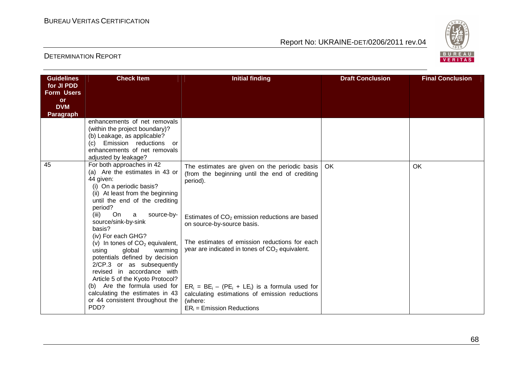

| <b>Guidelines</b><br>for JI PDD              | <b>Check Item</b>                                                                                                                                                                                | <b>Initial finding</b>                                                                                                                           | <b>Draft Conclusion</b> | <b>Final Conclusion</b> |
|----------------------------------------------|--------------------------------------------------------------------------------------------------------------------------------------------------------------------------------------------------|--------------------------------------------------------------------------------------------------------------------------------------------------|-------------------------|-------------------------|
| <b>Form Users</b><br><b>or</b><br><b>DVM</b> |                                                                                                                                                                                                  |                                                                                                                                                  |                         |                         |
| <b>Paragraph</b>                             |                                                                                                                                                                                                  |                                                                                                                                                  |                         |                         |
|                                              | enhancements of net removals<br>(within the project boundary)?<br>(b) Leakage, as applicable?<br>Emission reductions<br>(c)<br>or<br>enhancements of net removals<br>adjusted by leakage?        |                                                                                                                                                  |                         |                         |
| 45                                           | For both approaches in 42<br>(a) Are the estimates in 43 or<br>44 given:<br>(i) On a periodic basis?<br>(ii) At least from the beginning<br>until the end of the crediting<br>period?            | The estimates are given on the periodic basis<br>(from the beginning until the end of crediting<br>period).                                      | OK                      | OK                      |
|                                              | (iii)<br>On<br>source-by-<br>a<br>source/sink-by-sink<br>basis?<br>(iv) For each GHG?                                                                                                            | Estimates of CO <sub>2</sub> emission reductions are based<br>on source-by-source basis.                                                         |                         |                         |
|                                              | (v) In tones of $CO2$ equivalent,<br>using<br>global<br>warming<br>potentials defined by decision<br>2/CP.3 or as subsequently<br>revised in accordance with<br>Article 5 of the Kyoto Protocol? | The estimates of emission reductions for each<br>year are indicated in tones of $CO2$ equivalent.                                                |                         |                         |
|                                              | Are the formula used for<br>(b)<br>calculating the estimates in 43<br>or 44 consistent throughout the<br>PDD?                                                                                    | $ER_i = BE_i - (PE_i + LE_i)$ is a formula used for<br>calculating estimations of emission reductions<br>(where:<br>$ER_i$ = Emission Reductions |                         |                         |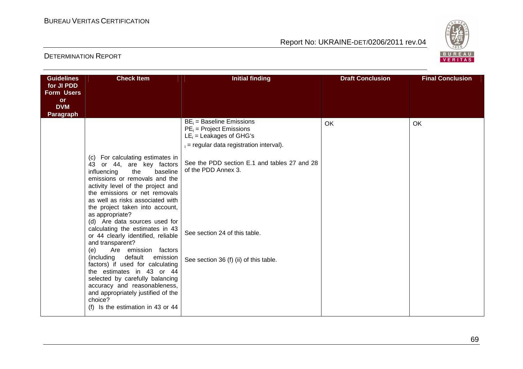

| <b>Guidelines</b><br>for JI PDD              | <b>Check Item</b>                                                                                                                                                                                                                                                                                                                                                                                                                                                                                                                                                                                                                                                                                                               | <b>Initial finding</b>                                                                                                                                                                                                                                                                  | <b>Draft Conclusion</b> | <b>Final Conclusion</b> |
|----------------------------------------------|---------------------------------------------------------------------------------------------------------------------------------------------------------------------------------------------------------------------------------------------------------------------------------------------------------------------------------------------------------------------------------------------------------------------------------------------------------------------------------------------------------------------------------------------------------------------------------------------------------------------------------------------------------------------------------------------------------------------------------|-----------------------------------------------------------------------------------------------------------------------------------------------------------------------------------------------------------------------------------------------------------------------------------------|-------------------------|-------------------------|
| <b>Form Users</b><br><b>or</b><br><b>DVM</b> |                                                                                                                                                                                                                                                                                                                                                                                                                                                                                                                                                                                                                                                                                                                                 |                                                                                                                                                                                                                                                                                         |                         |                         |
| <b>Paragraph</b>                             | (c) For calculating estimates in<br>or 44, are key factors<br>43<br>influencing<br>the<br>baseline<br>emissions or removals and the<br>activity level of the project and<br>the emissions or net removals<br>as well as risks associated with<br>the project taken into account,<br>as appropriate?<br>(d) Are data sources used for<br>calculating the estimates in 43<br>or 44 clearly identified, reliable<br>and transparent?<br>Are emission factors<br>(e)<br>(including<br>default<br>emission<br>factors) if used for calculating<br>the estimates in 43 or 44<br>selected by carefully balancing<br>accuracy and reasonableness,<br>and appropriately justified of the<br>choice?<br>(f) Is the estimation in 43 or 44 | $BE_i = Baseline$ Emissions<br>$PE_i$ = Project Emissions<br>$LE_i =$ Leakages of GHG's<br>$i =$ regular data registration interval).<br>See the PDD section E.1 and tables 27 and 28<br>of the PDD Annex 3.<br>See section 24 of this table.<br>See section 36 (f) (ii) of this table. | <b>OK</b>               | OK                      |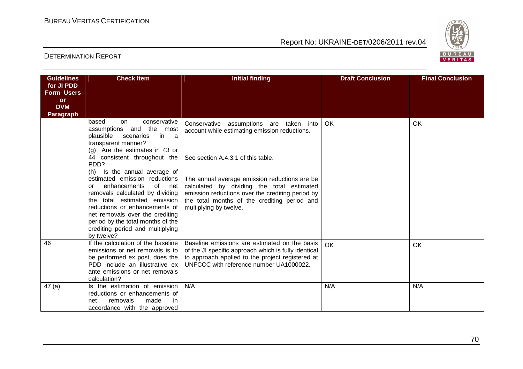

| <b>Guidelines</b><br>for JI PDD<br><b>Form Users</b><br><b>or</b> | <b>Check Item</b>                                                                                                                                                                           | <b>Initial finding</b>                                                                                                                                                                               | <b>Draft Conclusion</b> | <b>Final Conclusion</b> |
|-------------------------------------------------------------------|---------------------------------------------------------------------------------------------------------------------------------------------------------------------------------------------|------------------------------------------------------------------------------------------------------------------------------------------------------------------------------------------------------|-------------------------|-------------------------|
| <b>DVM</b><br><b>Paragraph</b>                                    |                                                                                                                                                                                             |                                                                                                                                                                                                      |                         |                         |
|                                                                   | based<br>conservative<br>on.<br>assumptions and the most<br>plausible<br>scenarios<br>in a<br>transparent manner?<br>(g) Are the estimates in 43 or                                         | Conservative assumptions are taken into<br>account while estimating emission reductions.                                                                                                             | OK                      | OK                      |
|                                                                   | 44 consistent throughout the<br>PDD?<br>Is the annual average of<br>(h)<br>estimated emission reductions<br>enhancements<br>of<br>net l<br>or<br>removals calculated by dividing            | See section A.4.3.1 of this table.<br>The annual average emission reductions are be<br>calculated by dividing the total estimated<br>emission reductions over the crediting period by                |                         |                         |
|                                                                   | the total estimated emission<br>reductions or enhancements of<br>net removals over the crediting<br>period by the total months of the<br>crediting period and multiplying<br>by twelve?     | the total months of the crediting period and<br>multiplying by twelve.                                                                                                                               |                         |                         |
| 46                                                                | If the calculation of the baseline<br>emissions or net removals is to<br>be performed ex post, does the<br>PDD include an illustrative ex<br>ante emissions or net removals<br>calculation? | Baseline emissions are estimated on the basis<br>of the JI specific approach which is fully identical<br>to approach applied to the project registered at<br>UNFCCC with reference number UA1000022. | OK                      | OK                      |
| 47(a)                                                             | Is the estimation of emission<br>reductions or enhancements of<br>removals<br>made<br>in.<br>net<br>accordance with the approved                                                            | N/A                                                                                                                                                                                                  | N/A                     | N/A                     |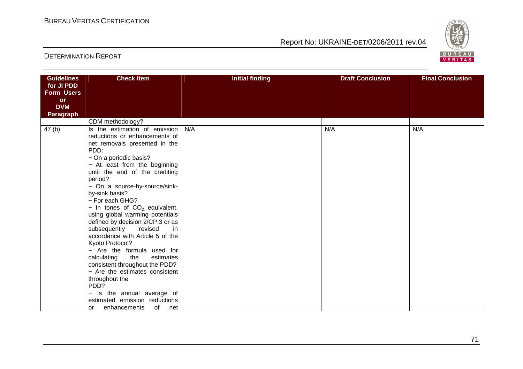

| <b>Guidelines</b>       | <b>Check Item</b>                                                   | <b>Initial finding</b> | <b>Draft Conclusion</b> | <b>Final Conclusion</b> |
|-------------------------|---------------------------------------------------------------------|------------------------|-------------------------|-------------------------|
| for JI PDD              |                                                                     |                        |                         |                         |
| <b>Form Users</b>       |                                                                     |                        |                         |                         |
| <b>or</b><br><b>DVM</b> |                                                                     |                        |                         |                         |
| <b>Paragraph</b>        |                                                                     |                        |                         |                         |
|                         | CDM methodology?                                                    |                        |                         |                         |
| 47(b)                   | Is the estimation of emission                                       | N/A                    | N/A                     | N/A                     |
|                         | reductions or enhancements of                                       |                        |                         |                         |
|                         | net removals presented in the                                       |                        |                         |                         |
|                         | PDD:                                                                |                        |                         |                         |
|                         | - On a periodic basis?                                              |                        |                         |                         |
|                         | - At least from the beginning                                       |                        |                         |                         |
|                         | until the end of the crediting                                      |                        |                         |                         |
|                         | period?                                                             |                        |                         |                         |
|                         | - On a source-by-source/sink-                                       |                        |                         |                         |
|                         | by-sink basis?                                                      |                        |                         |                         |
|                         | - For each GHG?                                                     |                        |                         |                         |
|                         | - In tones of $CO2$ equivalent,                                     |                        |                         |                         |
|                         | using global warming potentials<br>defined by decision 2/CP.3 or as |                        |                         |                         |
|                         | subsequently<br>revised<br>in                                       |                        |                         |                         |
|                         | accordance with Article 5 of the                                    |                        |                         |                         |
|                         | Kyoto Protocol?                                                     |                        |                         |                         |
|                         | - Are the formula used for                                          |                        |                         |                         |
|                         | calculating<br>the<br>estimates                                     |                        |                         |                         |
|                         | consistent throughout the PDD?                                      |                        |                         |                         |
|                         | - Are the estimates consistent                                      |                        |                         |                         |
|                         | throughout the                                                      |                        |                         |                         |
|                         | PDD?                                                                |                        |                         |                         |
|                         | - Is the annual average of                                          |                        |                         |                         |
|                         | estimated emission reductions                                       |                        |                         |                         |
|                         | of<br>enhancements<br>net<br><b>or</b>                              |                        |                         |                         |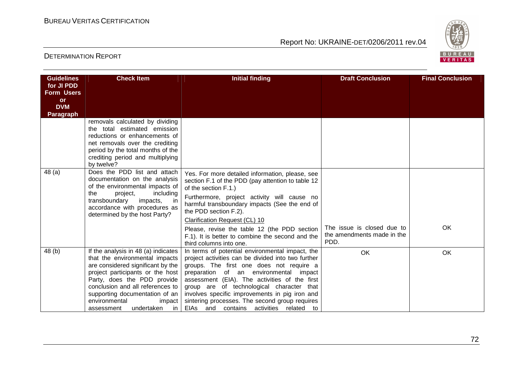

| <b>Guidelines</b><br>for JI PDD<br><b>Form Users</b><br><b>or</b> | <b>Check Item</b>                                                                                                                                                                                                                                                                                                  | <b>Initial finding</b>                                                                                                                                                                                                                                                                                                                                                                                                                   | <b>Draft Conclusion</b>                                          | <b>Final Conclusion</b> |
|-------------------------------------------------------------------|--------------------------------------------------------------------------------------------------------------------------------------------------------------------------------------------------------------------------------------------------------------------------------------------------------------------|------------------------------------------------------------------------------------------------------------------------------------------------------------------------------------------------------------------------------------------------------------------------------------------------------------------------------------------------------------------------------------------------------------------------------------------|------------------------------------------------------------------|-------------------------|
| <b>DVM</b><br><b>Paragraph</b>                                    |                                                                                                                                                                                                                                                                                                                    |                                                                                                                                                                                                                                                                                                                                                                                                                                          |                                                                  |                         |
|                                                                   | removals calculated by dividing<br>the total estimated emission<br>reductions or enhancements of<br>net removals over the crediting<br>period by the total months of the<br>crediting period and multiplying<br>by twelve?                                                                                         |                                                                                                                                                                                                                                                                                                                                                                                                                                          |                                                                  |                         |
| 48(a)                                                             | Does the PDD list and attach<br>documentation on the analysis<br>of the environmental impacts of<br>the<br>including<br>project,<br>transboundary<br>impacts,<br>in<br>accordance with procedures as<br>determined by the host Party?                                                                              | Yes. For more detailed information, please, see<br>section F.1 of the PDD (pay attention to table 12<br>of the section F.1.)<br>Furthermore, project activity will cause no<br>harmful transboundary impacts (See the end of<br>the PDD section F.2).<br>Clarification Request (CL) 10<br>Please, revise the table 12 (the PDD section<br>F.1). It is better to combine the second and the<br>third columns into one.                    | The issue is closed due to<br>the amendments made in the<br>PDD. | OK                      |
| 48(b)                                                             | If the analysis in 48 (a) indicates<br>that the environmental impacts<br>are considered significant by the<br>project participants or the host<br>Party, does the PDD provide<br>conclusion and all references to<br>supporting documentation of an<br>environmental<br>impact<br>undertaken<br>in l<br>assessment | In terms of potential environmental impact, the<br>project activities can be divided into two further<br>groups. The first one does not require a<br>preparation of an environmental impact<br>assessment (EIA). The activities of the first<br>group are of technological character that<br>involves specific improvements in pig iron and<br>sintering processes. The second group requires<br>EIAs and contains activities related to | <b>OK</b>                                                        | OK                      |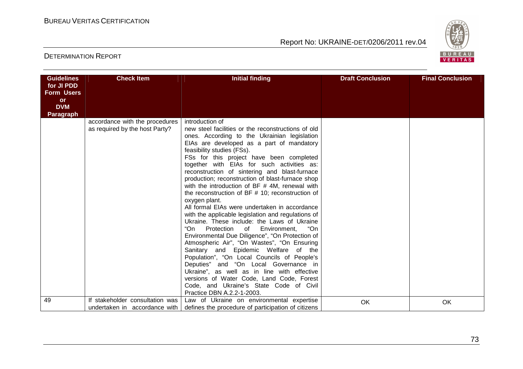

| <b>Guidelines</b> | <b>Check Item</b>               | <b>Initial finding</b>                                                  | <b>Draft Conclusion</b> | <b>Final Conclusion</b> |
|-------------------|---------------------------------|-------------------------------------------------------------------------|-------------------------|-------------------------|
| for JI PDD        |                                 |                                                                         |                         |                         |
| <b>Form Users</b> |                                 |                                                                         |                         |                         |
| <b>or</b>         |                                 |                                                                         |                         |                         |
| <b>DVM</b>        |                                 |                                                                         |                         |                         |
| <b>Paragraph</b>  |                                 |                                                                         |                         |                         |
|                   | accordance with the procedures  | introduction of                                                         |                         |                         |
|                   | as required by the host Party?  | new steel facilities or the reconstructions of old                      |                         |                         |
|                   |                                 | ones. According to the Ukrainian legislation                            |                         |                         |
|                   |                                 | EIAs are developed as a part of mandatory<br>feasibility studies (FSs). |                         |                         |
|                   |                                 | FSs for this project have been completed                                |                         |                         |
|                   |                                 | together with EIAs for such activities as:                              |                         |                         |
|                   |                                 | reconstruction of sintering and blast-furnace                           |                         |                         |
|                   |                                 | production; reconstruction of blast-furnace shop                        |                         |                         |
|                   |                                 | with the introduction of BF # 4M, renewal with                          |                         |                         |
|                   |                                 | the reconstruction of BF $#$ 10; reconstruction of                      |                         |                         |
|                   |                                 | oxygen plant.                                                           |                         |                         |
|                   |                                 | All formal EIAs were undertaken in accordance                           |                         |                         |
|                   |                                 | with the applicable legislation and regulations of                      |                         |                         |
|                   |                                 | Ukraine. These include: the Laws of Ukraine                             |                         |                         |
|                   |                                 | "On<br>Protection of<br>"On<br>Environment,                             |                         |                         |
|                   |                                 | Environmental Due Diligence", "On Protection of                         |                         |                         |
|                   |                                 | Atmospheric Air", "On Wastes", "On Ensuring                             |                         |                         |
|                   |                                 | Sanitary and Epidemic Welfare of the                                    |                         |                         |
|                   |                                 | Population", "On Local Councils of People's                             |                         |                         |
|                   |                                 | Deputies" and "On Local Governance in                                   |                         |                         |
|                   |                                 | Ukraine", as well as in line with effective                             |                         |                         |
|                   |                                 | versions of Water Code, Land Code, Forest                               |                         |                         |
|                   |                                 | Code, and Ukraine's State Code of Civil                                 |                         |                         |
|                   |                                 | Practice DBN A.2.2-1-2003.                                              |                         |                         |
| 49                | If stakeholder consultation was | Law of Ukraine on environmental expertise                               | OK                      | OK                      |
|                   | undertaken in accordance with   | defines the procedure of participation of citizens                      |                         |                         |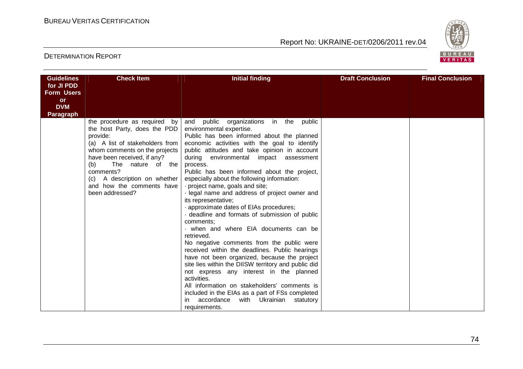

| <b>Guidelines</b> | <b>Check Item</b>                                                                                                                                                                                                                                                                                       | <b>Initial finding</b>                                                                                                                                                                                                                                                                                                                                                                                                                                                                                                                                                                                                                                                                                                                                                                                                                                                                                                                                                                                                                                                     | <b>Draft Conclusion</b> | <b>Final Conclusion</b> |
|-------------------|---------------------------------------------------------------------------------------------------------------------------------------------------------------------------------------------------------------------------------------------------------------------------------------------------------|----------------------------------------------------------------------------------------------------------------------------------------------------------------------------------------------------------------------------------------------------------------------------------------------------------------------------------------------------------------------------------------------------------------------------------------------------------------------------------------------------------------------------------------------------------------------------------------------------------------------------------------------------------------------------------------------------------------------------------------------------------------------------------------------------------------------------------------------------------------------------------------------------------------------------------------------------------------------------------------------------------------------------------------------------------------------------|-------------------------|-------------------------|
| for JI PDD        |                                                                                                                                                                                                                                                                                                         |                                                                                                                                                                                                                                                                                                                                                                                                                                                                                                                                                                                                                                                                                                                                                                                                                                                                                                                                                                                                                                                                            |                         |                         |
| <b>Form Users</b> |                                                                                                                                                                                                                                                                                                         |                                                                                                                                                                                                                                                                                                                                                                                                                                                                                                                                                                                                                                                                                                                                                                                                                                                                                                                                                                                                                                                                            |                         |                         |
| or<br><b>DVM</b>  |                                                                                                                                                                                                                                                                                                         |                                                                                                                                                                                                                                                                                                                                                                                                                                                                                                                                                                                                                                                                                                                                                                                                                                                                                                                                                                                                                                                                            |                         |                         |
| <b>Paragraph</b>  |                                                                                                                                                                                                                                                                                                         |                                                                                                                                                                                                                                                                                                                                                                                                                                                                                                                                                                                                                                                                                                                                                                                                                                                                                                                                                                                                                                                                            |                         |                         |
|                   | the procedure as required by<br>the host Party, does the PDD<br>provide:<br>(a) A list of stakeholders from<br>whom comments on the projects<br>have been received, if any?<br>The nature of the<br>(b)<br>comments?<br>A description on whether<br>(c)<br>and how the comments have<br>been addressed? | and public organizations in the<br>public<br>environmental expertise.<br>Public has been informed about the planned<br>economic activities with the goal to identify<br>public attitudes and take opinion in account<br>during environmental impact assessment<br>process.<br>Public has been informed about the project,<br>especially about the following information:<br>project name, goals and site;<br>· legal name and address of project owner and<br>its representative;<br>approximate dates of EIAs procedures;<br>deadline and formats of submission of public<br>comments:<br>when and where EIA documents can be<br>retrieved.<br>No negative comments from the public were<br>received within the deadlines. Public hearings<br>have not been organized, because the project<br>site lies within the DIISW territory and public did<br>not express any interest in the planned<br>activities.<br>All information on stakeholders' comments is<br>included in the EIAs as a part of FSs completed<br>accordance<br>with Ukrainian statutory<br>requirements. |                         |                         |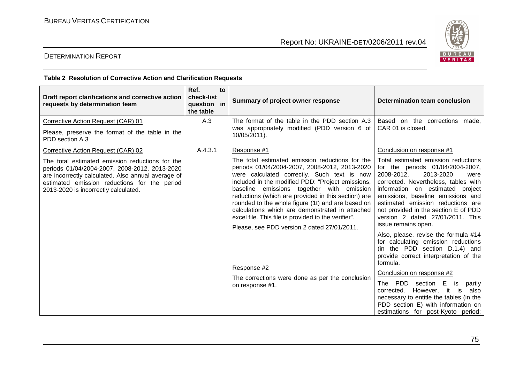

#### DETERMINATION REPORT

#### **Тable 2 Resolution of Corrective Action and Clarification Requests**

| Draft report clarifications and corrective action<br>requests by determination team                                                                                                                                                                                                  | Ref.<br>to<br>check-list<br>question in<br>the table | Summary of project owner response                                                                                                                                                                                                                                                                                                                                                                                                                                                                                                                                                                                          | <b>Determination team conclusion</b>                                                                                                                                                                                                                                                                                                                                                                                                                                                                                                                                                                                                                                                                                                                                                                    |
|--------------------------------------------------------------------------------------------------------------------------------------------------------------------------------------------------------------------------------------------------------------------------------------|------------------------------------------------------|----------------------------------------------------------------------------------------------------------------------------------------------------------------------------------------------------------------------------------------------------------------------------------------------------------------------------------------------------------------------------------------------------------------------------------------------------------------------------------------------------------------------------------------------------------------------------------------------------------------------------|---------------------------------------------------------------------------------------------------------------------------------------------------------------------------------------------------------------------------------------------------------------------------------------------------------------------------------------------------------------------------------------------------------------------------------------------------------------------------------------------------------------------------------------------------------------------------------------------------------------------------------------------------------------------------------------------------------------------------------------------------------------------------------------------------------|
| Corrective Action Request (CAR) 01<br>Please, preserve the format of the table in the<br>PDD section A.3                                                                                                                                                                             | A.3                                                  | The format of the table in the PDD section A.3<br>was appropriately modified (PDD version 6 of<br>10/05/2011).                                                                                                                                                                                                                                                                                                                                                                                                                                                                                                             | Based on the corrections made,<br>CAR 01 is closed.                                                                                                                                                                                                                                                                                                                                                                                                                                                                                                                                                                                                                                                                                                                                                     |
| Corrective Action Request (CAR) 02<br>The total estimated emission reductions for the<br>periods 01/04/2004-2007, 2008-2012, 2013-2020<br>are incorrectly calculated. Also annual average of<br>estimated emission reductions for the period<br>2013-2020 is incorrectly calculated. | A.4.3.1                                              | Response #1<br>The total estimated emission reductions for the<br>periods 01/04/2004-2007, 2008-2012, 2013-2020<br>were calculated correctly. Such text is now<br>included in the modified PDD: "Project emissions,<br>baseline emissions together with emission<br>reductions (which are provided in this section) are<br>rounded to the whole figure (1t) and are based on<br>calculations which are demonstrated in attached<br>excel file. This file is provided to the verifier".<br>Please, see PDD version 2 dated 27/01/2011.<br>Response #2<br>The corrections were done as per the conclusion<br>on response #1. | Conclusion on response #1<br>Total estimated emission reductions<br>for the periods 01/04/2004-2007,<br>2013-2020<br>2008-2012,<br>were<br>corrected. Nevertheless, tables with<br>information on estimated project<br>emissions, baseline emissions and<br>estimated emission reductions are<br>not provided in the section E of PDD<br>version 2 dated 27/01/2011. This<br>issue remains open.<br>Also, please, revise the formula #14<br>for calculating emission reductions<br>(in the PDD section D.1.4) and<br>provide correct interpretation of the<br>formula.<br>Conclusion on response #2<br>The PDD section E<br>is<br>partly<br>corrected. However, it<br>is<br>also<br>necessary to entitle the tables (in the<br>PDD section E) with information on<br>estimations for post-Kyoto period; |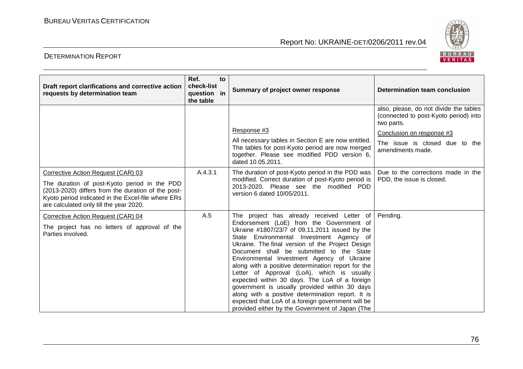

| Draft report clarifications and corrective action<br>requests by determination team                                                                                                                                                       | Ref.<br>to<br>check-list<br>question in<br>the table | Summary of project owner response                                                                                                                                                                                                                                                                                                                                                                                                                                                                                                                                                                                                                                                                     | Determination team conclusion                                                                                                                                                    |
|-------------------------------------------------------------------------------------------------------------------------------------------------------------------------------------------------------------------------------------------|------------------------------------------------------|-------------------------------------------------------------------------------------------------------------------------------------------------------------------------------------------------------------------------------------------------------------------------------------------------------------------------------------------------------------------------------------------------------------------------------------------------------------------------------------------------------------------------------------------------------------------------------------------------------------------------------------------------------------------------------------------------------|----------------------------------------------------------------------------------------------------------------------------------------------------------------------------------|
|                                                                                                                                                                                                                                           |                                                      | Response #3<br>All necessary tables in Section E are now entitled.<br>The tables for post-Kyoto period are now merged<br>together. Please see modified PDD version 6,<br>dated 10.05.2011.                                                                                                                                                                                                                                                                                                                                                                                                                                                                                                            | also, please, do not divide the tables<br>(connected to post-Kyoto period) into<br>two parts.<br>Conclusion on response #3<br>The issue is closed due to the<br>amendments made. |
| Corrective Action Request (CAR) 03<br>The duration of post-Kyoto period in the PDD<br>(2013-2020) differs from the duration of the post-<br>Kyoto period indicated in the Excel-file where ERs<br>are calculated only till the year 2020. | A.4.3.1                                              | The duration of post-Kyoto period in the PDD was<br>modified. Correct duration of post-Kyoto period is<br>2013-2020. Please see the modified PDD<br>version 6 dated 10/05/2011.                                                                                                                                                                                                                                                                                                                                                                                                                                                                                                                       | Due to the corrections made in the<br>PDD, the issue is closed.                                                                                                                  |
| Corrective Action Request (CAR) 04<br>The project has no letters of approval of the<br>Parties involved.                                                                                                                                  | A.5                                                  | The project has already received Letter of<br>Endorsement (LoE) from the Government of<br>Ukraine #1807/23/7 of 09.11.2011 issued by the<br>State Environmental Investment Agency of<br>Ukraine. The final version of the Project Design<br>Document shall be submitted to the State<br>Environmental Investment Agency of Ukraine<br>along with a positive determination report for the<br>Letter of Approval (LoA), which is usually<br>expected within 30 days. The LoA of a foreign<br>government is usually provided within 30 days<br>along with a positive determination report. It is<br>expected that LoA of a foreign government will be<br>provided either by the Government of Japan (The | Pending.                                                                                                                                                                         |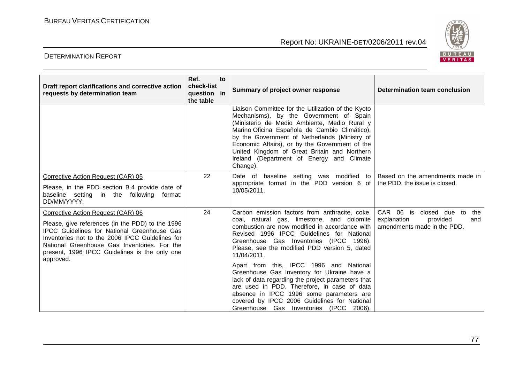

| Draft report clarifications and corrective action<br>requests by determination team                                                                                                                                                                                                                           | Ref.<br>check-list<br>question in<br>the table | to | Summary of project owner response                                                                                                                                                                                                                                                                                                                                                                                                                                                                                                                                                                                                            | <b>Determination team conclusion</b>                                                            |
|---------------------------------------------------------------------------------------------------------------------------------------------------------------------------------------------------------------------------------------------------------------------------------------------------------------|------------------------------------------------|----|----------------------------------------------------------------------------------------------------------------------------------------------------------------------------------------------------------------------------------------------------------------------------------------------------------------------------------------------------------------------------------------------------------------------------------------------------------------------------------------------------------------------------------------------------------------------------------------------------------------------------------------------|-------------------------------------------------------------------------------------------------|
|                                                                                                                                                                                                                                                                                                               |                                                |    | Liaison Committee for the Utilization of the Kyoto<br>Mechanisms), by the Government of Spain<br>(Ministerio de Medio Ambiente, Medio Rural y<br>Marino Oficina Española de Cambio Climático),<br>by the Government of Netherlands (Ministry of<br>Economic Affairs), or by the Government of the<br>United Kingdom of Great Britain and Northern<br>Ireland (Department of Energy and Climate<br>Change).                                                                                                                                                                                                                                   |                                                                                                 |
| Corrective Action Request (CAR) 05<br>Please, in the PDD section B.4 provide date of<br>baseline setting in the following<br>format:<br>DD/MM/YYYY.                                                                                                                                                           | 22                                             |    | Date of baseline setting was modified to<br>appropriate format in the PDD version 6 of<br>10/05/2011.                                                                                                                                                                                                                                                                                                                                                                                                                                                                                                                                        | Based on the amendments made in<br>the PDD, the issue is closed.                                |
| Corrective Action Request (CAR) 06<br>Please, give references (in the PDD) to the 1996<br><b>IPCC Guidelines for National Greenhouse Gas</b><br>Inventories not to the 2006 IPCC Guidelines for<br>National Greenhouse Gas Inventories. For the<br>present, 1996 IPCC Guidelines is the only one<br>approved. | 24                                             |    | Carbon emission factors from anthracite, coke,<br>coal, natural gas, limestone, and dolomite<br>combustion are now modified in accordance with<br>Revised 1996 IPCC Guidelines for National<br>Greenhouse Gas Inventories (IPCC 1996).<br>Please, see the modified PDD version 5, dated<br>11/04/2011.<br>Apart from this, IPCC 1996 and National<br>Greenhouse Gas Inventory for Ukraine have a<br>lack of data regarding the project parameters that<br>are used in PDD. Therefore, in case of data<br>absence in IPCC 1996 some parameters are<br>covered by IPCC 2006 Guidelines for National<br>Greenhouse Gas Inventories (IPCC 2006), | CAR 06 is closed due to<br>the<br>explanation<br>provided<br>and<br>amendments made in the PDD. |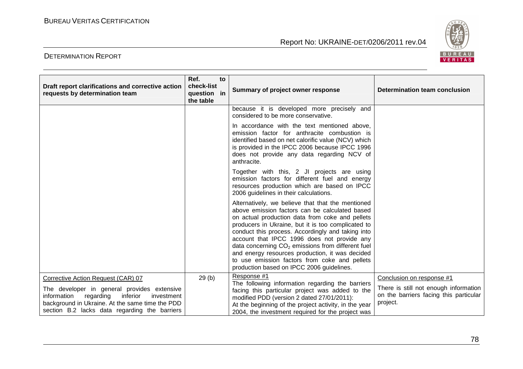

| Draft report clarifications and corrective action<br>requests by determination team                                                                                                                                                      | Ref.<br>check-list<br>question in<br>the table | to | Summary of project owner response                                                                                                                                                                                                                                                                                                                                                                                                                                                                                        | Determination team conclusion                                                                                            |
|------------------------------------------------------------------------------------------------------------------------------------------------------------------------------------------------------------------------------------------|------------------------------------------------|----|--------------------------------------------------------------------------------------------------------------------------------------------------------------------------------------------------------------------------------------------------------------------------------------------------------------------------------------------------------------------------------------------------------------------------------------------------------------------------------------------------------------------------|--------------------------------------------------------------------------------------------------------------------------|
|                                                                                                                                                                                                                                          |                                                |    | because it is developed more precisely and<br>considered to be more conservative.                                                                                                                                                                                                                                                                                                                                                                                                                                        |                                                                                                                          |
|                                                                                                                                                                                                                                          |                                                |    | In accordance with the text mentioned above,<br>emission factor for anthracite combustion is<br>identified based on net calorific value (NCV) which<br>is provided in the IPCC 2006 because IPCC 1996<br>does not provide any data regarding NCV of<br>anthracite.                                                                                                                                                                                                                                                       |                                                                                                                          |
|                                                                                                                                                                                                                                          |                                                |    | Together with this, 2 JI projects are using<br>emission factors for different fuel and energy<br>resources production which are based on IPCC<br>2006 guidelines in their calculations.                                                                                                                                                                                                                                                                                                                                  |                                                                                                                          |
|                                                                                                                                                                                                                                          |                                                |    | Alternatively, we believe that that the mentioned<br>above emission factors can be calculated based<br>on actual production data from coke and pellets<br>producers in Ukraine, but it is too complicated to<br>conduct this process. Accordingly and taking into<br>account that IPCC 1996 does not provide any<br>data concerning $CO2$ emissions from different fuel<br>and energy resources production, it was decided<br>to use emission factors from coke and pellets<br>production based on IPCC 2006 guidelines. |                                                                                                                          |
| Corrective Action Request (CAR) 07<br>The developer in general provides extensive<br>inferior<br>information regarding<br>investment<br>background in Ukraine. At the same time the PDD<br>section B.2 lacks data regarding the barriers | 29(b)                                          |    | Response #1<br>The following information regarding the barriers<br>facing this particular project was added to the<br>modified PDD (version 2 dated 27/01/2011):<br>At the beginning of the project activity, in the year<br>2004, the investment required for the project was                                                                                                                                                                                                                                           | Conclusion on response #1<br>There is still not enough information<br>on the barriers facing this particular<br>project. |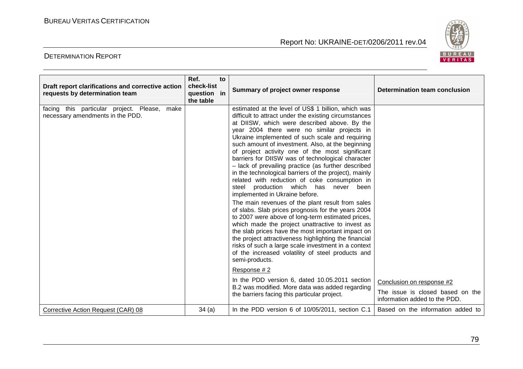

| Draft report clarifications and corrective action<br>requests by determination team | Ref.<br>to<br>check-list<br>question in<br>the table | Summary of project owner response                                                                                                                                                                                                                                                                                                                                                                                                                                                                                                                                                                                                                                                                                                                                                                                                                                                                                                                                                                                                                                                                                                                                                                                                                                                                          | Determination team conclusion                                                                  |
|-------------------------------------------------------------------------------------|------------------------------------------------------|------------------------------------------------------------------------------------------------------------------------------------------------------------------------------------------------------------------------------------------------------------------------------------------------------------------------------------------------------------------------------------------------------------------------------------------------------------------------------------------------------------------------------------------------------------------------------------------------------------------------------------------------------------------------------------------------------------------------------------------------------------------------------------------------------------------------------------------------------------------------------------------------------------------------------------------------------------------------------------------------------------------------------------------------------------------------------------------------------------------------------------------------------------------------------------------------------------------------------------------------------------------------------------------------------------|------------------------------------------------------------------------------------------------|
| facing this particular project. Please, make<br>necessary amendments in the PDD.    |                                                      | estimated at the level of US\$ 1 billion, which was<br>difficult to attract under the existing circumstances<br>at DIISW, which were described above. By the<br>year 2004 there were no similar projects in<br>Ukraine implemented of such scale and requiring<br>such amount of investment. Also, at the beginning<br>of project activity one of the most significant<br>barriers for DIISW was of technological character<br>- lack of prevailing practice (as further described<br>in the technological barriers of the project), mainly<br>related with reduction of coke consumption in<br>steel production which has never been<br>implemented in Ukraine before.<br>The main revenues of the plant result from sales<br>of slabs. Slab prices prognosis for the years 2004<br>to 2007 were above of long-term estimated prices,<br>which made the project unattractive to invest as<br>the slab prices have the most important impact on<br>the project attractiveness highlighting the financial<br>risks of such a large scale investment in a context<br>of the increased volatility of steel products and<br>semi-products.<br>Response #2<br>In the PDD version 6, dated 10.05.2011 section<br>B.2 was modified. More data was added regarding<br>the barriers facing this particular project. | Conclusion on response #2<br>The issue is closed based on the<br>information added to the PDD. |
| Corrective Action Request (CAR) 08                                                  | 34(a)                                                | In the PDD version 6 of 10/05/2011, section C.1                                                                                                                                                                                                                                                                                                                                                                                                                                                                                                                                                                                                                                                                                                                                                                                                                                                                                                                                                                                                                                                                                                                                                                                                                                                            | Based on the information added to                                                              |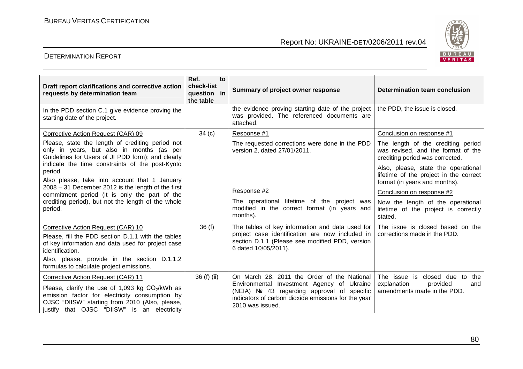

| Draft report clarifications and corrective action<br>requests by determination team                                                                                                                                                       | Ref.<br>to<br>check-list<br>question in<br>the table | Summary of project owner response                                                                                                                                                                                   | Determination team conclusion                                                                                  |
|-------------------------------------------------------------------------------------------------------------------------------------------------------------------------------------------------------------------------------------------|------------------------------------------------------|---------------------------------------------------------------------------------------------------------------------------------------------------------------------------------------------------------------------|----------------------------------------------------------------------------------------------------------------|
| In the PDD section C.1 give evidence proving the<br>starting date of the project.                                                                                                                                                         |                                                      | the evidence proving starting date of the project<br>was provided. The referenced documents are<br>attached.                                                                                                        | the PDD, the issue is closed.                                                                                  |
| Corrective Action Request (CAR) 09                                                                                                                                                                                                        | 34 <sub>(c)</sub>                                    | Response #1                                                                                                                                                                                                         | Conclusion on response #1                                                                                      |
| Please, state the length of crediting period not<br>only in years, but also in months (as per<br>Guidelines for Users of JI PDD form); and clearly                                                                                        |                                                      | The requested corrections were done in the PDD<br>version 2, dated 27/01/2011.                                                                                                                                      | The length of the crediting period<br>was revised, and the format of the<br>crediting period was corrected.    |
| indicate the time constraints of the post-Kyoto<br>period.<br>Also please, take into account that 1 January                                                                                                                               |                                                      |                                                                                                                                                                                                                     | Also, please, state the operational<br>lifetime of the project in the correct<br>format (in years and months). |
| $2008 - 31$ December 2012 is the length of the first<br>commitment period (it is only the part of the                                                                                                                                     |                                                      | Response #2                                                                                                                                                                                                         | Conclusion on response #2                                                                                      |
| crediting period), but not the length of the whole<br>period.                                                                                                                                                                             |                                                      | The operational lifetime of the project was<br>modified in the correct format (in years and<br>months).                                                                                                             | Now the length of the operational<br>lifetime of the project is correctly<br>stated.                           |
| Corrective Action Request (CAR) 10<br>Please, fill the PDD section D.1.1 with the tables<br>of key information and data used for project case<br>identification.                                                                          | 36(f)                                                | The tables of key information and data used for<br>project case identification are now included in<br>section D.1.1 (Please see modified PDD, version<br>6 dated 10/05/2011).                                       | The issue is closed based on the<br>corrections made in the PDD.                                               |
| Also, please, provide in the section D.1.1.2<br>formulas to calculate project emissions.                                                                                                                                                  |                                                      |                                                                                                                                                                                                                     |                                                                                                                |
| Corrective Action Request (CAR) 11<br>Please, clarify the use of 1,093 kg $CO2/kWh$ as<br>emission factor for electricity consumption by<br>OJSC "DIISW" starting from 2010 (Also, please,<br>justify that OJSC "DIISW" is an electricity | 36 (f) (ii)                                          | On March 28, 2011 the Order of the National<br>Environmental Investment Agency of Ukraine<br>(NEIA) Nº 43 regarding approval of specific<br>indicators of carbon dioxide emissions for the year<br>2010 was issued. | The issue is closed due to<br>the<br>explanation<br>provided<br>and<br>amendments made in the PDD.             |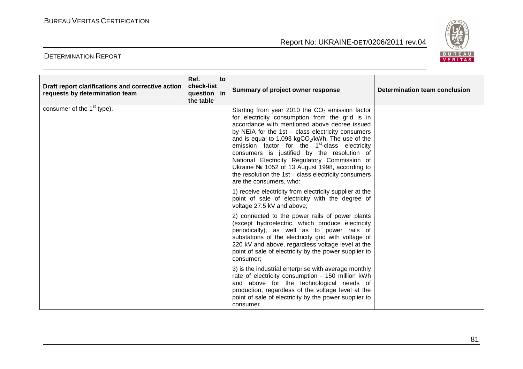

| Draft report clarifications and corrective action<br>requests by determination team | Ref.<br>check-list<br>question in<br>the table | to | Summary of project owner response                                                                                                                                                                                                                                                                                                                                                                                                                                                                                                                                                 | Determination team conclusion |
|-------------------------------------------------------------------------------------|------------------------------------------------|----|-----------------------------------------------------------------------------------------------------------------------------------------------------------------------------------------------------------------------------------------------------------------------------------------------------------------------------------------------------------------------------------------------------------------------------------------------------------------------------------------------------------------------------------------------------------------------------------|-------------------------------|
| consumer of the 1 <sup>st</sup> type).                                              |                                                |    | Starting from year 2010 the $CO2$ emission factor<br>for electricity consumption from the grid is in<br>accordance with mentioned above decree issued<br>by NEIA for the $1st - class$ electricity consumers<br>and is equal to 1,093 kgCO <sub>2</sub> /kWh. The use of the<br>emission factor for the 1 <sup>st</sup> -class electricity<br>consumers is justified by the resolution of<br>National Electricity Regulatory Commission of<br>Ukraine № 1052 of 13 August 1998, according to<br>the resolution the $1st - class$ electricity consumers<br>are the consumers, who: |                               |
|                                                                                     |                                                |    | 1) receive electricity from electricity supplier at the<br>point of sale of electricity with the degree of<br>voltage 27.5 kV and above;                                                                                                                                                                                                                                                                                                                                                                                                                                          |                               |
|                                                                                     |                                                |    | 2) connected to the power rails of power plants<br>(except hydroelectric, which produce electricity<br>periodically), as well as to power rails of<br>substations of the electricity grid with voltage of<br>220 kV and above, regardless voltage level at the<br>point of sale of electricity by the power supplier to<br>consumer;                                                                                                                                                                                                                                              |                               |
|                                                                                     |                                                |    | 3) is the industrial enterprise with average monthly<br>rate of electricity consumption - 150 million kWh<br>and above for the technological needs of<br>production, regardless of the voltage level at the<br>point of sale of electricity by the power supplier to<br>consumer.                                                                                                                                                                                                                                                                                                 |                               |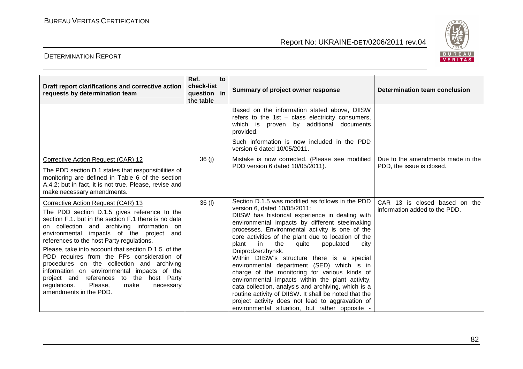

| Draft report clarifications and corrective action<br>requests by determination team                                                                                                                                                                                                                                                                                                                                                                                                                                                                                                                        | Ref.<br>to<br>check-list<br>question in<br>the table | Summary of project owner response                                                                                                                                                                                                                                                                                                                                                                                                                                                                                                                                                                                                                                                                                                                                                                | Determination team conclusion                                  |
|------------------------------------------------------------------------------------------------------------------------------------------------------------------------------------------------------------------------------------------------------------------------------------------------------------------------------------------------------------------------------------------------------------------------------------------------------------------------------------------------------------------------------------------------------------------------------------------------------------|------------------------------------------------------|--------------------------------------------------------------------------------------------------------------------------------------------------------------------------------------------------------------------------------------------------------------------------------------------------------------------------------------------------------------------------------------------------------------------------------------------------------------------------------------------------------------------------------------------------------------------------------------------------------------------------------------------------------------------------------------------------------------------------------------------------------------------------------------------------|----------------------------------------------------------------|
|                                                                                                                                                                                                                                                                                                                                                                                                                                                                                                                                                                                                            |                                                      | Based on the information stated above, DIISW<br>refers to the 1st - class electricity consumers,<br>which is proven by additional documents<br>provided.                                                                                                                                                                                                                                                                                                                                                                                                                                                                                                                                                                                                                                         |                                                                |
|                                                                                                                                                                                                                                                                                                                                                                                                                                                                                                                                                                                                            |                                                      | Such information is now included in the PDD<br>version 6 dated 10/05/2011.                                                                                                                                                                                                                                                                                                                                                                                                                                                                                                                                                                                                                                                                                                                       |                                                                |
| Corrective Action Request (CAR) 12<br>The PDD section D.1 states that responsibilities of<br>monitoring are defined in Table 6 of the section<br>A.4.2; but in fact, it is not true. Please, revise and<br>make necessary amendments.                                                                                                                                                                                                                                                                                                                                                                      | 36(j)                                                | Mistake is now corrected. (Please see modified<br>PDD version 6 dated 10/05/2011).                                                                                                                                                                                                                                                                                                                                                                                                                                                                                                                                                                                                                                                                                                               | Due to the amendments made in the<br>PDD, the issue is closed. |
| Corrective Action Request (CAR) 13<br>The PDD section D.1.5 gives reference to the<br>section F.1. but in the section F.1 there is no data<br>on collection and archiving information on<br>environmental impacts of the project and<br>references to the host Party regulations.<br>Please, take into account that section D.1.5. of the<br>PDD requires from the PPs consideration of<br>procedures on the collection and archiving<br>information on environmental impacts of the<br>project and references to the host Party<br>regulations.<br>Please,<br>make<br>necessary<br>amendments in the PDD. | 36(1)                                                | Section D.1.5 was modified as follows in the PDD<br>version 6, dated 10/05/2011:<br>DIISW has historical experience in dealing with<br>environmental impacts by different steelmaking<br>processes. Environmental activity is one of the<br>core activities of the plant due to location of the<br>in<br>plant<br>the<br>quite<br>populated<br>city<br>Dniprodzerzhynsk.<br>Within DIISW's structure there is a special<br>environmental department (SED) which is in<br>charge of the monitoring for various kinds of<br>environmental impacts within the plant activity,<br>data collection, analysis and archiving, which is a<br>routine activity of DIISW. It shall be noted that the<br>project activity does not lead to aggravation of<br>environmental situation, but rather opposite - | CAR 13 is closed based on the<br>information added to the PDD. |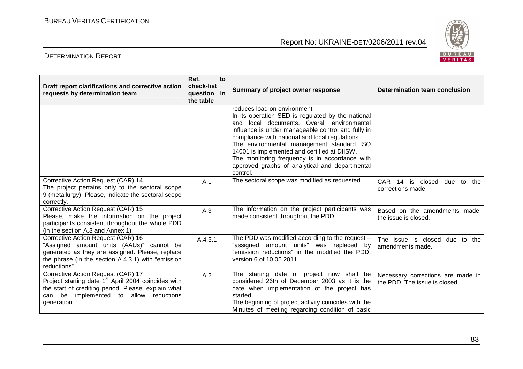

| Draft report clarifications and corrective action<br>requests by determination team                                                                                                                                   | Ref.<br>check-list<br>question in<br>the table | to | Summary of project owner response                                                                                                                                                                                                                                                                                                                                                                                                                     | Determination team conclusion                                      |
|-----------------------------------------------------------------------------------------------------------------------------------------------------------------------------------------------------------------------|------------------------------------------------|----|-------------------------------------------------------------------------------------------------------------------------------------------------------------------------------------------------------------------------------------------------------------------------------------------------------------------------------------------------------------------------------------------------------------------------------------------------------|--------------------------------------------------------------------|
|                                                                                                                                                                                                                       |                                                |    | reduces load on environment.<br>In its operation SED is regulated by the national<br>and local documents. Overall environmental<br>influence is under manageable control and fully in<br>compliance with national and local regulations.<br>The environmental management standard ISO<br>14001 is implemented and certified at DIISW.<br>The monitoring frequency is in accordance with<br>approved graphs of analytical and departmental<br>control. |                                                                    |
| Corrective Action Request (CAR) 14<br>The project pertains only to the sectoral scope<br>9 (metallurgy). Please, indicate the sectoral scope<br>correctly.                                                            | A.1                                            |    | The sectoral scope was modified as requested.                                                                                                                                                                                                                                                                                                                                                                                                         | CAR 14 is closed<br>due to<br>the<br>corrections made.             |
| Corrective Action Request (CAR) 15<br>Please, make the information on the project<br>participants consistent throughout the whole PDD<br>(in the section A.3 and Annex 1).                                            | A.3                                            |    | The information on the project participants was<br>made consistent throughout the PDD.                                                                                                                                                                                                                                                                                                                                                                | Based on the amendments made,<br>the issue is closed.              |
| Corrective Action Request (CAR) 16<br>"Assigned amount units (AAUs)" cannot be<br>generated as they are assigned. Please, replace<br>the phrase (in the section A.4.3.1) with "emission<br>reductions".               | A.4.3.1                                        |    | The PDD was modified according to the request -<br>"assigned amount units" was replaced by<br>"emission reductions" in the modified the PDD,<br>version 6 of 10.05.2011.                                                                                                                                                                                                                                                                              | The issue is closed due to the<br>amendments made.                 |
| Corrective Action Request (CAR) 17<br>Project starting date 1 <sup>st</sup> April 2004 coincides with<br>the start of crediting period. Please, explain what<br>can be implemented to allow reductions<br>generation. | A.2                                            |    | The starting date of project now shall be<br>considered 26th of December 2003 as it is the<br>date when implementation of the project has<br>started.<br>The beginning of project activity coincides with the<br>Minutes of meeting regarding condition of basic                                                                                                                                                                                      | Necessary corrections are made in<br>the PDD. The issue is closed. |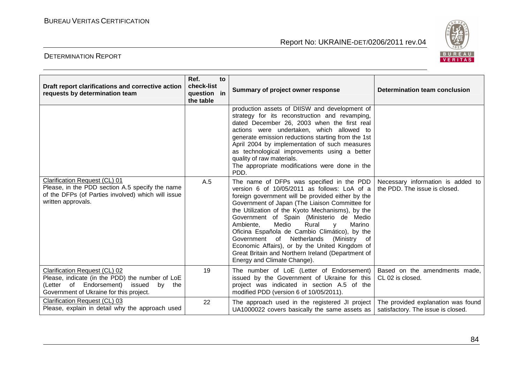

| Draft report clarifications and corrective action<br>requests by determination team                                                                                     | Ref.<br>to<br>check-list<br>question in<br>the table | Summary of project owner response                                                                                                                                                                                                                                                                                                                                                                                                                                                                                                                                                     | Determination team conclusion                                            |
|-------------------------------------------------------------------------------------------------------------------------------------------------------------------------|------------------------------------------------------|---------------------------------------------------------------------------------------------------------------------------------------------------------------------------------------------------------------------------------------------------------------------------------------------------------------------------------------------------------------------------------------------------------------------------------------------------------------------------------------------------------------------------------------------------------------------------------------|--------------------------------------------------------------------------|
|                                                                                                                                                                         |                                                      | production assets of DIISW and development of<br>strategy for its reconstruction and revamping,<br>dated December 26, 2003 when the first real<br>actions were undertaken, which allowed to<br>generate emission reductions starting from the 1st<br>April 2004 by implementation of such measures<br>as technological improvements using a better<br>quality of raw materials.<br>The appropriate modifications were done in the<br>PDD.                                                                                                                                             |                                                                          |
| Clarification Request (CL) 01<br>Please, in the PDD section A.5 specify the name<br>of the DFPs (of Parties involved) which will issue<br>written approvals.            | A.5                                                  | The name of DFPs was specified in the PDD<br>version 6 of 10/05/2011 as follows: LoA of a<br>foreign government will be provided either by the<br>Government of Japan (The Liaison Committee for<br>the Utilization of the Kyoto Mechanisms), by the<br>Government of Spain (Ministerio de Medio<br>Ambiente,<br>Medio<br>Rural<br>Marino<br>V<br>Oficina Española de Cambio Climático), by the<br>Government of Netherlands<br>(Ministry<br>of<br>Economic Affairs), or by the United Kingdom of<br>Great Britain and Northern Ireland (Department of<br>Energy and Climate Change). | Necessary information is added to<br>the PDD. The issue is closed.       |
| Clarification Request (CL) 02<br>Please, indicate (in the PDD) the number of LoE<br>(Letter of Endorsement) issued<br>by the<br>Government of Ukraine for this project. | 19                                                   | The number of LoE (Letter of Endorsement)<br>issued by the Government of Ukraine for this<br>project was indicated in section A.5 of the<br>modified PDD (version 6 of 10/05/2011).                                                                                                                                                                                                                                                                                                                                                                                                   | Based on the amendments made,<br>CL 02 is closed.                        |
| Clarification Request (CL) 03<br>Please, explain in detail why the approach used                                                                                        | 22                                                   | The approach used in the registered JI project<br>UA1000022 covers basically the same assets as                                                                                                                                                                                                                                                                                                                                                                                                                                                                                       | The provided explanation was found<br>satisfactory. The issue is closed. |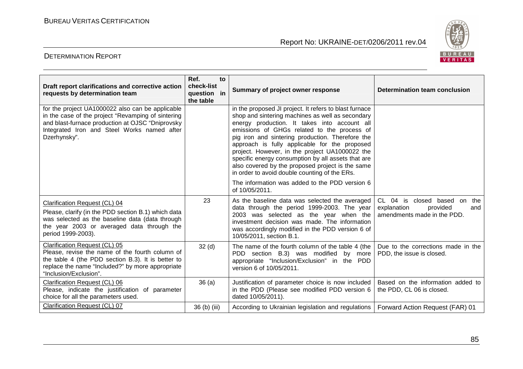

| Draft report clarifications and corrective action<br>requests by determination team                                                                                                                                       | Ref.<br>to<br>check-list<br>question in<br>the table | Summary of project owner response                                                                                                                                                                                                                                                                                                                                                                                                                                                                                           | Determination team conclusion                                                                      |
|---------------------------------------------------------------------------------------------------------------------------------------------------------------------------------------------------------------------------|------------------------------------------------------|-----------------------------------------------------------------------------------------------------------------------------------------------------------------------------------------------------------------------------------------------------------------------------------------------------------------------------------------------------------------------------------------------------------------------------------------------------------------------------------------------------------------------------|----------------------------------------------------------------------------------------------------|
| for the project UA1000022 also can be applicable<br>in the case of the project "Revamping of sintering<br>and blast-furnace production at OJSC "Dniprovsky<br>Integrated Iron and Steel Works named after<br>Dzerhynsky". |                                                      | in the proposed JI project. It refers to blast furnace<br>shop and sintering machines as well as secondary<br>energy production. It takes into account all<br>emissions of GHGs related to the process of<br>pig iron and sintering production. Therefore the<br>approach is fully applicable for the proposed<br>project. However, in the project UA1000022 the<br>specific energy consumption by all assets that are<br>also covered by the proposed project is the same<br>in order to avoid double counting of the ERs. |                                                                                                    |
|                                                                                                                                                                                                                           |                                                      | The information was added to the PDD version 6<br>of 10/05/2011.                                                                                                                                                                                                                                                                                                                                                                                                                                                            |                                                                                                    |
| Clarification Request (CL) 04<br>Please, clarify (in the PDD section B.1) which data<br>was selected as the baseline data (data through<br>the year 2003 or averaged data through the<br>period 1999-2003).               | 23                                                   | As the baseline data was selected the averaged<br>data through the period 1999-2003. The year<br>2003 was selected as the year when the<br>investment decision was made. The information<br>was accordingly modified in the PDD version 6 of<br>10/05/2011, section B.1.                                                                                                                                                                                                                                                    | $CL$ 04<br>is closed based on the<br>explanation<br>provided<br>and<br>amendments made in the PDD. |
| Clarification Request (CL) 05<br>Please, revise the name of the fourth column of<br>the table 4 (the PDD section B.3). It is better to<br>replace the name "Included?" by more appropriate<br>"Inclusion/Exclusion".      | 32 <sub>(d)</sub>                                    | The name of the fourth column of the table 4 (the<br>PDD section B.3) was modified by more<br>appropriate "Inclusion/Exclusion" in the PDD<br>version 6 of 10/05/2011.                                                                                                                                                                                                                                                                                                                                                      | Due to the corrections made in the<br>PDD, the issue is closed.                                    |
| Clarification Request (CL) 06<br>Please, indicate the justification of parameter<br>choice for all the parameters used.                                                                                                   | 36(a)                                                | Justification of parameter choice is now included<br>in the PDD (Please see modified PDD version 6<br>dated 10/05/2011).                                                                                                                                                                                                                                                                                                                                                                                                    | Based on the information added to<br>the PDD, CL 06 is closed.                                     |
| Clarification Request (CL) 07                                                                                                                                                                                             | 36 (b) (iii)                                         | According to Ukrainian legislation and regulations                                                                                                                                                                                                                                                                                                                                                                                                                                                                          | Forward Action Request (FAR) 01                                                                    |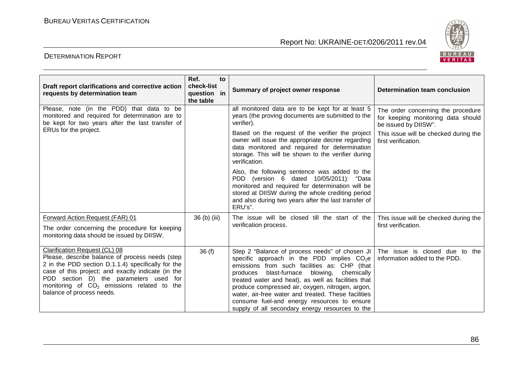

| Draft report clarifications and corrective action<br>requests by determination team                                                                                                                                                                                                                                 | Ref.<br>check-list<br>question in<br>the table | to | Summary of project owner response                                                                                                                                                                                                                                                                                                                                                                                                                                        | Determination team conclusion                                                                    |
|---------------------------------------------------------------------------------------------------------------------------------------------------------------------------------------------------------------------------------------------------------------------------------------------------------------------|------------------------------------------------|----|--------------------------------------------------------------------------------------------------------------------------------------------------------------------------------------------------------------------------------------------------------------------------------------------------------------------------------------------------------------------------------------------------------------------------------------------------------------------------|--------------------------------------------------------------------------------------------------|
| Please, note (in the PDD) that data to be<br>monitored and required for determination are to<br>be kept for two years after the last transfer of<br>ERUs for the project.                                                                                                                                           |                                                |    | all monitored data are to be kept for at least 5<br>years (the proving documents are submitted to the<br>verifier).                                                                                                                                                                                                                                                                                                                                                      | The order concerning the procedure<br>for keeping monitoring data should<br>be issued by DIISW". |
|                                                                                                                                                                                                                                                                                                                     |                                                |    | Based on the request of the verifier the project<br>owner will issue the appropriate decree regarding<br>data monitored and required for determination<br>storage. This will be shown to the verifier during<br>verification.                                                                                                                                                                                                                                            | This issue will be checked during the<br>first verification.                                     |
|                                                                                                                                                                                                                                                                                                                     |                                                |    | Also, the following sentence was added to the<br>PDD (version 6 dated 10/05/2011): "Data<br>monitored and required for determination will be<br>stored at DIISW during the whole crediting period<br>and also during two years after the last transfer of<br>ERU's".                                                                                                                                                                                                     |                                                                                                  |
| Forward Action Request (FAR) 01<br>The order concerning the procedure for keeping<br>monitoring data should be issued by DIISW.                                                                                                                                                                                     | 36 (b) (iii)                                   |    | The issue will be closed till the start of the<br>verification process.                                                                                                                                                                                                                                                                                                                                                                                                  | This issue will be checked during the<br>first verification.                                     |
| Clarification Request (CL) 08<br>Please, describe balance of process needs (step<br>2 in the PDD section D.1.1.4) specifically for the<br>case of this project; and exactly indicate (in the<br>PDD section D) the parameters used for<br>monitoring of $CO2$ emissions related to the<br>balance of process needs. | 36(f)                                          |    | Step 2 "Balance of process needs" of chosen JI<br>specific approach in the PDD implies $CO2e$<br>emissions from such facilities as: CHP (that<br>blast-furnace<br>blowing,<br>produces<br>chemically<br>treated water and heat), as well as facilities that<br>produce compressed air, oxygen, nitrogen, argon,<br>water, air-free water and treated. These facilities<br>consume fuel-and energy resources to ensure<br>supply of all secondary energy resources to the | The issue is closed due to the<br>information added to the PDD.                                  |